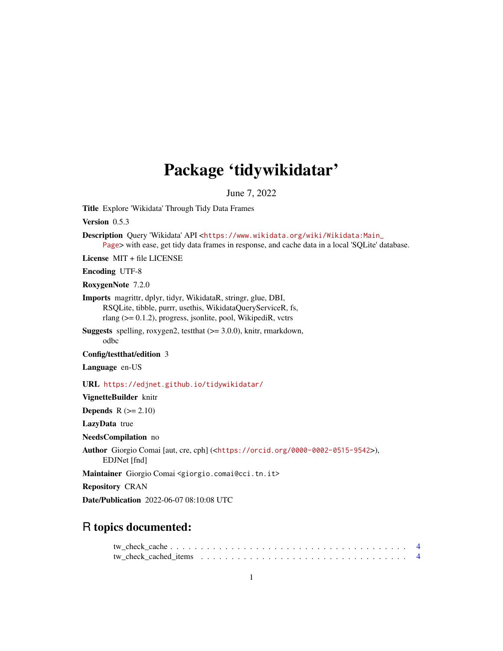# Package 'tidywikidatar'

June 7, 2022

Title Explore 'Wikidata' Through Tidy Data Frames

Version 0.5.3

Description Query 'Wikidata' API <[https://www.wikidata.org/wiki/Wikidata:Main\\_](https://www.wikidata.org/wiki/Wikidata:Main_Page) [Page](https://www.wikidata.org/wiki/Wikidata:Main_Page)> with ease, get tidy data frames in response, and cache data in a local 'SQLite' database.

License MIT + file LICENSE

Encoding UTF-8

RoxygenNote 7.2.0

Imports magrittr, dplyr, tidyr, WikidataR, stringr, glue, DBI, RSQLite, tibble, purrr, usethis, WikidataQueryServiceR, fs, rlang (>= 0.1.2), progress, jsonlite, pool, WikipediR, vctrs

Suggests spelling, roxygen2, testthat (>= 3.0.0), knitr, rmarkdown, odbc

Config/testthat/edition 3

Language en-US

URL <https://edjnet.github.io/tidywikidatar/>

VignetteBuilder knitr

Depends  $R$  ( $>= 2.10$ )

LazyData true

NeedsCompilation no

Author Giorgio Comai [aut, cre, cph] (<<https://orcid.org/0000-0002-0515-9542>>),

EDJNet [fnd]

Maintainer Giorgio Comai <giorgio.comai@cci.tn.it>

Repository CRAN

Date/Publication 2022-06-07 08:10:08 UTC

# R topics documented: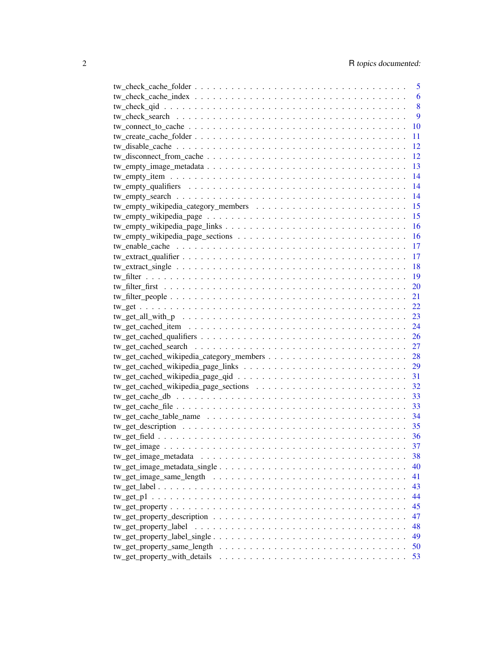|                                                                                            | 5     |
|--------------------------------------------------------------------------------------------|-------|
|                                                                                            | 6     |
|                                                                                            | 8     |
|                                                                                            | 9     |
|                                                                                            | 10    |
|                                                                                            | 11    |
|                                                                                            | 12    |
|                                                                                            | 12    |
|                                                                                            | 13    |
|                                                                                            | 14    |
|                                                                                            | 14    |
|                                                                                            | 14    |
|                                                                                            | 15    |
|                                                                                            | 15    |
|                                                                                            | 16    |
|                                                                                            | 16    |
|                                                                                            | 17    |
|                                                                                            |       |
|                                                                                            | -17   |
|                                                                                            | -18   |
|                                                                                            | $-19$ |
|                                                                                            | 20    |
|                                                                                            | 21    |
|                                                                                            | 22    |
|                                                                                            | 23    |
|                                                                                            | 24    |
|                                                                                            | 26    |
|                                                                                            | 27    |
|                                                                                            | 28    |
|                                                                                            | 29    |
|                                                                                            | 31    |
|                                                                                            | 32    |
|                                                                                            | 33    |
|                                                                                            | 33    |
|                                                                                            | 34    |
|                                                                                            | 35    |
|                                                                                            | 36    |
|                                                                                            | 37    |
| tw_get_image_metadata                                                                      | 38    |
|                                                                                            | 40    |
|                                                                                            | 41    |
|                                                                                            | 43    |
|                                                                                            | 44    |
|                                                                                            | 45    |
|                                                                                            |       |
|                                                                                            | 47    |
|                                                                                            | 48    |
| $tw\_get\_property\_label\_single \ldots \ldots \ldots \ldots \ldots \ldots \ldots \ldots$ | 49    |
|                                                                                            | 50    |
| tw_get_property_with_details                                                               | 53    |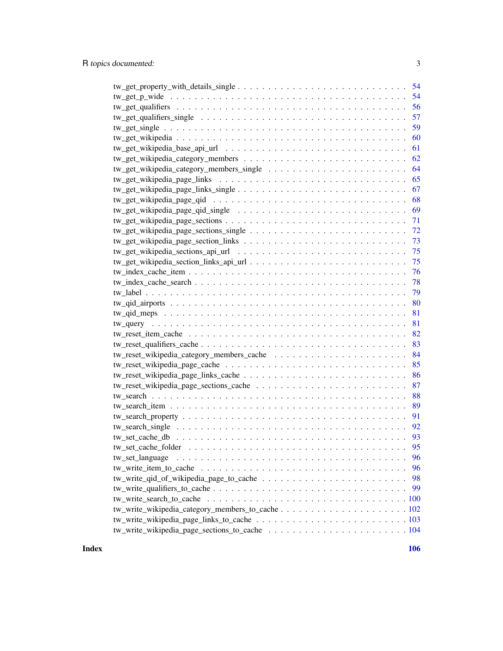| -54                                                                                             |
|-------------------------------------------------------------------------------------------------|
| -54                                                                                             |
| 56                                                                                              |
| 57                                                                                              |
| 59                                                                                              |
| 60                                                                                              |
| 61                                                                                              |
| 62                                                                                              |
| 64                                                                                              |
| 65                                                                                              |
| 67                                                                                              |
| 68                                                                                              |
| 69                                                                                              |
| 71                                                                                              |
| 72                                                                                              |
| 73                                                                                              |
| 75                                                                                              |
| 75                                                                                              |
| 76                                                                                              |
| 78                                                                                              |
| 79                                                                                              |
| 80                                                                                              |
| 81                                                                                              |
| 81                                                                                              |
| 82                                                                                              |
| 83                                                                                              |
| 84                                                                                              |
| 85                                                                                              |
| 86                                                                                              |
| 87                                                                                              |
| 88                                                                                              |
| 89                                                                                              |
| 91                                                                                              |
| 92                                                                                              |
| 93                                                                                              |
|                                                                                                 |
| 96                                                                                              |
| 96                                                                                              |
| $tw\_write\_qid\_of\_wikipedia\_page_to\_cache \ldots \ldots \ldots \ldots \ldots \ldots$<br>98 |
| 99                                                                                              |
|                                                                                                 |
|                                                                                                 |
|                                                                                                 |
|                                                                                                 |
|                                                                                                 |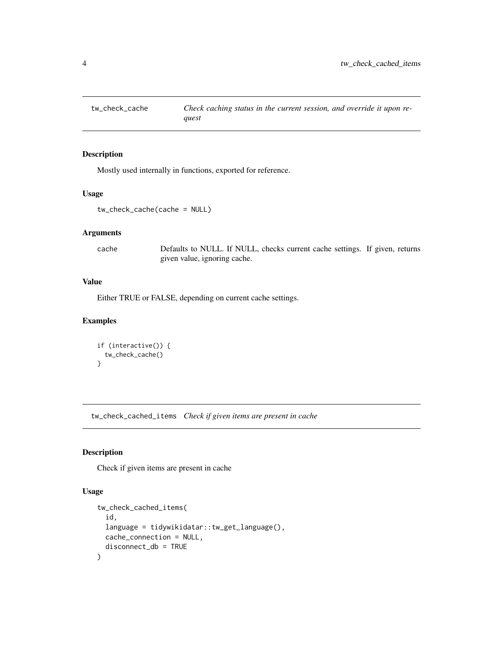<span id="page-3-0"></span>

# Description

Mostly used internally in functions, exported for reference.

#### Usage

```
tw_check_cache(cache = NULL)
```
# Arguments

cache Defaults to NULL. If NULL, checks current cache settings. If given, returns given value, ignoring cache.

#### Value

Either TRUE or FALSE, depending on current cache settings.

# Examples

```
if (interactive()) {
  tw_check_cache()
}
```
tw\_check\_cached\_items *Check if given items are present in cache*

# Description

Check if given items are present in cache

```
tw_check_cached_items(
  id,
  language = tidywikidatar::tw_get_language(),
 cache_connection = NULL,
  disconnect_db = TRUE
)
```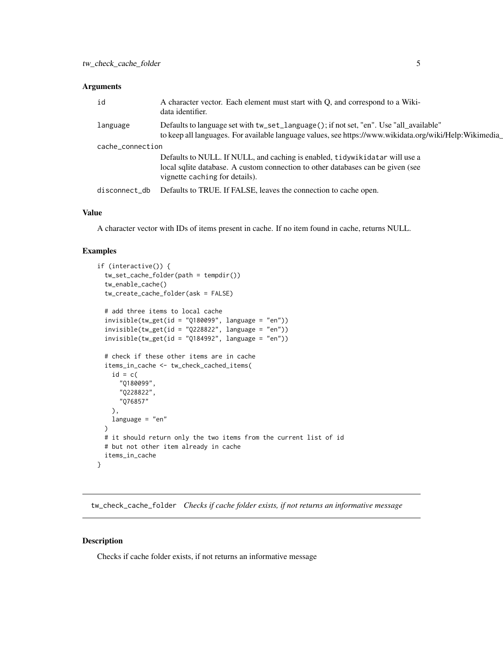<span id="page-4-0"></span>

| id               | A character vector. Each element must start with Q, and correspond to a Wiki-<br>data identifier.                                                                                                |
|------------------|--------------------------------------------------------------------------------------------------------------------------------------------------------------------------------------------------|
| language         | Defaults to language set with tw_set_language(); if not set, "en". Use "all_available"<br>to keep all languages. For available language values, see https://www.wikidata.org/wiki/Help:Wikimedia |
| cache_connection |                                                                                                                                                                                                  |
|                  | Defaults to NULL. If NULL, and caching is enabled, tidywikidatar will use a                                                                                                                      |
|                  | local sqlite database. A custom connection to other databases can be given (see<br>vignette caching for details).                                                                                |
| disconnect_db    | Defaults to TRUE. If FALSE, leaves the connection to cache open.                                                                                                                                 |

# Value

A character vector with IDs of items present in cache. If no item found in cache, returns NULL.

#### Examples

```
if (interactive()) {
 tw_set_cache_folder(path = tempdir())
 tw_enable_cache()
 tw_create_cache_folder(ask = FALSE)
 # add three items to local cache
 invisible(tw_get(id = "Q180099", language = "en"))invisible(tw\_get(id = "Q228822", \text{ language} = "en"))invisible(tw\_get(id = "Q184992", language = "en"))# check if these other items are in cache
 items_in_cache <- tw_check_cached_items(
    id = c("Q180099",
      "Q228822",
      "Q76857"
   ),
   language = "en"
 \lambda# it should return only the two items from the current list of id
 # but not other item already in cache
 items_in_cache
}
```
tw\_check\_cache\_folder *Checks if cache folder exists, if not returns an informative message*

#### Description

Checks if cache folder exists, if not returns an informative message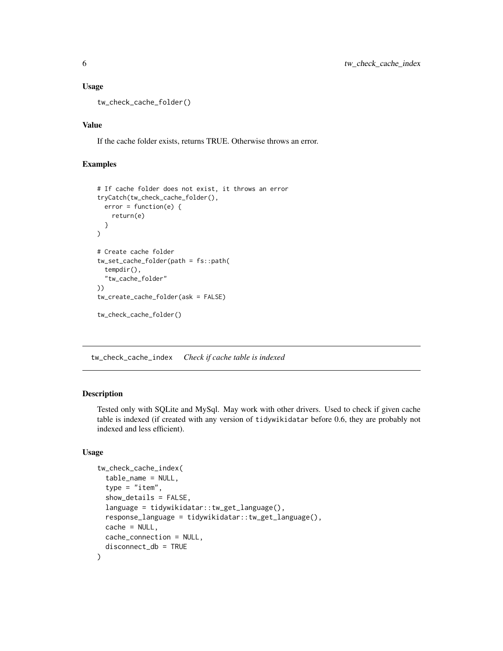#### <span id="page-5-0"></span>Usage

tw\_check\_cache\_folder()

#### Value

If the cache folder exists, returns TRUE. Otherwise throws an error.

#### Examples

```
# If cache folder does not exist, it throws an error
tryCatch(tw_check_cache_folder(),
  error = function(e) {
    return(e)
  }
)
# Create cache folder
tw_set_cache_folder(path = fs::path(
  tempdir(),
  "tw_cache_folder"
))
tw_create_cache_folder(ask = FALSE)
tw_check_cache_folder()
```
tw\_check\_cache\_index *Check if cache table is indexed*

# Description

Tested only with SQLite and MySql. May work with other drivers. Used to check if given cache table is indexed (if created with any version of tidywikidatar before 0.6, they are probably not indexed and less efficient).

```
tw_check_cache_index(
  table_name = NULL,
  type = "item",show_details = FALSE,
  language = tidywikidatar::tw_get_language(),
  response_language = tidywikidatar::tw_get_language(),
  cache = NULL,cache_connection = NULL,
  disconnect_db = TRUE
)
```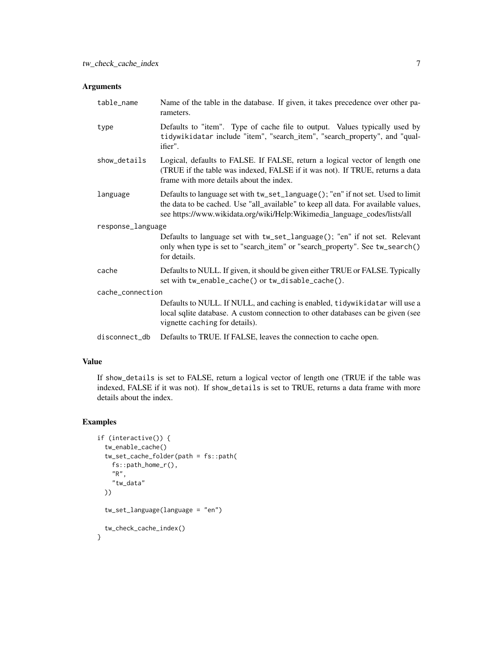| table_name        | Name of the table in the database. If given, it takes precedence over other pa-<br>rameters.                                                                                                                                                       |  |  |  |  |  |
|-------------------|----------------------------------------------------------------------------------------------------------------------------------------------------------------------------------------------------------------------------------------------------|--|--|--|--|--|
| type              | Defaults to "item". Type of cache file to output. Values typically used by<br>tidywikidatar include "item", "search_item", "search_property", and "qual-<br>ifier".                                                                                |  |  |  |  |  |
| show_details      | Logical, defaults to FALSE. If FALSE, return a logical vector of length one<br>(TRUE if the table was indexed, FALSE if it was not). If TRUE, returns a data<br>frame with more details about the index.                                           |  |  |  |  |  |
| language          | Defaults to language set with tw_set_language(); "en" if not set. Used to limit<br>the data to be cached. Use "all_available" to keep all data. For available values,<br>see https://www.wikidata.org/wiki/Help:Wikimedia_language_codes/lists/all |  |  |  |  |  |
| response_language |                                                                                                                                                                                                                                                    |  |  |  |  |  |
|                   | Defaults to language set with tw_set_language(); "en" if not set. Relevant<br>only when type is set to "search_item" or "search_property". See tw_search()<br>for details.                                                                         |  |  |  |  |  |
| cache             | Defaults to NULL. If given, it should be given either TRUE or FALSE. Typically<br>set with tw_enable_cache() or tw_disable_cache().                                                                                                                |  |  |  |  |  |
| cache_connection  |                                                                                                                                                                                                                                                    |  |  |  |  |  |
|                   | Defaults to NULL. If NULL, and caching is enabled, tidywikidatar will use a<br>local sqlite database. A custom connection to other databases can be given (see<br>vignette caching for details).                                                   |  |  |  |  |  |
| disconnect_db     | Defaults to TRUE. If FALSE, leaves the connection to cache open.                                                                                                                                                                                   |  |  |  |  |  |

# Value

If show\_details is set to FALSE, return a logical vector of length one (TRUE if the table was indexed, FALSE if it was not). If show\_details is set to TRUE, returns a data frame with more details about the index.

# Examples

```
if (interactive()) {
 tw_enable_cache()
 tw_set_cache_folder(path = fs::path(
   fs::path_home_r(),
   "R",
    "tw_data"
 ))
 tw_set_language(language = "en")
 tw_check_cache_index()
}
```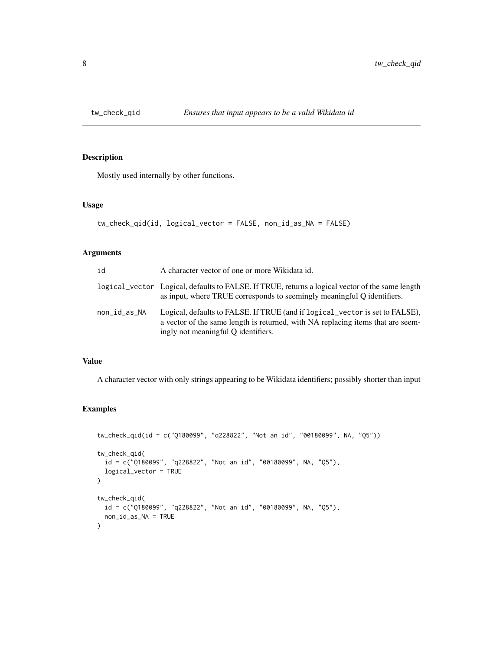<span id="page-7-0"></span>

# Description

Mostly used internally by other functions.

#### Usage

```
tw_check_qid(id, logical_vector = FALSE, non_id_as_NA = FALSE)
```
# Arguments

| id           | A character vector of one or more Wikidata id.                                                                                                                                                         |
|--------------|--------------------------------------------------------------------------------------------------------------------------------------------------------------------------------------------------------|
|              | logical_vector Logical, defaults to FALSE. If TRUE, returns a logical vector of the same length<br>as input, where TRUE corresponds to seemingly meaningful Q identifiers.                             |
| non_id_as_NA | Logical, defaults to FALSE. If TRUE (and if logical_vector is set to FALSE),<br>a vector of the same length is returned, with NA replacing items that are seem-<br>ingly not meaningful Q identifiers. |

#### Value

A character vector with only strings appearing to be Wikidata identifiers; possibly shorter than input

# Examples

```
tw_check_qid(id = c("Q180099", "q228822", "Not an id", "00180099", NA, "Q5"))
tw_check_qid(
  id = c("Q180099", "q228822", "Not an id", "00180099", NA, "Q5"),
  logical_vector = TRUE
\lambdatw_check_qid(
  id = c("Q180099", "q228822", "Not an id", "00180099", NA, "Q5"),non_id_as_NA = TRUE
\mathcal{L}
```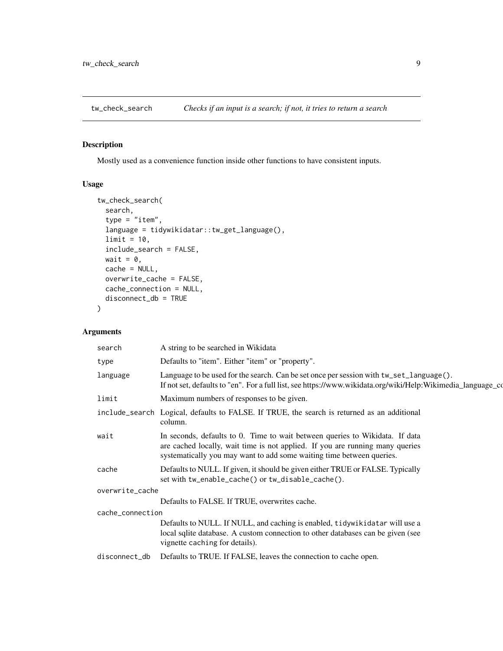<span id="page-8-0"></span>

# Description

Mostly used as a convenience function inside other functions to have consistent inputs.

#### Usage

```
tw_check_search(
  search,
  type = "item",
  language = tidywikidatar::tw_get_language(),
  limit = 10,include_search = FALSE,
 wait = \theta,
 cache = NULL,
 overwrite_cache = FALSE,
 cache_connection = NULL,
  disconnect_db = TRUE
\mathcal{L}
```

| search           | A string to be searched in Wikidata                                                                                                                                                                                                    |
|------------------|----------------------------------------------------------------------------------------------------------------------------------------------------------------------------------------------------------------------------------------|
| type             | Defaults to "item". Either "item" or "property".                                                                                                                                                                                       |
| language         | Language to be used for the search. Can be set once per session with $tw\_set\_language()$ .<br>If not set, defaults to "en". For a full list, see https://www.wikidata.org/wiki/Help:Wikimedia_language_co                            |
| limit            | Maximum numbers of responses to be given.                                                                                                                                                                                              |
|                  | include_search Logical, defaults to FALSE. If TRUE, the search is returned as an additional<br>column.                                                                                                                                 |
| wait             | In seconds, defaults to 0. Time to wait between queries to Wikidata. If data<br>are cached locally, wait time is not applied. If you are running many queries<br>systematically you may want to add some waiting time between queries. |
| cache            | Defaults to NULL. If given, it should be given either TRUE or FALSE. Typically<br>set with tw_enable_cache() or tw_disable_cache().                                                                                                    |
| overwrite_cache  |                                                                                                                                                                                                                                        |
|                  | Defaults to FALSE. If TRUE, overwrites cache.                                                                                                                                                                                          |
| cache_connection |                                                                                                                                                                                                                                        |
|                  | Defaults to NULL. If NULL, and caching is enabled, tidywikidatar will use a<br>local sqlite database. A custom connection to other databases can be given (see<br>vignette caching for details).                                       |
| disconnect_db    | Defaults to TRUE. If FALSE, leaves the connection to cache open.                                                                                                                                                                       |
|                  |                                                                                                                                                                                                                                        |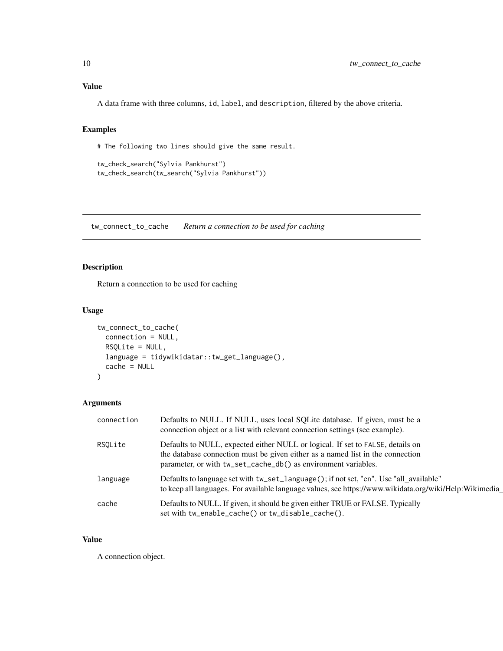# <span id="page-9-0"></span>Value

A data frame with three columns, id, label, and description, filtered by the above criteria.

#### Examples

# The following two lines should give the same result.

```
tw_check_search("Sylvia Pankhurst")
tw_check_search(tw_search("Sylvia Pankhurst"))
```
tw\_connect\_to\_cache *Return a connection to be used for caching*

# Description

Return a connection to be used for caching

#### Usage

```
tw_connect_to_cache(
  connection = NULL,
  RSQLite = NULL,
  language = tidywikidatar::tw_get_language(),
  cache = NULL
\mathcal{E}
```
# Arguments

| connection | Defaults to NULL. If NULL, uses local SQLite database. If given, must be a<br>connection object or a list with relevant connection settings (see example).                                                                         |
|------------|------------------------------------------------------------------------------------------------------------------------------------------------------------------------------------------------------------------------------------|
| RSOLite    | Defaults to NULL, expected either NULL or logical. If set to FALSE, details on<br>the database connection must be given either as a named list in the connection<br>parameter, or with tw_set_cache_db() as environment variables. |
| language   | Defaults to language set with tw_set_language(); if not set, "en". Use "all_available"<br>to keep all languages. For available language values, see https://www.wikidata.org/wiki/Help:Wikimedia                                   |
| cache      | Defaults to NULL. If given, it should be given either TRUE or FALSE. Typically<br>set with tw_enable_cache() or tw_disable_cache().                                                                                                |

#### Value

A connection object.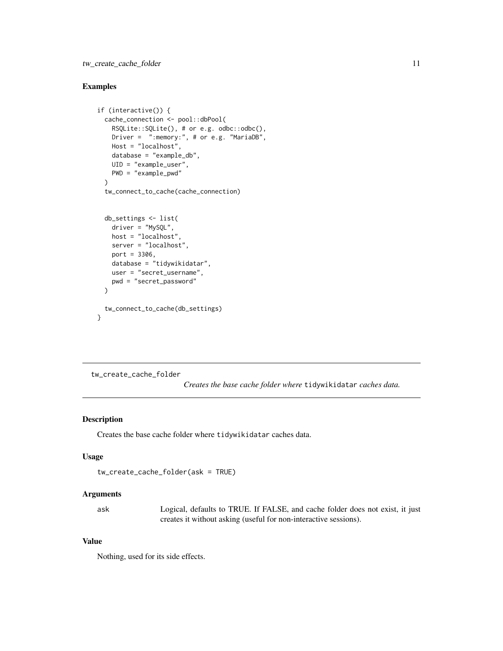# <span id="page-10-0"></span>tw\_create\_cache\_folder 11

#### Examples

```
if (interactive()) {
 cache_connection <- pool::dbPool(
   RSQLite::SQLite(), # or e.g. odbc::odbc(),
   Driver = ":memory:", # or e.g. "MariaDB",
   Host = "localhost",
   database = "example_db",
   UID = "example_user",
   PWD = "example_pwd"
 )
 tw_connect_to_cache(cache_connection)
 db_settings <- list(
   driver = "MySQL",
   host = "localhost",
   server = "localhost",
   port = 3306,database = "tidywikidatar",
   user = "secret_username",
   pwd = "secret_password"
 )
 tw_connect_to_cache(db_settings)
}
```
tw\_create\_cache\_folder

*Creates the base cache folder where* tidywikidatar *caches data.*

# Description

Creates the base cache folder where tidywikidatar caches data.

# Usage

```
tw_create_cache_folder(ask = TRUE)
```
#### Arguments

| ask | Logical, defaults to TRUE. If FALSE, and cache folder does not exist, it just |
|-----|-------------------------------------------------------------------------------|
|     | creates it without asking (useful for non-interactive sessions).              |

# Value

Nothing, used for its side effects.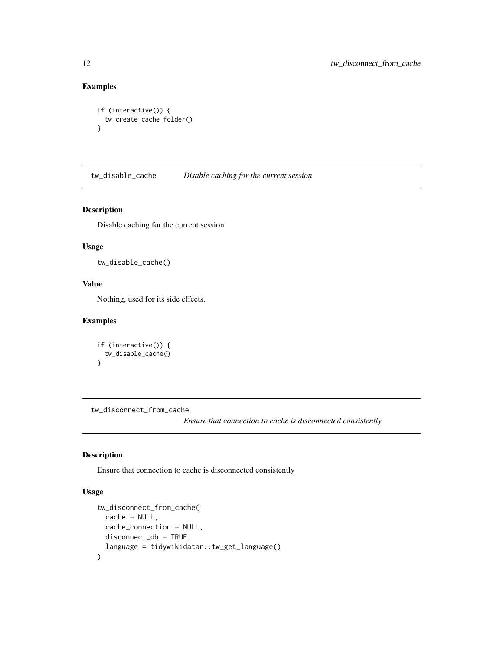# Examples

```
if (interactive()) {
  tw_create_cache_folder()
}
```
tw\_disable\_cache *Disable caching for the current session*

# Description

Disable caching for the current session

#### Usage

```
tw_disable_cache()
```
# Value

Nothing, used for its side effects.

# Examples

```
if (interactive()) {
 tw_disable_cache()
}
```
tw\_disconnect\_from\_cache

*Ensure that connection to cache is disconnected consistently*

# Description

Ensure that connection to cache is disconnected consistently

```
tw_disconnect_from_cache(
 cache = NULL,
 cache_connection = NULL,
 disconnect_db = TRUE,
  language = tidywikidatar::tw_get_language()
\mathcal{E}
```
<span id="page-11-0"></span>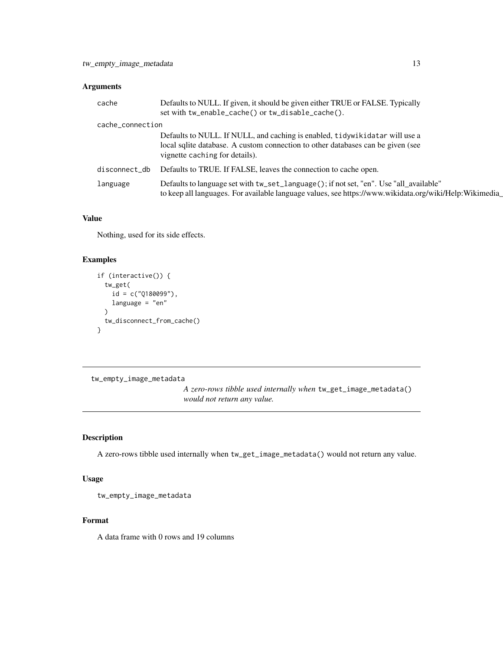<span id="page-12-0"></span>

| cache            | Defaults to NULL. If given, it should be given either TRUE or FALSE. Typically<br>set with tw_enable_cache() or tw_disable_cache().                                                              |
|------------------|--------------------------------------------------------------------------------------------------------------------------------------------------------------------------------------------------|
| cache_connection |                                                                                                                                                                                                  |
|                  | Defaults to NULL. If NULL, and caching is enabled, tidywikidatar will use a<br>local sqlite database. A custom connection to other databases can be given (see<br>vignette caching for details). |
| disconnect_db    | Defaults to TRUE. If FALSE, leaves the connection to cache open.                                                                                                                                 |
| language         | Defaults to language set with tw_set_language(); if not set, "en". Use "all_available"<br>to keep all languages. For available language values, see https://www.wikidata.org/wiki/Help:Wikimedia |

# Value

Nothing, used for its side effects.

# Examples

```
if (interactive()) {
  tw_get(
   id = c("Q180099"),
   language = "en"
  )
  tw_disconnect_from_cache()
}
```
tw\_empty\_image\_metadata

*A zero-rows tibble used internally when* tw\_get\_image\_metadata() *would not return any value.*

# Description

A zero-rows tibble used internally when tw\_get\_image\_metadata() would not return any value.

# Usage

```
tw_empty_image_metadata
```
#### Format

A data frame with 0 rows and 19 columns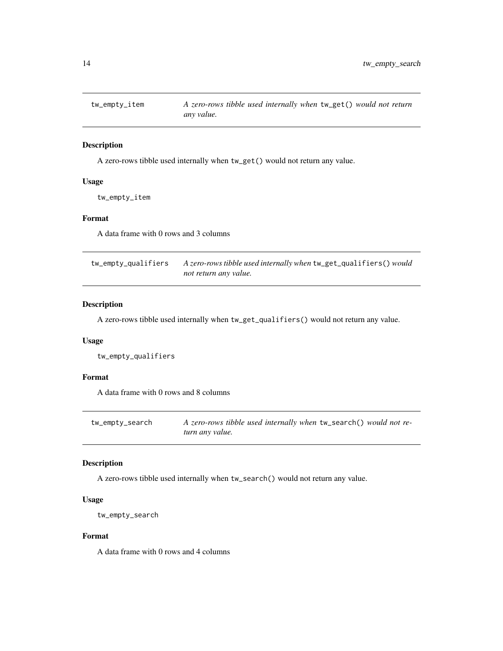<span id="page-13-0"></span>

#### Description

A zero-rows tibble used internally when tw\_get() would not return any value.

# Usage

tw\_empty\_item

# Format

A data frame with 0 rows and 3 columns

| tw_empty_qualifiers | A zero-rows tibble used internally when tw_get_qualifiers() would |
|---------------------|-------------------------------------------------------------------|
|                     | not return any value.                                             |

#### Description

A zero-rows tibble used internally when tw\_get\_qualifiers() would not return any value.

#### Usage

tw\_empty\_qualifiers

#### Format

A data frame with 0 rows and 8 columns

| tw_empty_search | A zero-rows tibble used internally when tw_search() would not re- |
|-----------------|-------------------------------------------------------------------|
|                 | turn any value.                                                   |

#### Description

A zero-rows tibble used internally when tw\_search() would not return any value.

#### Usage

```
tw_empty_search
```
#### Format

A data frame with 0 rows and 4 columns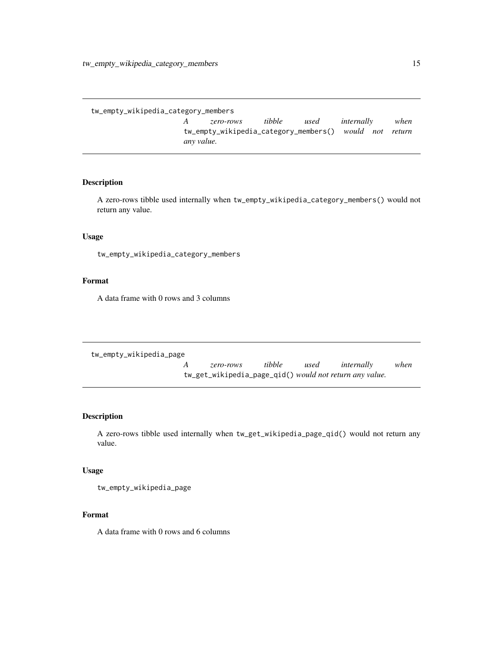<span id="page-14-0"></span>tw\_empty\_wikipedia\_category\_members

*A zero-rows tibble used internally when* tw\_empty\_wikipedia\_category\_members() *would not return any value.*

# Description

A zero-rows tibble used internally when tw\_empty\_wikipedia\_category\_members() would not return any value.

# Usage

tw\_empty\_wikipedia\_category\_members

# Format

A data frame with 0 rows and 3 columns

```
tw_empty_wikipedia_page
```
*A zero-rows tibble used internally when* tw\_get\_wikipedia\_page\_qid() *would not return any value.*

#### Description

A zero-rows tibble used internally when tw\_get\_wikipedia\_page\_qid() would not return any value.

#### Usage

tw\_empty\_wikipedia\_page

#### Format

A data frame with 0 rows and 6 columns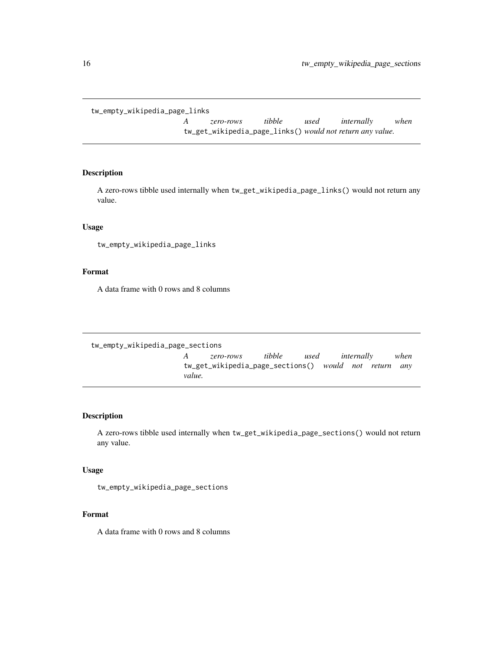<span id="page-15-0"></span>tw\_empty\_wikipedia\_page\_links

*A zero-rows tibble used internally when* tw\_get\_wikipedia\_page\_links() *would not return any value.*

#### Description

A zero-rows tibble used internally when tw\_get\_wikipedia\_page\_links() would not return any value.

# Usage

tw\_empty\_wikipedia\_page\_links

### Format

A data frame with 0 rows and 8 columns

tw\_empty\_wikipedia\_page\_sections

*A zero-rows tibble used internally when* tw\_get\_wikipedia\_page\_sections() *would not return any value.*

# Description

A zero-rows tibble used internally when tw\_get\_wikipedia\_page\_sections() would not return any value.

#### Usage

tw\_empty\_wikipedia\_page\_sections

#### Format

A data frame with 0 rows and 8 columns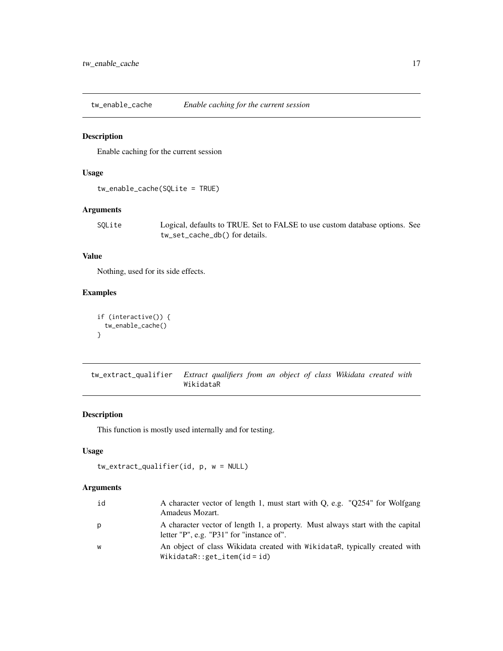<span id="page-16-0"></span>tw\_enable\_cache *Enable caching for the current session*

#### Description

Enable caching for the current session

#### Usage

```
tw_enable_cache(SQLite = TRUE)
```
# Arguments

SQLite Logical, defaults to TRUE. Set to FALSE to use custom database options. See tw\_set\_cache\_db() for details.

#### Value

Nothing, used for its side effects.

#### Examples

```
if (interactive()) {
 tw_enable_cache()
}
```
tw\_extract\_qualifier *Extract qualifiers from an object of class Wikidata created with* WikidataR

#### Description

This function is mostly used internally and for testing.

#### Usage

```
tw_extract_qualifier(id, p, w = NULL)
```

| id | A character vector of length 1, must start with Q, e.g. "Q254" for Wolfgang<br>Amadeus Mozart.                              |
|----|-----------------------------------------------------------------------------------------------------------------------------|
| p  | A character vector of length 1, a property. Must always start with the capital<br>letter "P", e.g. "P31" for "instance of". |
| W  | An object of class Wikidata created with WikidataR, typically created with<br>WikidataR:: $get\_item(id = id)$              |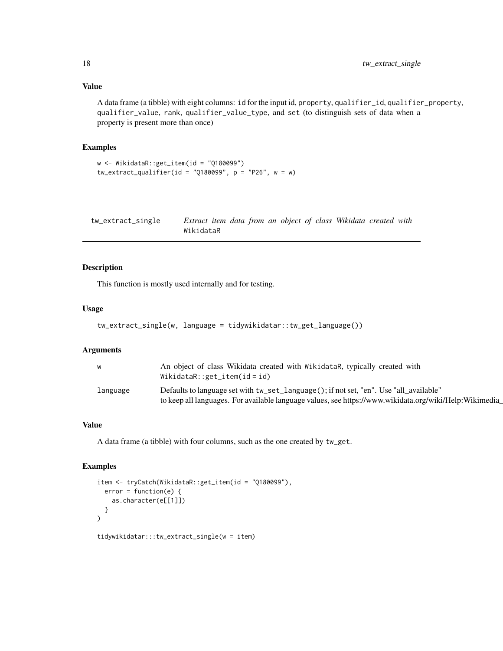# <span id="page-17-0"></span>Value

A data frame (a tibble) with eight columns: id for the input id, property, qualifier\_id, qualifier\_property, qualifier\_value, rank, qualifier\_value\_type, and set (to distinguish sets of data when a property is present more than once)

#### Examples

```
w <- WikidataR::get_item(id = "Q180099")
tw_extract_qualifier(id = "Q180099", p = "P26", w = w)
```

| tw_extract_single | Extract item data from an object of class Wikidata created with |  |  |  |  |
|-------------------|-----------------------------------------------------------------|--|--|--|--|
|                   | WikidataR                                                       |  |  |  |  |

# Description

This function is mostly used internally and for testing.

#### Usage

```
tw_extract_single(w, language = tidywikidatar::tw_get_language())
```
#### Arguments

| W        | An object of class Wikidata created with WikidataR, typically created with<br>WikidataR:: $get\_item(id = id)$                                                                                   |
|----------|--------------------------------------------------------------------------------------------------------------------------------------------------------------------------------------------------|
| language | Defaults to language set with tw_set_language(); if not set, "en". Use "all_available"<br>to keep all languages. For available language values, see https://www.wikidata.org/wiki/Help:Wikimedia |

#### Value

A data frame (a tibble) with four columns, such as the one created by tw\_get.

# Examples

```
item <- tryCatch(WikidataR::get_item(id = "Q180099"),
  error = function(e) {
    as.character(e[[1]])
  }
)
```
tidywikidatar:::tw\_extract\_single(w = item)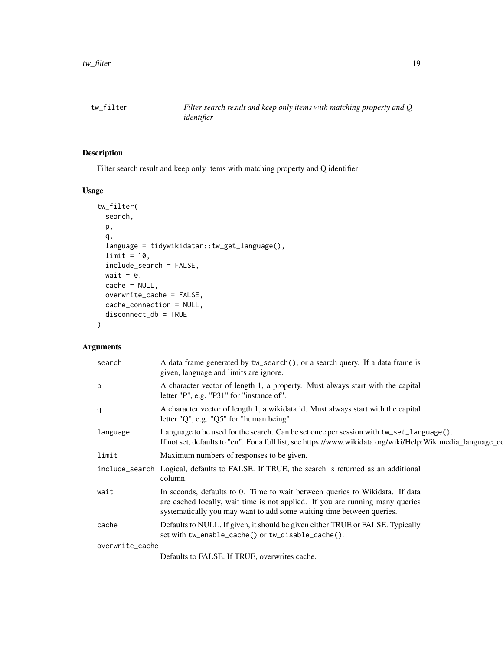<span id="page-18-0"></span>

# Description

Filter search result and keep only items with matching property and Q identifier

# Usage

```
tw_filter(
  search,
 p,
  q,
  language = tidywikidatar::tw_get_language(),
 limit = 10,include_search = FALSE,
 wait = \theta,
 cache = NULL,
 overwrite_cache = FALSE,
  cache_connection = NULL,
  disconnect_db = TRUE
)
```

| search          | A data frame generated by tw_search(), or a search query. If a data frame is<br>given, language and limits are ignore.                                                                                                                 |
|-----------------|----------------------------------------------------------------------------------------------------------------------------------------------------------------------------------------------------------------------------------------|
| p               | A character vector of length 1, a property. Must always start with the capital<br>letter "P", e.g. "P31" for "instance of".                                                                                                            |
| q               | A character vector of length 1, a wikidata id. Must always start with the capital<br>letter "Q", e.g. "Q5" for "human being".                                                                                                          |
| language        | Language to be used for the search. Can be set once per session with $tw\_set\_language()$ .<br>If not set, defaults to "en". For a full list, see https://www.wikidata.org/wiki/Help:Wikimedia_language_co                            |
| limit           | Maximum numbers of responses to be given.                                                                                                                                                                                              |
|                 | include_search Logical, defaults to FALSE. If TRUE, the search is returned as an additional<br>column.                                                                                                                                 |
| wait            | In seconds, defaults to 0. Time to wait between queries to Wikidata. If data<br>are cached locally, wait time is not applied. If you are running many queries<br>systematically you may want to add some waiting time between queries. |
| cache           | Defaults to NULL. If given, it should be given either TRUE or FALSE. Typically<br>set with tw_enable_cache() or tw_disable_cache().                                                                                                    |
| overwrite_cache |                                                                                                                                                                                                                                        |
|                 | Defaults to FALSE. If TRUE, overwrites cache.                                                                                                                                                                                          |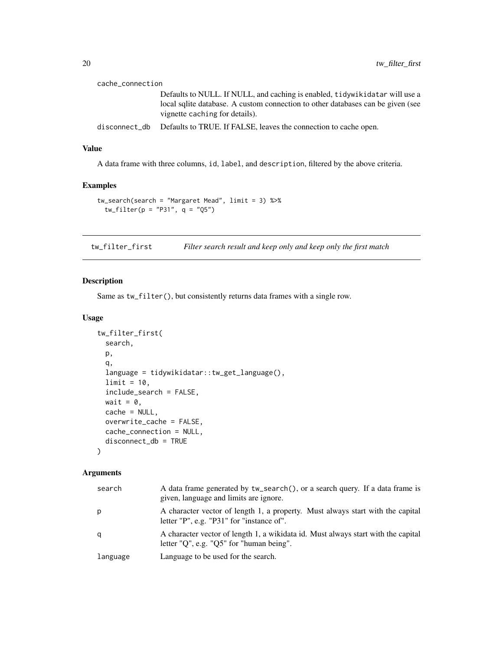<span id="page-19-0"></span>

| cache_connection |                                                                                                                   |
|------------------|-------------------------------------------------------------------------------------------------------------------|
|                  | Defaults to NULL. If NULL, and caching is enabled, tidywikidatar will use a                                       |
|                  | local sqlite database. A custom connection to other databases can be given (see<br>vignette caching for details). |
| disconnect_db    | Defaults to TRUE. If FALSE, leaves the connection to cache open.                                                  |

# Value

A data frame with three columns, id, label, and description, filtered by the above criteria.

# Examples

```
tw_search(search = "Margaret Mead", limit = 3) %>%
  tw_filter(p = "P31", q = "Q5")
```
tw\_filter\_first *Filter search result and keep only and keep only the first match*

# Description

Same as tw\_filter(), but consistently returns data frames with a single row.

#### Usage

```
tw_filter_first(
  search,
 p,
 q,
  language = tidywikidatar::tw_get_language(),
  limit = 10,include_search = FALSE,
 wait = \theta,
 cache = NULL,
 overwrite_cache = FALSE,
 cache_connection = NULL,
 disconnect_db = TRUE
)
```

| search   | A data frame generated by tw_search(), or a search query. If a data frame is<br>given, language and limits are ignore.            |
|----------|-----------------------------------------------------------------------------------------------------------------------------------|
| р        | A character vector of length 1, a property. Must always start with the capital<br>letter "P", e.g. "P31" for "instance of".       |
| q        | A character vector of length 1, a wikidata id. Must always start with the capital<br>letter "Q", e.g. " $Q5$ " for "human being". |
| language | Language to be used for the search.                                                                                               |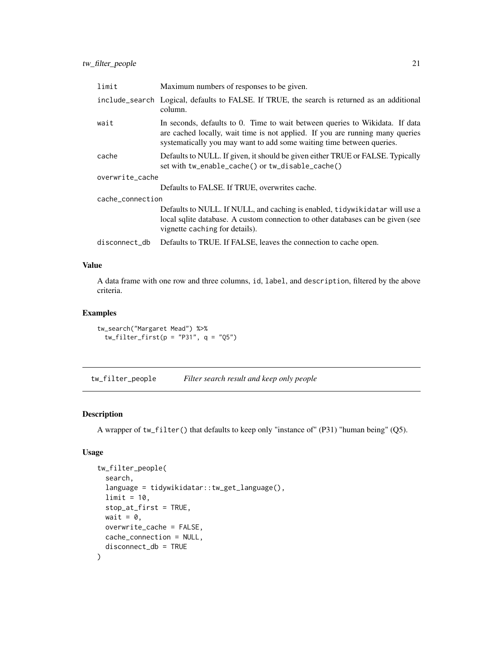<span id="page-20-0"></span>

| limit            | Maximum numbers of responses to be given.                                                                                                                                                                                              |
|------------------|----------------------------------------------------------------------------------------------------------------------------------------------------------------------------------------------------------------------------------------|
|                  | include_search Logical, defaults to FALSE. If TRUE, the search is returned as an additional<br>column.                                                                                                                                 |
| wait             | In seconds, defaults to 0. Time to wait between queries to Wikidata. If data<br>are cached locally, wait time is not applied. If you are running many queries<br>systematically you may want to add some waiting time between queries. |
| cache            | Defaults to NULL. If given, it should be given either TRUE or FALSE. Typically<br>set with tw_enable_cache() or tw_disable_cache()                                                                                                     |
| overwrite_cache  |                                                                                                                                                                                                                                        |
|                  | Defaults to FALSE. If TRUE, overwrites cache.                                                                                                                                                                                          |
| cache_connection |                                                                                                                                                                                                                                        |
|                  | Defaults to NULL. If NULL, and caching is enabled, tidywikidatar will use a<br>local sqlite database. A custom connection to other databases can be given (see<br>vignette caching for details).                                       |
| disconnect_db    | Defaults to TRUE. If FALSE, leaves the connection to cache open.                                                                                                                                                                       |

#### Value

A data frame with one row and three columns, id, label, and description, filtered by the above criteria.

#### Examples

```
tw_search("Margaret Mead") %>%
 tw_fitter_first(p = "P31", q = "Q5")
```
tw\_filter\_people *Filter search result and keep only people*

# Description

A wrapper of tw\_filter() that defaults to keep only "instance of" (P31) "human being" (Q5).

```
tw_filter_people(
  search,
  language = tidywikidatar::tw_get_language(),
  limit = 10,stop_at_first = TRUE,
 wait = \theta,
 overwrite_cache = FALSE,
 cache_connection = NULL,
  disconnect_db = TRUE
)
```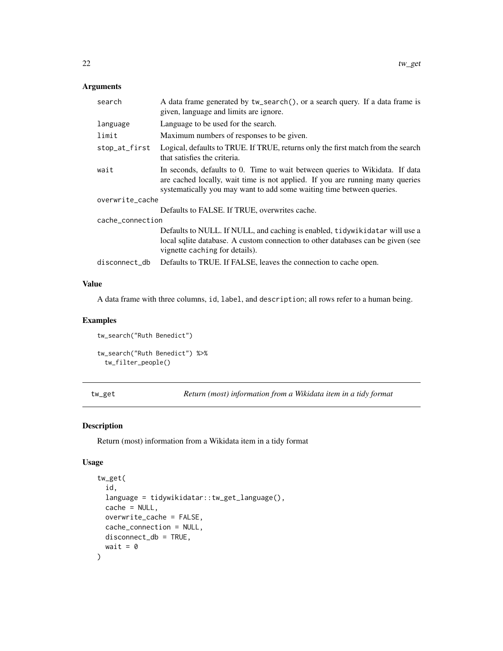<span id="page-21-0"></span>

| search           | A data frame generated by tw_search(), or a search query. If a data frame is<br>given, language and limits are ignore.                                                                                                                 |
|------------------|----------------------------------------------------------------------------------------------------------------------------------------------------------------------------------------------------------------------------------------|
| language         | Language to be used for the search.                                                                                                                                                                                                    |
| limit            | Maximum numbers of responses to be given.                                                                                                                                                                                              |
| stop_at_first    | Logical, defaults to TRUE. If TRUE, returns only the first match from the search<br>that satisfies the criteria.                                                                                                                       |
| wait             | In seconds, defaults to 0. Time to wait between queries to Wikidata. If data<br>are cached locally, wait time is not applied. If you are running many queries<br>systematically you may want to add some waiting time between queries. |
| overwrite_cache  |                                                                                                                                                                                                                                        |
|                  | Defaults to FALSE. If TRUE, overwrites cache.                                                                                                                                                                                          |
| cache connection |                                                                                                                                                                                                                                        |
|                  | Defaults to NULL. If NULL, and caching is enabled, tidywikidatar will use a                                                                                                                                                            |
|                  | local sqlite database. A custom connection to other databases can be given (see<br>vignette caching for details).                                                                                                                      |
| disconnect_db    | Defaults to TRUE. If FALSE, leaves the connection to cache open.                                                                                                                                                                       |

# Value

A data frame with three columns, id, label, and description; all rows refer to a human being.

# Examples

```
tw_search("Ruth Benedict")
tw_search("Ruth Benedict") %>%
 tw_filter_people()
```
tw\_get *Return (most) information from a Wikidata item in a tidy format*

# Description

Return (most) information from a Wikidata item in a tidy format

```
tw_get(
  id,
  language = tidywikidatar::tw_get_language(),
  cache = NULL,overwrite_cache = FALSE,
  cache_connection = NULL,
  disconnect_db = TRUE,
  wait = \theta\mathcal{E}
```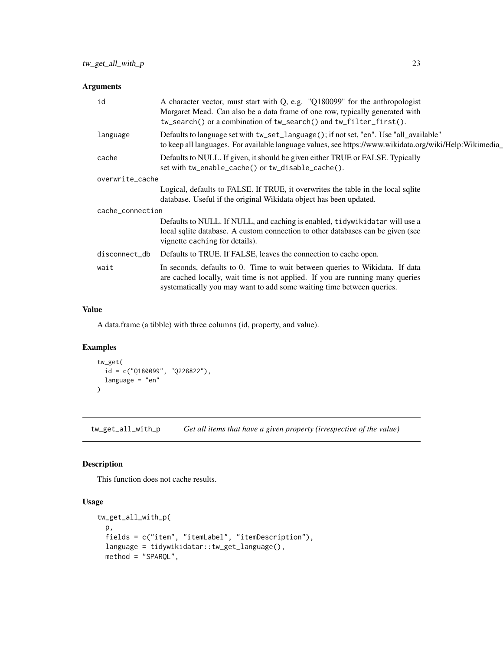<span id="page-22-0"></span>

| id               | A character vector, must start with Q, e.g. "Q180099" for the anthropologist<br>Margaret Mead. Can also be a data frame of one row, typically generated with<br>tw_search() or a combination of tw_search() and tw_filter_first().     |
|------------------|----------------------------------------------------------------------------------------------------------------------------------------------------------------------------------------------------------------------------------------|
| language         | Defaults to language set with tw_set_language(); if not set, "en". Use "all_available"<br>to keep all languages. For available language values, see https://www.wikidata.org/wiki/Help:Wikimedia                                       |
| cache            | Defaults to NULL. If given, it should be given either TRUE or FALSE. Typically<br>set with tw_enable_cache() or tw_disable_cache().                                                                                                    |
| overwrite_cache  |                                                                                                                                                                                                                                        |
|                  | Logical, defaults to FALSE. If TRUE, it overwrites the table in the local sqlite<br>database. Useful if the original Wikidata object has been updated.                                                                                 |
| cache_connection |                                                                                                                                                                                                                                        |
|                  | Defaults to NULL. If NULL, and caching is enabled, tidywikidatar will use a<br>local sqlite database. A custom connection to other databases can be given (see<br>vignette caching for details).                                       |
| disconnect_db    | Defaults to TRUE. If FALSE, leaves the connection to cache open.                                                                                                                                                                       |
| wait             | In seconds, defaults to 0. Time to wait between queries to Wikidata. If data<br>are cached locally, wait time is not applied. If you are running many queries<br>systematically you may want to add some waiting time between queries. |
|                  |                                                                                                                                                                                                                                        |

# Value

A data.frame (a tibble) with three columns (id, property, and value).

# Examples

```
tw_get(
  id = c("Q180099", "Q228822"),
  language = "en"
\mathcal{L}
```
tw\_get\_all\_with\_p *Get all items that have a given property (irrespective of the value)*

# Description

This function does not cache results.

```
tw_get_all_with_p(
 p,
 fields = c("item", "itemLabel", "itemDescription"),
 language = tidywikidatar::tw_get_language(),
 method = "SPARQL",
```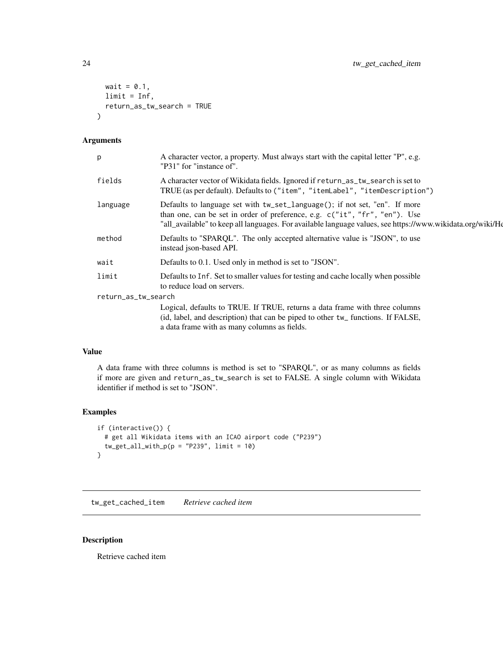```
wait = 0.1,
  limit = Inf,
  return_as_tw_search = TRUE
\mathcal{L}
```

| p                   | A character vector, a property. Must always start with the capital letter "P", e.g.<br>"P31" for "instance of".                                                                                                                                                        |
|---------------------|------------------------------------------------------------------------------------------------------------------------------------------------------------------------------------------------------------------------------------------------------------------------|
| fields              | A character vector of Wikidata fields. Ignored if return_as_tw_search is set to<br>TRUE (as per default). Defaults to ("item", "itemLabel", "itemDescription")                                                                                                         |
| language            | Defaults to language set with tw_set_language(); if not set, "en". If more<br>than one, can be set in order of preference, e.g. c("it", "fr", "en"). Use<br>"all_available" to keep all languages. For available language values, see https://www.wikidata.org/wiki/He |
| method              | Defaults to "SPARQL". The only accepted alternative value is "JSON", to use<br>instead json-based API.                                                                                                                                                                 |
| wait                | Defaults to 0.1. Used only in method is set to "JSON".                                                                                                                                                                                                                 |
| limit               | Defaults to Inf. Set to smaller values for testing and cache locally when possible<br>to reduce load on servers.                                                                                                                                                       |
| return_as_tw_search |                                                                                                                                                                                                                                                                        |
|                     | Logical, defaults to TRUE. If TRUE, returns a data frame with three columns<br>(id, label, and description) that can be piped to other tw_ functions. If FALSE,<br>a data frame with as many columns as fields.                                                        |
|                     |                                                                                                                                                                                                                                                                        |

#### Value

A data frame with three columns is method is set to "SPARQL", or as many columns as fields if more are given and return\_as\_tw\_search is set to FALSE. A single column with Wikidata identifier if method is set to "JSON".

#### Examples

```
if (interactive()) {
  # get all Wikidata items with an ICAO airport code ("P239")
  tw\_get\_all\_with\_p(p = "P239", limit = 10)}
```
tw\_get\_cached\_item *Retrieve cached item*

# Description

Retrieve cached item

<span id="page-23-0"></span>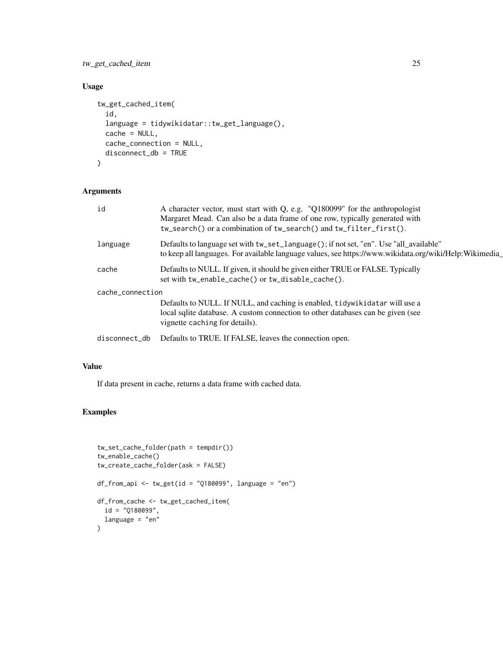tw\_get\_cached\_item 25

# Usage

```
tw_get_cached_item(
  id,
  language = tidywikidatar::tw_get_language(),
  cache = NULL,
  cache_connection = NULL,
  disconnect_db = TRUE
)
```
# Arguments

| id               | A character vector, must start with Q, e.g. "Q180099" for the anthropologist<br>Margaret Mead. Can also be a data frame of one row, typically generated with<br>tw_search() or a combination of tw_search() and tw_filter_first(). |
|------------------|------------------------------------------------------------------------------------------------------------------------------------------------------------------------------------------------------------------------------------|
| language         | Defaults to language set with tw_set_language(); if not set, "en". Use "all_available"<br>to keep all languages. For available language values, see https://www.wikidata.org/wiki/Help:Wikimedia                                   |
| cache            | Defaults to NULL. If given, it should be given either TRUE or FALSE. Typically<br>set with tw_enable_cache() or tw_disable_cache().                                                                                                |
| cache_connection | Defaults to NULL. If NULL, and caching is enabled, tidywikidatar will use a<br>local sqlite database. A custom connection to other databases can be given (see<br>vignette caching for details).                                   |
| disconnect_db    | Defaults to TRUE. If FALSE, leaves the connection open.                                                                                                                                                                            |

# Value

If data present in cache, returns a data frame with cached data.

# Examples

```
tw_set_cache_folder(path = tempdir())
tw_enable_cache()
tw_create_cache_folder(ask = FALSE)
df_from_api <- tw_get(id = "Q180099", language = "en")
df_from_cache <- tw_get_cached_item(
  id = "Q180099",
  language = "en"
)
```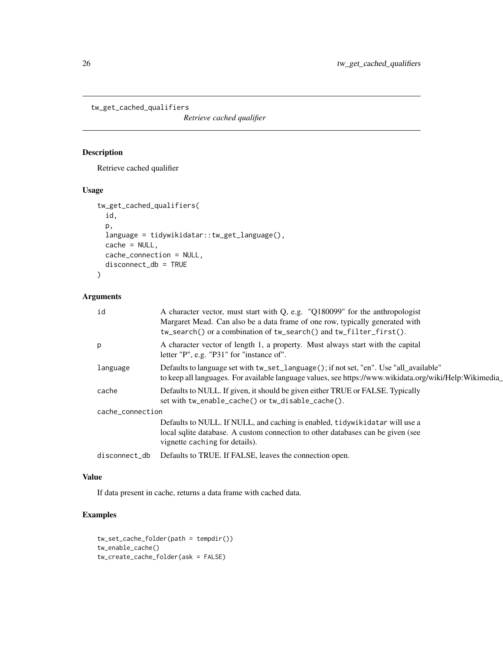<span id="page-25-0"></span>tw\_get\_cached\_qualifiers

*Retrieve cached qualifier*

# Description

Retrieve cached qualifier

# Usage

```
tw_get_cached_qualifiers(
  id,
  p,
  language = tidywikidatar::tw_get_language(),
  cache = NULL,
  cache_connection = NULL,
  disconnect_db = TRUE
)
```
# Arguments

| id               | A character vector, must start with Q, e.g. "Q180099" for the anthropologist<br>Margaret Mead. Can also be a data frame of one row, typically generated with<br>tw_search() or a combination of tw_search() and tw_filter_first(). |
|------------------|------------------------------------------------------------------------------------------------------------------------------------------------------------------------------------------------------------------------------------|
| p                | A character vector of length 1, a property. Must always start with the capital<br>letter "P", e.g. "P31" for "instance of".                                                                                                        |
| language         | Defaults to language set with tw_set_language(); if not set, "en". Use "all_available"<br>to keep all languages. For available language values, see https://www.wikidata.org/wiki/Help:Wikimedia_                                  |
| cache            | Defaults to NULL. If given, it should be given either TRUE or FALSE. Typically<br>set with tw_enable_cache() or tw_disable_cache().                                                                                                |
| cache_connection |                                                                                                                                                                                                                                    |
|                  | Defaults to NULL. If NULL, and caching is enabled, tidywikidatar will use a<br>local sqlite database. A custom connection to other databases can be given (see<br>vignette caching for details).                                   |
| disconnect_db    | Defaults to TRUE. If FALSE, leaves the connection open.                                                                                                                                                                            |
|                  |                                                                                                                                                                                                                                    |

# Value

If data present in cache, returns a data frame with cached data.

# Examples

```
tw_set_cache_folder(path = tempdir())
tw_enable_cache()
tw_create_cache_folder(ask = FALSE)
```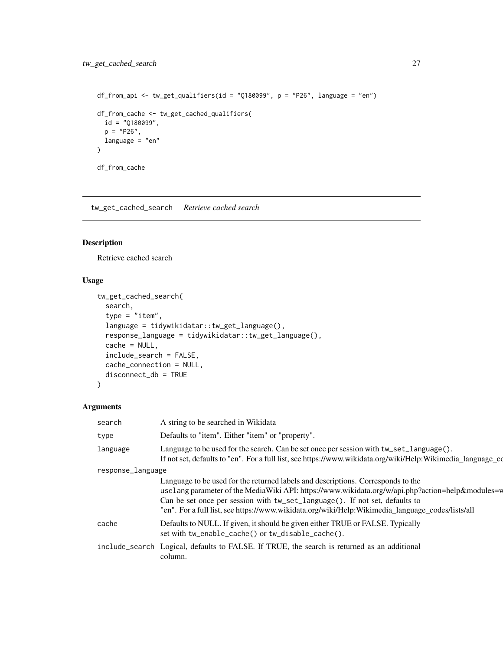```
df_from_api <- tw_get_qualifiers(id = "Q180099", p = "P26", language = "en")
df_from_cache <- tw_get_cached_qualifiers(
 id = "Q180099",p = "P26",language = "en"
)
df_from_cache
```
tw\_get\_cached\_search *Retrieve cached search*

#### Description

Retrieve cached search

# Usage

```
tw_get_cached_search(
  search,
  type = "item",
  language = tidywikidatar::tw_get_language(),
  response_language = tidywikidatar::tw_get_language(),
  cache = NULL,
  include_search = FALSE,
  cache_connection = NULL,
  disconnect_db = TRUE
\mathcal{L}
```

| search            | A string to be searched in Wikidata                                                                                                                                                                                                                                                                                                                                      |  |
|-------------------|--------------------------------------------------------------------------------------------------------------------------------------------------------------------------------------------------------------------------------------------------------------------------------------------------------------------------------------------------------------------------|--|
| type              | Defaults to "item". Either "item" or "property".                                                                                                                                                                                                                                                                                                                         |  |
| language          | Language to be used for the search. Can be set once per session with tw_set_language().<br>If not set, defaults to "en". For a full list, see https://www.wikidata.org/wiki/Help:Wikimedia_language_co                                                                                                                                                                   |  |
| response_language |                                                                                                                                                                                                                                                                                                                                                                          |  |
|                   | Language to be used for the returned labels and descriptions. Corresponds to the<br>usel ang parameter of the MediaWiki API: https://www.wikidata.org/w/api.php?action=help&modules=w<br>Can be set once per session with tw_set_language(). If not set, defaults to<br>"en". For a full list, see https://www.wikidata.org/wiki/Help:Wikimedia_language_codes/lists/all |  |
| cache             | Defaults to NULL. If given, it should be given either TRUE or FALSE. Typically<br>set with tw_enable_cache() or tw_disable_cache().                                                                                                                                                                                                                                      |  |
|                   | include_search Logical, defaults to FALSE. If TRUE, the search is returned as an additional<br>column.                                                                                                                                                                                                                                                                   |  |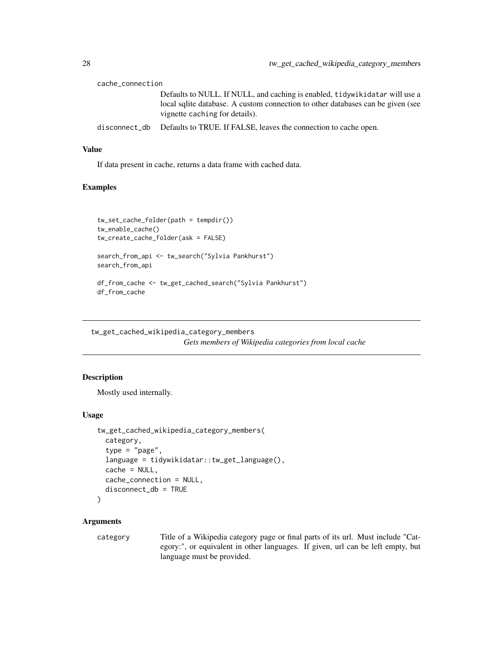<span id="page-27-0"></span>

| cache_connection |                                                                                                                   |
|------------------|-------------------------------------------------------------------------------------------------------------------|
|                  | Defaults to NULL. If NULL, and caching is enabled, tidywikidatar will use a                                       |
|                  | local sqlite database. A custom connection to other databases can be given (see<br>vignette caching for details). |
|                  | disconnect_db Defaults to TRUE. If FALSE, leaves the connection to cache open.                                    |

#### Value

If data present in cache, returns a data frame with cached data.

# Examples

```
tw_set_cache_folder(path = tempdir())
tw_enable_cache()
tw_create_cache_folder(ask = FALSE)
search_from_api <- tw_search("Sylvia Pankhurst")
search_from_api
df_from_cache <- tw_get_cached_search("Sylvia Pankhurst")
df_from_cache
```
tw\_get\_cached\_wikipedia\_category\_members

*Gets members of Wikipedia categories from local cache*

#### Description

Mostly used internally.

#### Usage

```
tw_get_cached_wikipedia_category_members(
  category,
  type = "page",
  language = tidywikidatar::tw_get_language(),
  cache = NULL,
  cache_connection = NULL,
  disconnect_db = TRUE
\lambda
```
# Arguments

category Title of a Wikipedia category page or final parts of its url. Must include "Category:", or equivalent in other languages. If given, url can be left empty, but language must be provided.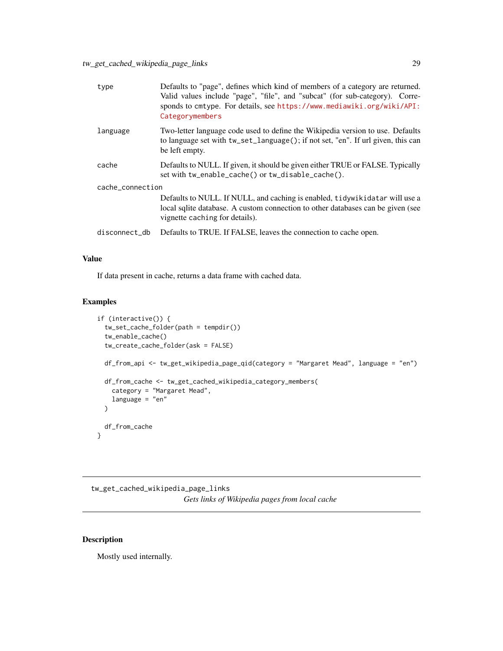<span id="page-28-0"></span>

| type             | Defaults to "page", defines which kind of members of a category are returned.<br>Valid values include "page", "file", and "subcat" (for sub-category). Corre-<br>sponds to cmtype. For details, see https://www.mediawiki.org/wiki/API:<br>Categorymembers |  |
|------------------|------------------------------------------------------------------------------------------------------------------------------------------------------------------------------------------------------------------------------------------------------------|--|
| language         | Two-letter language code used to define the Wikipedia version to use. Defaults<br>to language set with tw_set_language(); if not set, "en". If url given, this can<br>be left empty.                                                                       |  |
| cache            | Defaults to NULL. If given, it should be given either TRUE or FALSE. Typically<br>set with tw_enable_cache() or tw_disable_cache().                                                                                                                        |  |
| cache_connection |                                                                                                                                                                                                                                                            |  |
|                  | Defaults to NULL. If NULL, and caching is enabled, tidywikidatar will use a<br>local sqlite database. A custom connection to other databases can be given (see<br>vignette caching for details).                                                           |  |
| disconnect_db    | Defaults to TRUE. If FALSE, leaves the connection to cache open.                                                                                                                                                                                           |  |
|                  |                                                                                                                                                                                                                                                            |  |

#### Value

If data present in cache, returns a data frame with cached data.

# Examples

```
if (interactive()) {
  tw_set_cache_folder(path = tempdir())
  tw_enable_cache()
  tw_create_cache_folder(ask = FALSE)
  df_from_api <- tw_get_wikipedia_page_qid(category = "Margaret Mead", language = "en")
  df_from_cache <- tw_get_cached_wikipedia_category_members(
   category = "Margaret Mead",
   language = "en"
  \lambdadf_from_cache
}
```
tw\_get\_cached\_wikipedia\_page\_links *Gets links of Wikipedia pages from local cache*

# Description

Mostly used internally.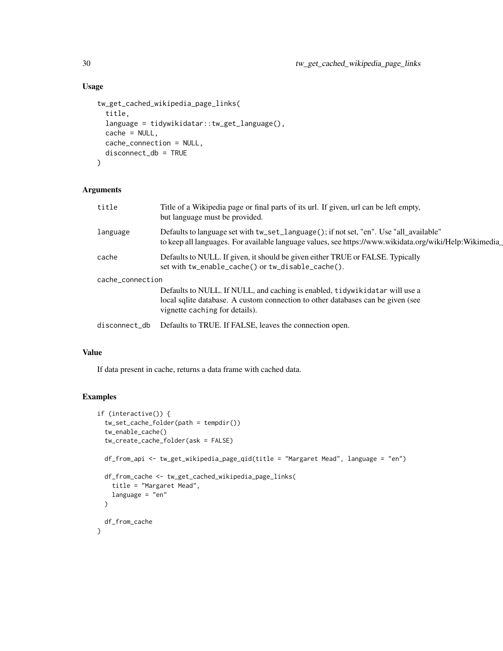# Usage

```
tw_get_cached_wikipedia_page_links(
  title,
  language = tidywikidatar::tw_get_language(),
 cache = NULL,
  cache_connection = NULL,
 disconnect_db = TRUE
)
```
# Arguments

| title            | Title of a Wikipedia page or final parts of its url. If given, url can be left empty,<br>but language must be provided.                                                                           |
|------------------|---------------------------------------------------------------------------------------------------------------------------------------------------------------------------------------------------|
| language         | Defaults to language set with tw_set_language(); if not set, "en". Use "all_available"<br>to keep all languages. For available language values, see https://www.wikidata.org/wiki/Help:Wikimedia_ |
| cache            | Defaults to NULL. If given, it should be given either TRUE or FALSE. Typically<br>set with tw_enable_cache() or tw_disable_cache().                                                               |
| cache_connection |                                                                                                                                                                                                   |
|                  | Defaults to NULL. If NULL, and caching is enabled, tidywikidatar will use a<br>local sqlite database. A custom connection to other databases can be given (see<br>vignette caching for details).  |
| disconnect_db    | Defaults to TRUE. If FALSE, leaves the connection open.                                                                                                                                           |
|                  |                                                                                                                                                                                                   |

# Value

If data present in cache, returns a data frame with cached data.

#### Examples

```
if (interactive()) {
  tw_set_cache_folder(path = tempdir())
  tw_enable_cache()
  tw_create_cache_folder(ask = FALSE)
  df_from_api <- tw_get_wikipedia_page_qid(title = "Margaret Mead", language = "en")
  df_from_cache <- tw_get_cached_wikipedia_page_links(
   title = "Margaret Mead",
   language = "en"
  \lambdadf_from_cache
}
```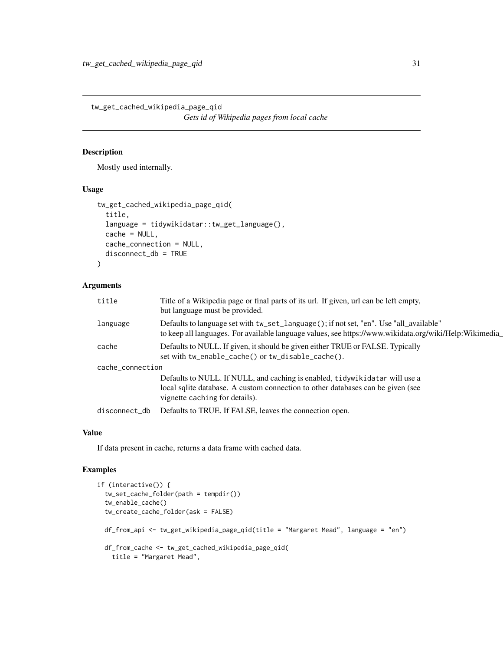<span id="page-30-0"></span>tw\_get\_cached\_wikipedia\_page\_qid *Gets id of Wikipedia pages from local cache*

#### Description

Mostly used internally.

# Usage

```
tw_get_cached_wikipedia_page_qid(
  title,
  language = tidywikidatar::tw_get_language(),
  cache = NULL,cache_connection = NULL,
  disconnect_db = TRUE
)
```
# Arguments

| title            | Title of a Wikipedia page or final parts of its url. If given, url can be left empty,<br>but language must be provided.                                                                          |
|------------------|--------------------------------------------------------------------------------------------------------------------------------------------------------------------------------------------------|
| language         | Defaults to language set with tw_set_language(); if not set, "en". Use "all_available"<br>to keep all languages. For available language values, see https://www.wikidata.org/wiki/Help:Wikimedia |
| cache            | Defaults to NULL. If given, it should be given either TRUE or FALSE. Typically<br>set with tw_enable_cache() or tw_disable_cache().                                                              |
| cache_connection |                                                                                                                                                                                                  |
|                  | Defaults to NULL. If NULL, and caching is enabled, tidywikidatar will use a                                                                                                                      |
|                  | local sqlite database. A custom connection to other databases can be given (see<br>vignette caching for details).                                                                                |
| disconnect_db    | Defaults to TRUE. If FALSE, leaves the connection open.                                                                                                                                          |
|                  |                                                                                                                                                                                                  |

# Value

If data present in cache, returns a data frame with cached data.

# Examples

```
if (interactive()) {
 tw_set_cache_folder(path = tempdir())
 tw_enable_cache()
 tw_create_cache_folder(ask = FALSE)
 df_from_api <- tw_get_wikipedia_page_qid(title = "Margaret Mead", language = "en")
 df_from_cache <- tw_get_cached_wikipedia_page_qid(
   title = "Margaret Mead",
```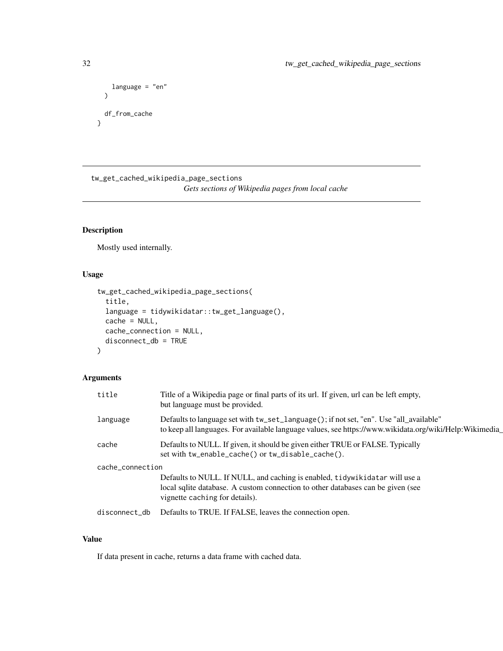```
language = "en"
  \lambdadf_from_cache
}
```
tw\_get\_cached\_wikipedia\_page\_sections *Gets sections of Wikipedia pages from local cache*

# Description

Mostly used internally.

# Usage

```
tw_get_cached_wikipedia_page_sections(
  title,
  language = tidywikidatar::tw_get_language(),
  cache = NULL,
  cache_connection = NULL,
  disconnect_db = TRUE
\mathcal{E}
```
# Arguments

| title            | Title of a Wikipedia page or final parts of its url. If given, url can be left empty,<br>but language must be provided.                                                                          |  |
|------------------|--------------------------------------------------------------------------------------------------------------------------------------------------------------------------------------------------|--|
| language         | Defaults to language set with tw_set_language(); if not set, "en". Use "all_available"<br>to keep all languages. For available language values, see https://www.wikidata.org/wiki/Help:Wikimedia |  |
| cache            | Defaults to NULL. If given, it should be given either TRUE or FALSE. Typically<br>set with tw_enable_cache() or tw_disable_cache().                                                              |  |
| cache_connection |                                                                                                                                                                                                  |  |
|                  | Defaults to NULL. If NULL, and caching is enabled, tidywikidatar will use a<br>local sqlite database. A custom connection to other databases can be given (see<br>vignette caching for details). |  |
| disconnect db    | Defaults to TRUE. If FALSE, leaves the connection open.                                                                                                                                          |  |

# Value

If data present in cache, returns a data frame with cached data.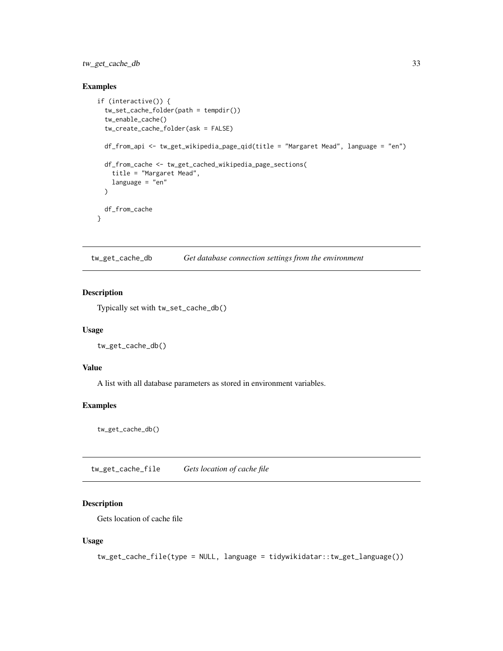# <span id="page-32-0"></span>tw\_get\_cache\_db 33

# Examples

```
if (interactive()) {
 tw_set_cache_folder(path = tempdir())
 tw_enable_cache()
 tw_create_cache_folder(ask = FALSE)
 df_from_api <- tw_get_wikipedia_page_qid(title = "Margaret Mead", language = "en")
 df_from_cache <- tw_get_cached_wikipedia_page_sections(
   title = "Margaret Mead",
   language = "en"
 )
 df_from_cache
}
```
tw\_get\_cache\_db *Get database connection settings from the environment*

#### Description

Typically set with tw\_set\_cache\_db()

#### Usage

tw\_get\_cache\_db()

# Value

A list with all database parameters as stored in environment variables.

#### Examples

tw\_get\_cache\_db()

tw\_get\_cache\_file *Gets location of cache file*

# Description

Gets location of cache file

#### Usage

tw\_get\_cache\_file(type = NULL, language = tidywikidatar::tw\_get\_language())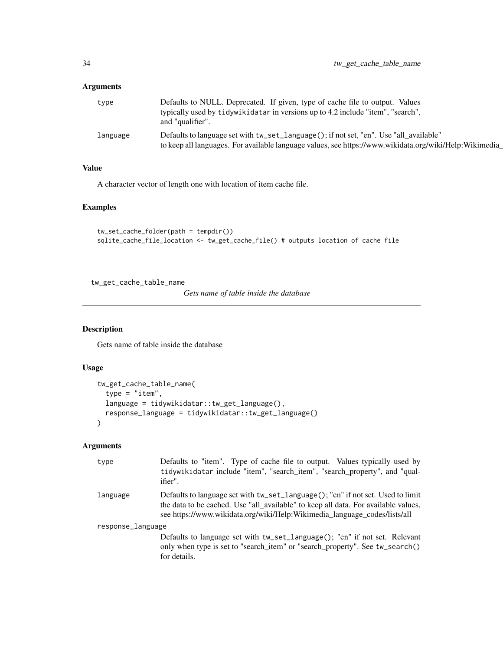<span id="page-33-0"></span>

| type     | Defaults to NULL. Deprecated. If given, type of cache file to output. Values<br>typically used by tidywikidatar in versions up to 4.2 include "item", "search",<br>and "qualifier".              |
|----------|--------------------------------------------------------------------------------------------------------------------------------------------------------------------------------------------------|
| language | Defaults to language set with tw_set_language(); if not set, "en". Use "all_available"<br>to keep all languages. For available language values, see https://www.wikidata.org/wiki/Help:Wikimedia |

# Value

A character vector of length one with location of item cache file.

# Examples

```
tw_set_cache_folder(path = tempdir())
sqlite_cache_file_location <- tw_get_cache_file() # outputs location of cache file
```
tw\_get\_cache\_table\_name

*Gets name of table inside the database*

# Description

Gets name of table inside the database

# Usage

```
tw_get_cache_table_name(
  type = "item",
  language = tidywikidatar::tw_get_language(),
  response_language = tidywikidatar::tw_get_language()
\lambda
```

| type              | Defaults to "item". Type of cache file to output. Values typically used by<br>tidywikidatar include "item", "search_item", "search_property", and "qual-<br>ifier".                                                                                |
|-------------------|----------------------------------------------------------------------------------------------------------------------------------------------------------------------------------------------------------------------------------------------------|
| language          | Defaults to language set with tw_set_language(); "en" if not set. Used to limit<br>the data to be cached. Use "all_available" to keep all data. For available values,<br>see https://www.wikidata.org/wiki/Help:Wikimedia_language_codes/lists/all |
| response_language | Defaults to language set with tw_set_language(); "en" if not set. Relevant<br>only when type is set to "search_item" or "search_property". See tw_search()<br>for details.                                                                         |
|                   |                                                                                                                                                                                                                                                    |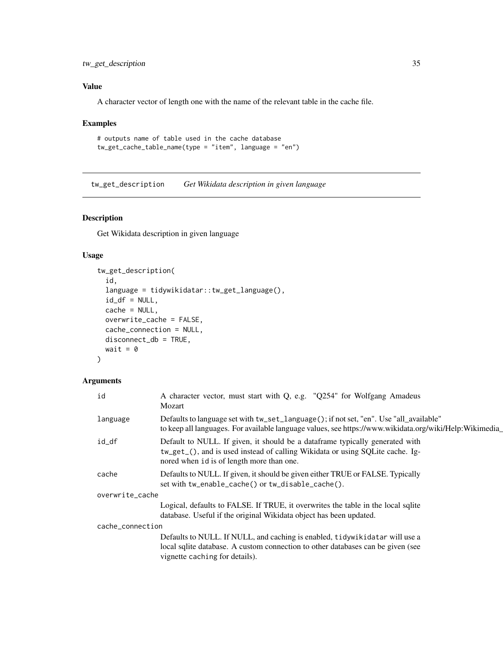# <span id="page-34-0"></span>tw\_get\_description 35

# Value

A character vector of length one with the name of the relevant table in the cache file.

#### Examples

```
# outputs name of table used in the cache database
tw_get_cache_table_name(type = "item", language = "en")
```
tw\_get\_description *Get Wikidata description in given language*

# Description

Get Wikidata description in given language

# Usage

```
tw_get_description(
  id,
  language = tidywikidatar::tw_get_language(),
  id_d f = NULL,cache = NULL,overwrite_cache = FALSE,
  cache_connection = NULL,
 disconnect_db = TRUE,
 wait = \theta\mathcal{L}
```

| id               | A character vector, must start with Q, e.g. "Q254" for Wolfgang Amadeus<br>Mozart                                                                                                                          |
|------------------|------------------------------------------------------------------------------------------------------------------------------------------------------------------------------------------------------------|
| language         | Defaults to language set with tw_set_language(); if not set, "en". Use "all_available"<br>to keep all languages. For available language values, see https://www.wikidata.org/wiki/Help:Wikimedia_          |
| id_df            | Default to NULL. If given, it should be a dataframe typically generated with<br>tw_get_(), and is used instead of calling Wikidata or using SQLite cache. Ig-<br>nored when id is of length more than one. |
| cache            | Defaults to NULL. If given, it should be given either TRUE or FALSE. Typically<br>set with tw_enable_cache() or tw_disable_cache().                                                                        |
| overwrite_cache  |                                                                                                                                                                                                            |
|                  | Logical, defaults to FALSE. If TRUE, it overwrites the table in the local sqlite<br>database. Useful if the original Wikidata object has been updated.                                                     |
| cache_connection |                                                                                                                                                                                                            |
|                  | Defaults to NULL. If NULL, and caching is enabled, tidywikidatar will use a<br>local sqlite database. A custom connection to other databases can be given (see<br>vignette caching for details).           |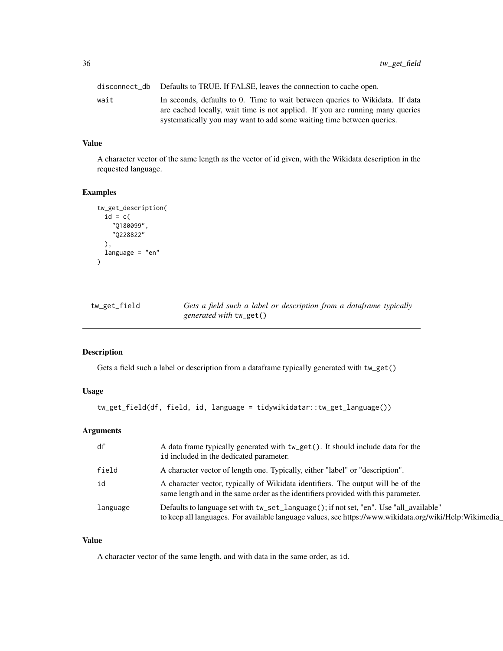<span id="page-35-0"></span>disconnect\_db Defaults to TRUE. If FALSE, leaves the connection to cache open. wait In seconds, defaults to 0. Time to wait between queries to Wikidata. If data are cached locally, wait time is not applied. If you are running many queries systematically you may want to add some waiting time between queries.

#### Value

A character vector of the same length as the vector of id given, with the Wikidata description in the requested language.

#### Examples

```
tw_get_description(
 id = c("Q180099",
    "Q228822"
 ),
 language = "en"
)
```

| tw_get_field | Gets a field such a label or description from a dataframe typically |
|--------------|---------------------------------------------------------------------|
|              | <i>generated with</i> tw_get()                                      |

# Description

Gets a field such a label or description from a dataframe typically generated with tw\_get()

#### Usage

tw\_get\_field(df, field, id, language = tidywikidatar::tw\_get\_language())

#### Arguments

| df       | A data frame typically generated with tw_get(). It should include data for the<br>id included in the dedicated parameter.                                                                         |
|----------|---------------------------------------------------------------------------------------------------------------------------------------------------------------------------------------------------|
| field    | A character vector of length one. Typically, either "label" or "description".                                                                                                                     |
| id       | A character vector, typically of Wikidata identifiers. The output will be of the<br>same length and in the same order as the identifiers provided with this parameter.                            |
| language | Defaults to language set with tw_set_language(); if not set, "en". Use "all_available"<br>to keep all languages. For available language values, see https://www.wikidata.org/wiki/Help:Wikimedia_ |

#### Value

A character vector of the same length, and with data in the same order, as id.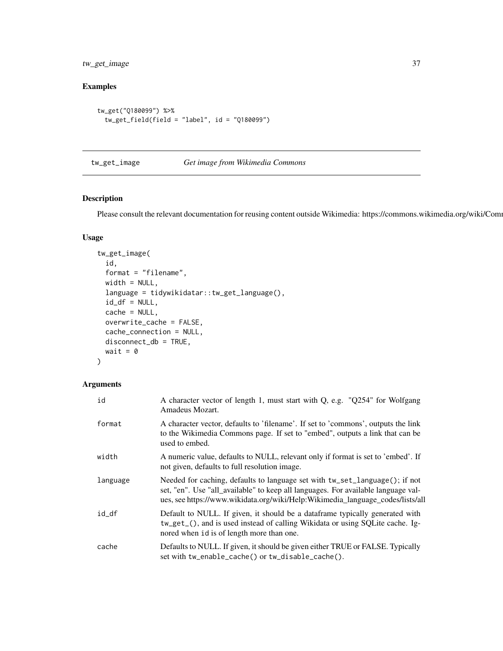tw\_get\_image 37

## Examples

```
tw_get("Q180099") %>%
  tw_get_field(field = "label", id = "Q180099")
```
# tw\_get\_image *Get image from Wikimedia Commons*

## Description

Please consult the relevant documentation for reusing content outside Wikimedia: https://commons.wikimedia.org/wiki/Com

#### Usage

```
tw_get_image(
  id,
  format = "filename",
 width = NULL,
  language = tidywikidatar::tw_get_language(),
  id_d f = NULL,cache = NULL,
 overwrite_cache = FALSE,
 cache_connection = NULL,
 disconnect_db = TRUE,
 wait = \theta)
```

| id       | A character vector of length 1, must start with Q, e.g. "Q254" for Wolfgang<br>Amadeus Mozart.                                                                                                                                                     |  |
|----------|----------------------------------------------------------------------------------------------------------------------------------------------------------------------------------------------------------------------------------------------------|--|
| format   | A character vector, defaults to 'filename'. If set to 'commons', outputs the link<br>to the Wikimedia Commons page. If set to "embed", outputs a link that can be<br>used to embed.                                                                |  |
| width    | A numeric value, defaults to NULL, relevant only if format is set to 'embed'. If<br>not given, defaults to full resolution image.                                                                                                                  |  |
| language | Needed for caching, defaults to language set with tw_set_language(); if not<br>set, "en". Use "all_available" to keep all languages. For available language val-<br>ues, see https://www.wikidata.org/wiki/Help:Wikimedia_language_codes/lists/all |  |
| id_df    | Default to NULL. If given, it should be a dataframe typically generated with<br>tw_get_(), and is used instead of calling Wikidata or using SQLite cache. Ig-<br>nored when id is of length more than one.                                         |  |
| cache    | Defaults to NULL. If given, it should be given either TRUE or FALSE. Typically<br>set with tw_enable_cache() or tw_disable_cache().                                                                                                                |  |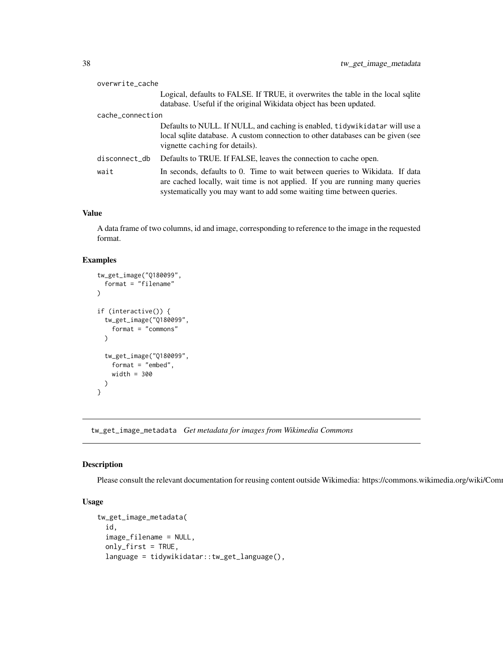| overwrite_cache                                                                  |                                                                                                                                                                                                                                        |
|----------------------------------------------------------------------------------|----------------------------------------------------------------------------------------------------------------------------------------------------------------------------------------------------------------------------------------|
| Logical, defaults to FALSE. If TRUE, it overwrites the table in the local sqlite |                                                                                                                                                                                                                                        |
| database. Useful if the original Wikidata object has been updated.               |                                                                                                                                                                                                                                        |
| cache_connection                                                                 |                                                                                                                                                                                                                                        |
|                                                                                  | Defaults to NULL. If NULL, and caching is enabled, tidywikidatar will use a<br>local sqlite database. A custom connection to other databases can be given (see<br>vignette caching for details).                                       |
| disconnect_db                                                                    | Defaults to TRUE. If FALSE, leaves the connection to cache open.                                                                                                                                                                       |
| wait                                                                             | In seconds, defaults to 0. Time to wait between queries to Wikidata. If data<br>are cached locally, wait time is not applied. If you are running many queries<br>systematically you may want to add some waiting time between queries. |

A data frame of two columns, id and image, corresponding to reference to the image in the requested format.

#### Examples

```
tw_get_image("Q180099",
 format = "filename"
)
if (interactive()) {
 tw_get_image("Q180099",
    format = "commons"
 \lambdatw_get_image("Q180099",
   format = "embed",
   width = 300
 )
}
```
tw\_get\_image\_metadata *Get metadata for images from Wikimedia Commons*

#### Description

Please consult the relevant documentation for reusing content outside Wikimedia: https://commons.wikimedia.org/wiki/Com

```
tw_get_image_metadata(
  id,
  image_filename = NULL,
  only_first = TRUE,
  language = tidywikidatar::tw_get_language(),
```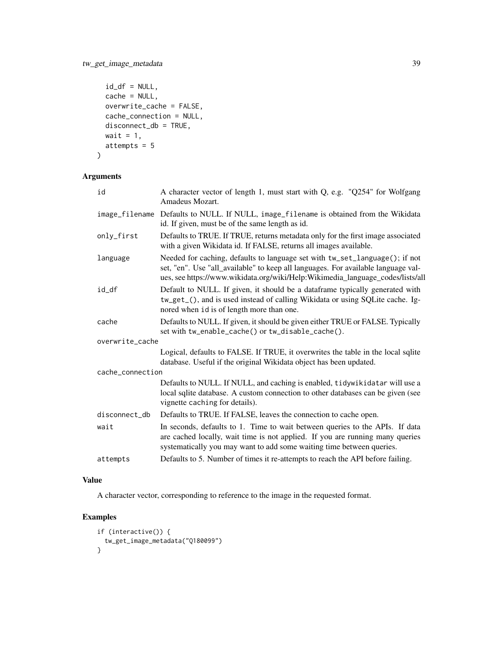```
id_d f = NULL,cache = NULL,
 overwrite_cache = FALSE,
 cache_connection = NULL,
 disconnect_db = TRUE,
 wait = 1,attempts = 5
\mathcal{L}
```

| id               | A character vector of length 1, must start with Q, e.g. "Q254" for Wolfgang<br>Amadeus Mozart.                                                                                                                                                     |  |
|------------------|----------------------------------------------------------------------------------------------------------------------------------------------------------------------------------------------------------------------------------------------------|--|
| image_filename   | Defaults to NULL. If NULL, image_filename is obtained from the Wikidata<br>id. If given, must be of the same length as id.                                                                                                                         |  |
| only_first       | Defaults to TRUE. If TRUE, returns metadata only for the first image associated<br>with a given Wikidata id. If FALSE, returns all images available.                                                                                               |  |
| language         | Needed for caching, defaults to language set with tw_set_language(); if not<br>set, "en". Use "all_available" to keep all languages. For available language val-<br>ues, see https://www.wikidata.org/wiki/Help:Wikimedia_language_codes/lists/all |  |
| id_df            | Default to NULL. If given, it should be a dataframe typically generated with<br>tw_get_(), and is used instead of calling Wikidata or using SQLite cache. Ig-<br>nored when id is of length more than one.                                         |  |
| cache            | Defaults to NULL. If given, it should be given either TRUE or FALSE. Typically<br>set with tw_enable_cache() or tw_disable_cache().                                                                                                                |  |
| overwrite_cache  |                                                                                                                                                                                                                                                    |  |
|                  | Logical, defaults to FALSE. If TRUE, it overwrites the table in the local sqlite<br>database. Useful if the original Wikidata object has been updated.                                                                                             |  |
| cache_connection |                                                                                                                                                                                                                                                    |  |
|                  | Defaults to NULL. If NULL, and caching is enabled, tidywikidatar will use a<br>local sqlite database. A custom connection to other databases can be given (see<br>vignette caching for details).                                                   |  |
| disconnect_db    | Defaults to TRUE. If FALSE, leaves the connection to cache open.                                                                                                                                                                                   |  |
| wait             | In seconds, defaults to 1. Time to wait between queries to the APIs. If data<br>are cached locally, wait time is not applied. If you are running many queries<br>systematically you may want to add some waiting time between queries.             |  |
| attempts         | Defaults to 5. Number of times it re-attempts to reach the API before failing.                                                                                                                                                                     |  |

# Value

A character vector, corresponding to reference to the image in the requested format.

```
if (interactive()) {
 tw_get_image_metadata("Q180099")
}
```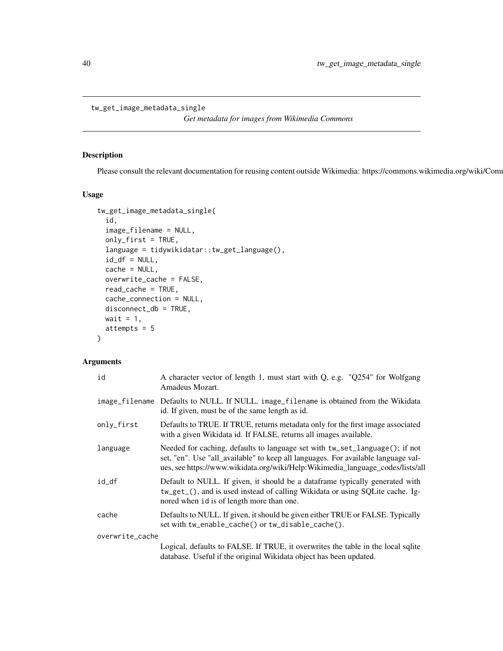```
tw_get_image_metadata_single
```
*Get metadata for images from Wikimedia Commons*

#### Description

Please consult the relevant documentation for reusing content outside Wikimedia: https://commons.wikimedia.org/wiki/Com

#### Usage

```
tw_get_image_metadata_single(
  id,
  image_filename = NULL,
 only_first = TRUE,
 language = tidywikidatar::tw_get_language(),
  id_d f = NULL,cache = NULL,
 overwrite_cache = FALSE,
 read_cache = TRUE,
  cache_connection = NULL,
 disconnect_db = TRUE,
 wait = 1,
 attempts = 5
)
```

| id              | A character vector of length 1, must start with Q, e.g. "Q254" for Wolfgang<br>Amadeus Mozart.                                                                                                                                                     |  |
|-----------------|----------------------------------------------------------------------------------------------------------------------------------------------------------------------------------------------------------------------------------------------------|--|
|                 | image_filename Defaults to NULL. If NULL, image_filename is obtained from the Wikidata<br>id. If given, must be of the same length as id.                                                                                                          |  |
| only_first      | Defaults to TRUE. If TRUE, returns metadata only for the first image associated<br>with a given Wikidata id. If FALSE, returns all images available.                                                                                               |  |
| language        | Needed for caching, defaults to language set with tw_set_language(); if not<br>set, "en". Use "all_available" to keep all languages. For available language val-<br>ues, see https://www.wikidata.org/wiki/Help:Wikimedia_language_codes/lists/all |  |
| id_df           | Default to NULL. If given, it should be a dataframe typically generated with<br>tw_get_(), and is used instead of calling Wikidata or using SQLite cache. Ig-<br>nored when id is of length more than one.                                         |  |
| cache           | Defaults to NULL. If given, it should be given either TRUE or FALSE. Typically<br>set with tw_enable_cache() or tw_disable_cache().                                                                                                                |  |
| overwrite_cache |                                                                                                                                                                                                                                                    |  |
|                 | Logical, defaults to FALSE. If TRUE, it overwrites the table in the local sqlite<br>database. Useful if the original Wikidata object has been updated.                                                                                             |  |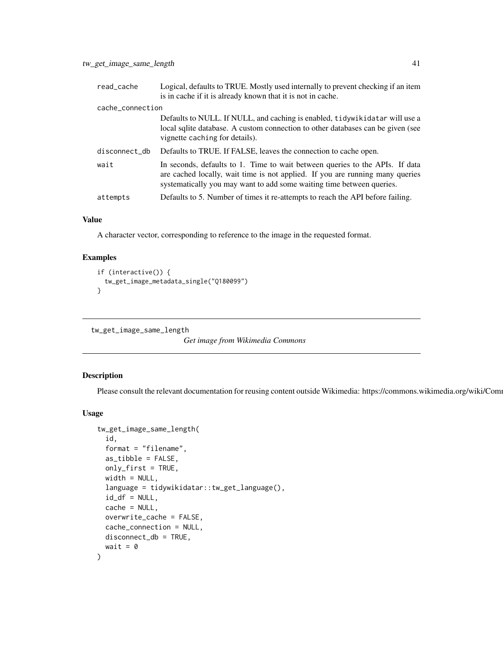| read_cache       | Logical, defaults to TRUE. Mostly used internally to prevent checking if an item<br>is in cache if it is already known that it is not in cache.                                                                                        |
|------------------|----------------------------------------------------------------------------------------------------------------------------------------------------------------------------------------------------------------------------------------|
| cache_connection |                                                                                                                                                                                                                                        |
|                  | Defaults to NULL. If NULL, and caching is enabled, tidywikidatar will use a<br>local sqlite database. A custom connection to other databases can be given (see<br>vignette caching for details).                                       |
| disconnect_db    | Defaults to TRUE. If FALSE, leaves the connection to cache open.                                                                                                                                                                       |
| wait             | In seconds, defaults to 1. Time to wait between queries to the APIs. If data<br>are cached locally, wait time is not applied. If you are running many queries<br>systematically you may want to add some waiting time between queries. |
| attempts         | Defaults to 5. Number of times it re-attempts to reach the API before failing.                                                                                                                                                         |
|                  |                                                                                                                                                                                                                                        |

A character vector, corresponding to reference to the image in the requested format.

## Examples

```
if (interactive()) {
 tw_get_image_metadata_single("Q180099")
}
```
tw\_get\_image\_same\_length

```
Get image from Wikimedia Commons
```
## Description

Please consult the relevant documentation for reusing content outside Wikimedia: https://commons.wikimedia.org/wiki/Com

```
tw_get_image_same_length(
  id,
  format = "filename",
 as_tibble = FALSE,
 only_first = TRUE,
 width = NULL,
  language = tidywikidatar::tw_get_language(),
  id_d f = NULL,cache = NULL,overwrite_cache = FALSE,
 cache_connection = NULL,
 disconnect_db = TRUE,
 wait = \theta)
```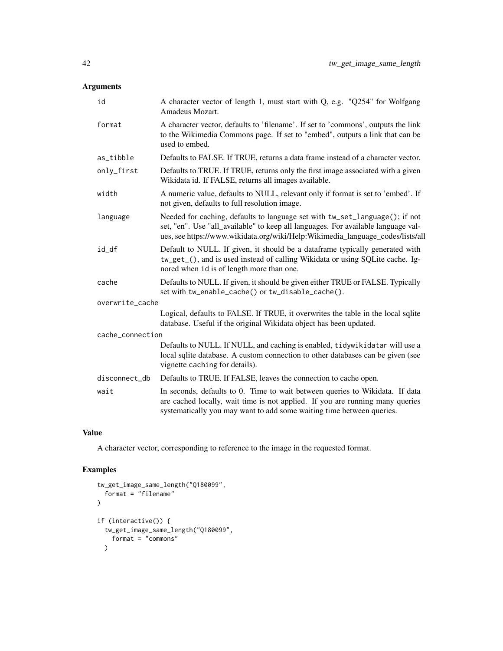| id               | A character vector of length 1, must start with Q, e.g. "Q254" for Wolfgang<br>Amadeus Mozart.                                                                                                                                                     |  |
|------------------|----------------------------------------------------------------------------------------------------------------------------------------------------------------------------------------------------------------------------------------------------|--|
| format           | A character vector, defaults to 'filename'. If set to 'commons', outputs the link<br>to the Wikimedia Commons page. If set to "embed", outputs a link that can be<br>used to embed.                                                                |  |
| as_tibble        | Defaults to FALSE. If TRUE, returns a data frame instead of a character vector.                                                                                                                                                                    |  |
| only_first       | Defaults to TRUE. If TRUE, returns only the first image associated with a given<br>Wikidata id. If FALSE, returns all images available.                                                                                                            |  |
| width            | A numeric value, defaults to NULL, relevant only if format is set to 'embed'. If<br>not given, defaults to full resolution image.                                                                                                                  |  |
| language         | Needed for caching, defaults to language set with tw_set_language(); if not<br>set, "en". Use "all_available" to keep all languages. For available language val-<br>ues, see https://www.wikidata.org/wiki/Help:Wikimedia_language_codes/lists/all |  |
| id_df            | Default to NULL. If given, it should be a dataframe typically generated with<br>tw_get_(), and is used instead of calling Wikidata or using SQLite cache. Ig-<br>nored when id is of length more than one.                                         |  |
| cache            | Defaults to NULL. If given, it should be given either TRUE or FALSE. Typically<br>set with tw_enable_cache() or tw_disable_cache().                                                                                                                |  |
| overwrite_cache  |                                                                                                                                                                                                                                                    |  |
|                  | Logical, defaults to FALSE. If TRUE, it overwrites the table in the local sqlite<br>database. Useful if the original Wikidata object has been updated.                                                                                             |  |
| cache_connection |                                                                                                                                                                                                                                                    |  |
|                  | Defaults to NULL. If NULL, and caching is enabled, tidywikidatar will use a<br>local sqlite database. A custom connection to other databases can be given (see<br>vignette caching for details).                                                   |  |
| disconnect_db    | Defaults to TRUE. If FALSE, leaves the connection to cache open.                                                                                                                                                                                   |  |
| wait             | In seconds, defaults to 0. Time to wait between queries to Wikidata. If data<br>are cached locally, wait time is not applied. If you are running many queries<br>systematically you may want to add some waiting time between queries.             |  |
|                  |                                                                                                                                                                                                                                                    |  |

#### Value

A character vector, corresponding to reference to the image in the requested format.

```
tw_get_image_same_length("Q180099",
  format = "filename"
\overline{)}if (interactive()) {
  tw_get_image_same_length("Q180099",
    format = "commons"
  \mathcal{L}
```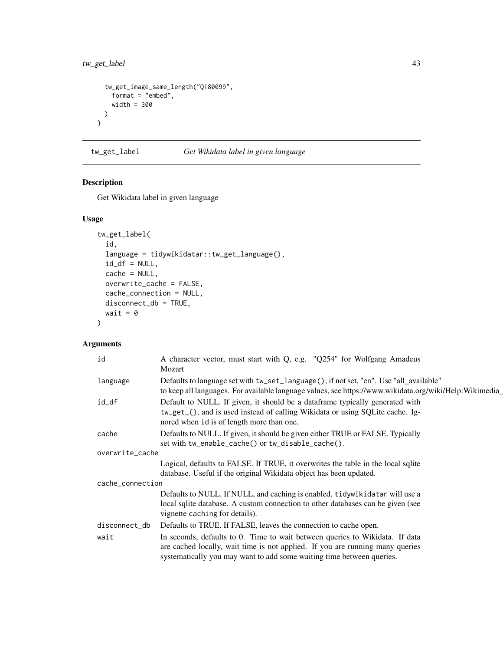```
tw_get_image_same_length("Q180099",
   format = "embed",
   width = 300
 )
}
```
tw\_get\_label *Get Wikidata label in given language*

## Description

Get Wikidata label in given language

#### Usage

```
tw_get_label(
  id,
  language = tidywikidatar::tw_get_language(),
  id_d f = NULL,cache = NULL,
  overwrite_cache = FALSE,
  cache_connection = NULL,
  disconnect_db = TRUE,
  wait = \theta\mathcal{L}
```

| id               | A character vector, must start with Q, e.g. "Q254" for Wolfgang Amadeus<br>Mozart                                                                                                                                                      |
|------------------|----------------------------------------------------------------------------------------------------------------------------------------------------------------------------------------------------------------------------------------|
| language         | Defaults to language set with tw_set_language(); if not set, "en". Use "all_available"<br>to keep all languages. For available language values, see https://www.wikidata.org/wiki/Help:Wikimedia_                                      |
| id_df            | Default to NULL. If given, it should be a dataframe typically generated with<br>tw_get_(), and is used instead of calling Wikidata or using SQLite cache. Ig-<br>nored when id is of length more than one.                             |
| cache            | Defaults to NULL. If given, it should be given either TRUE or FALSE. Typically<br>set with tw_enable_cache() or tw_disable_cache().                                                                                                    |
| overwrite_cache  |                                                                                                                                                                                                                                        |
|                  | Logical, defaults to FALSE. If TRUE, it overwrites the table in the local sqlite<br>database. Useful if the original Wikidata object has been updated.                                                                                 |
| cache_connection |                                                                                                                                                                                                                                        |
|                  | Defaults to NULL. If NULL, and caching is enabled, tidywikidatar will use a<br>local sqlite database. A custom connection to other databases can be given (see<br>vignette caching for details).                                       |
| disconnect_db    | Defaults to TRUE. If FALSE, leaves the connection to cache open.                                                                                                                                                                       |
| wait             | In seconds, defaults to 0. Time to wait between queries to Wikidata. If data<br>are cached locally, wait time is not applied. If you are running many queries<br>systematically you may want to add some waiting time between queries. |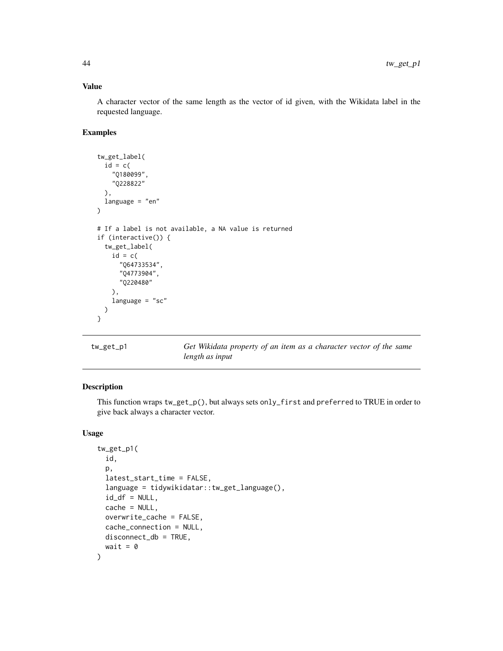A character vector of the same length as the vector of id given, with the Wikidata label in the requested language.

#### Examples

```
tw_get_label(
 id = c("Q180099",
    "Q228822"
 ),
 language = "en"
)
# If a label is not available, a NA value is returned
if (interactive()) {
 tw_get_label(
    id = c("Q64733534",
      "Q4773904",
      "Q220480"
   ),
   language = "sc")
}
```
tw\_get\_p1 *Get Wikidata property of an item as a character vector of the same length as input*

# Description

This function wraps tw\_get\_p(), but always sets only\_first and preferred to TRUE in order to give back always a character vector.

```
tw_get_p1(
  id,
 p,
  latest_start_time = FALSE,
  language = tidywikidatar::tw_get_language(),
  id_d f = NULL,cache = NULL,overwrite_cache = FALSE,
  cache_connection = NULL,
 disconnect_db = TRUE,
  wait = \theta)
```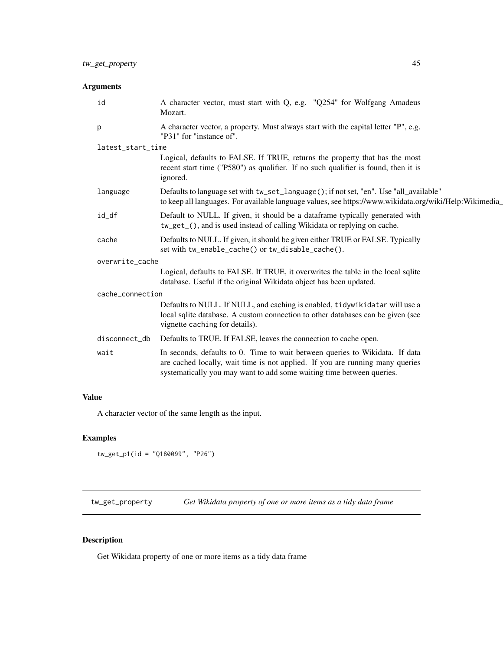| id                | A character vector, must start with Q, e.g. "Q254" for Wolfgang Amadeus<br>Mozart.                                                                                                                                                     |
|-------------------|----------------------------------------------------------------------------------------------------------------------------------------------------------------------------------------------------------------------------------------|
| p                 | A character vector, a property. Must always start with the capital letter "P", e.g.<br>"P31" for "instance of".                                                                                                                        |
| latest_start_time |                                                                                                                                                                                                                                        |
|                   | Logical, defaults to FALSE. If TRUE, returns the property that has the most<br>recent start time ("P580") as qualifier. If no such qualifier is found, then it is<br>ignored.                                                          |
| language          | Defaults to language set with tw_set_language(); if not set, "en". Use "all_available"<br>to keep all languages. For available language values, see https://www.wikidata.org/wiki/Help:Wikimedia_                                      |
| id_df             | Default to NULL. If given, it should be a dataframe typically generated with<br>tw_get_(), and is used instead of calling Wikidata or replying on cache.                                                                               |
| cache             | Defaults to NULL. If given, it should be given either TRUE or FALSE. Typically<br>set with tw_enable_cache() or tw_disable_cache().                                                                                                    |
| overwrite_cache   |                                                                                                                                                                                                                                        |
|                   | Logical, defaults to FALSE. If TRUE, it overwrites the table in the local sqlite<br>database. Useful if the original Wikidata object has been updated.                                                                                 |
| cache_connection  |                                                                                                                                                                                                                                        |
|                   | Defaults to NULL. If NULL, and caching is enabled, tidywikidatar will use a<br>local sqlite database. A custom connection to other databases can be given (see<br>vignette caching for details).                                       |
| disconnect_db     | Defaults to TRUE. If FALSE, leaves the connection to cache open.                                                                                                                                                                       |
| wait              | In seconds, defaults to 0. Time to wait between queries to Wikidata. If data<br>are cached locally, wait time is not applied. If you are running many queries<br>systematically you may want to add some waiting time between queries. |
|                   |                                                                                                                                                                                                                                        |

# Value

A character vector of the same length as the input.

# Examples

```
tw_get_p1(id = "Q180099", "P26")
```
tw\_get\_property *Get Wikidata property of one or more items as a tidy data frame*

# Description

Get Wikidata property of one or more items as a tidy data frame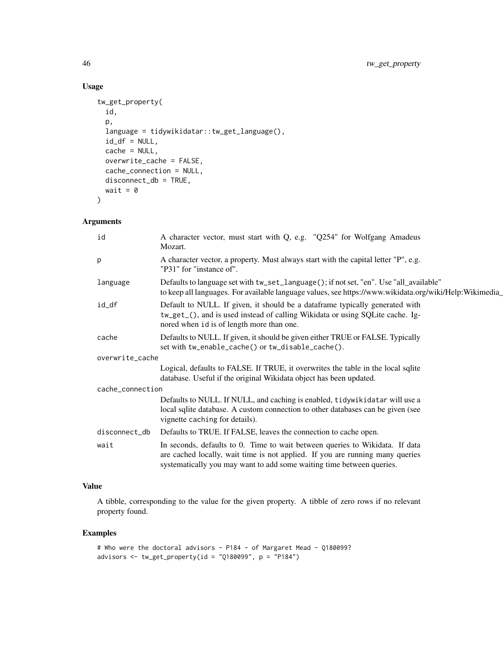# Usage

```
tw_get_property(
  id,
 p,
  language = tidywikidatar::tw_get_language(),
 id_d f = NULL,cache = NULL,
 overwrite_cache = FALSE,
  cache_connection = NULL,
 disconnect_db = TRUE,
 wait = \theta\mathcal{L}
```
## Arguments

| id               | A character vector, must start with Q, e.g. "Q254" for Wolfgang Amadeus<br>Mozart.                                                                                                                                                     |
|------------------|----------------------------------------------------------------------------------------------------------------------------------------------------------------------------------------------------------------------------------------|
| p                | A character vector, a property. Must always start with the capital letter "P", e.g.<br>"P31" for "instance of".                                                                                                                        |
| language         | Defaults to language set with tw_set_language(); if not set, "en". Use "all_available"<br>to keep all languages. For available language values, see https://www.wikidata.org/wiki/Help:Wikimedia_                                      |
| id_df            | Default to NULL. If given, it should be a dataframe typically generated with<br>tw_get_(), and is used instead of calling Wikidata or using SQLite cache. Ig-<br>nored when id is of length more than one.                             |
| cache            | Defaults to NULL. If given, it should be given either TRUE or FALSE. Typically<br>set with tw_enable_cache() or tw_disable_cache().                                                                                                    |
| overwrite_cache  |                                                                                                                                                                                                                                        |
|                  | Logical, defaults to FALSE. If TRUE, it overwrites the table in the local sqlite<br>database. Useful if the original Wikidata object has been updated.                                                                                 |
| cache_connection |                                                                                                                                                                                                                                        |
|                  | Defaults to NULL. If NULL, and caching is enabled, tidywikidatar will use a<br>local sqlite database. A custom connection to other databases can be given (see<br>vignette caching for details).                                       |
| disconnect_db    | Defaults to TRUE. If FALSE, leaves the connection to cache open.                                                                                                                                                                       |
| wait             | In seconds, defaults to 0. Time to wait between queries to Wikidata. If data<br>are cached locally, wait time is not applied. If you are running many queries<br>systematically you may want to add some waiting time between queries. |

#### Value

A tibble, corresponding to the value for the given property. A tibble of zero rows if no relevant property found.

```
# Who were the doctoral advisors - P184 - of Margaret Mead - Q180099?
advisors \leq tw_get_property(id = "Q180099", p = "P184")
```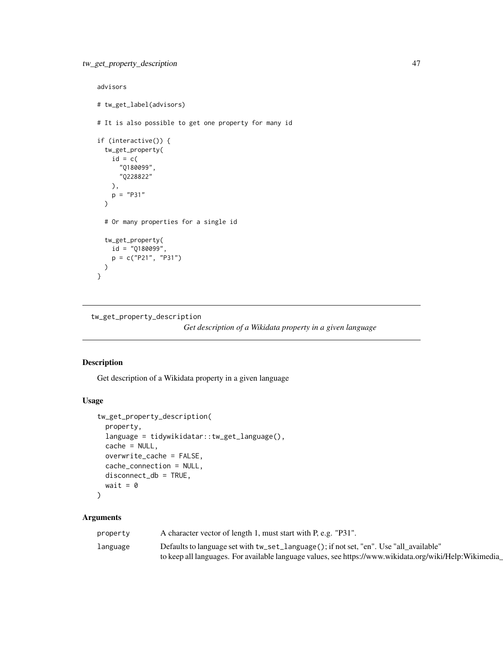```
advisors
# tw_get_label(advisors)
# It is also possible to get one property for many id
if (interactive()) {
 tw_get_property(
   id = c("Q180099",
      "Q228822"
   ),
   p = "P31"\lambda# Or many properties for a single id
 tw_get_property(
   id = "Q180099",p = c("P21", "P31"))
}
```
tw\_get\_property\_description

*Get description of a Wikidata property in a given language*

#### Description

Get description of a Wikidata property in a given language

#### Usage

```
tw_get_property_description(
  property,
  language = tidywikidatar::tw_get_language(),
  cache = NULL,
  overwrite_cache = FALSE,
  cache_connection = NULL,
 disconnect_db = TRUE,
  wait = \theta\lambda
```

| property | A character vector of length 1, must start with P, e.g. "P31".                                         |
|----------|--------------------------------------------------------------------------------------------------------|
| language | Defaults to language set with tw_set_language(); if not set, "en". Use "all_available"                 |
|          | to keep all languages. For available language values, see https://www.wikidata.org/wiki/Help:Wikimedia |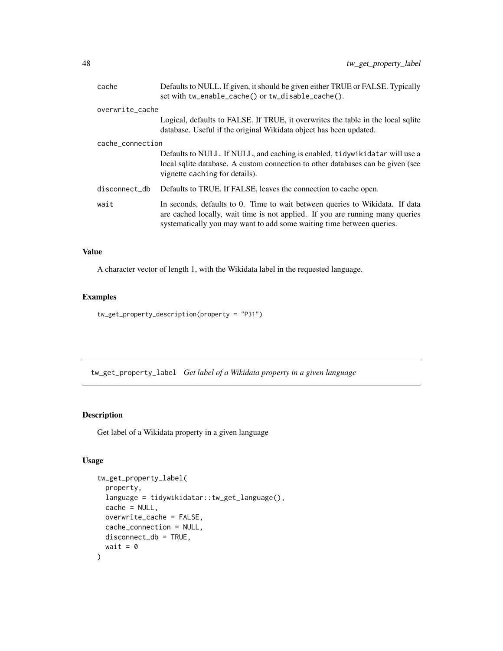| cache            | Defaults to NULL. If given, it should be given either TRUE or FALSE. Typically<br>set with tw_enable_cache() or tw_disable_cache().                                                                                                    |
|------------------|----------------------------------------------------------------------------------------------------------------------------------------------------------------------------------------------------------------------------------------|
| overwrite_cache  |                                                                                                                                                                                                                                        |
|                  | Logical, defaults to FALSE. If TRUE, it overwrites the table in the local sqlite<br>database. Useful if the original Wikidata object has been updated.                                                                                 |
| cache_connection |                                                                                                                                                                                                                                        |
|                  | Defaults to NULL. If NULL, and caching is enabled, tidywikidatar will use a<br>local sqlite database. A custom connection to other databases can be given (see<br>vignette caching for details).                                       |
| disconnect_db    | Defaults to TRUE. If FALSE, leaves the connection to cache open.                                                                                                                                                                       |
| wait             | In seconds, defaults to 0. Time to wait between queries to Wikidata. If data<br>are cached locally, wait time is not applied. If you are running many queries<br>systematically you may want to add some waiting time between queries. |

A character vector of length 1, with the Wikidata label in the requested language.

# Examples

tw\_get\_property\_description(property = "P31")

tw\_get\_property\_label *Get label of a Wikidata property in a given language*

## Description

Get label of a Wikidata property in a given language

```
tw_get_property_label(
 property,
 language = tidywikidatar::tw_get_language(),
 cache = NULL,
 overwrite_cache = FALSE,
 cache_connection = NULL,
 disconnect_db = TRUE,
 wait = \theta)
```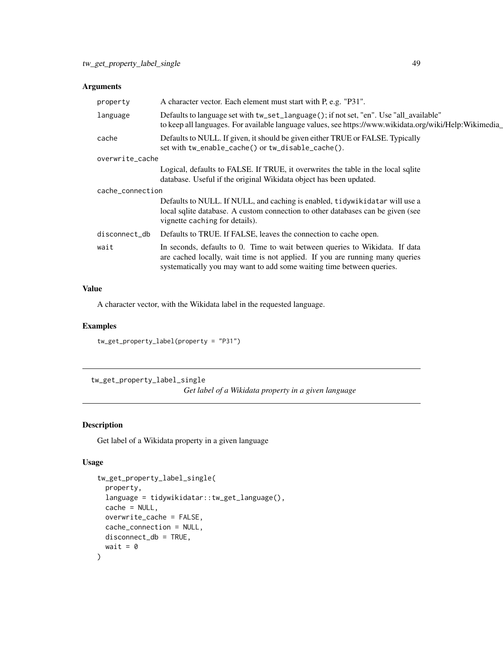| property         | A character vector. Each element must start with P, e.g. "P31".                                                                                                                                                                        |  |
|------------------|----------------------------------------------------------------------------------------------------------------------------------------------------------------------------------------------------------------------------------------|--|
| language         | Defaults to language set with tw_set_language(); if not set, "en". Use "all_available"<br>to keep all languages. For available language values, see https://www.wikidata.org/wiki/Help:Wikimedia                                       |  |
| cache            | Defaults to NULL. If given, it should be given either TRUE or FALSE. Typically<br>set with tw_enable_cache() or tw_disable_cache().                                                                                                    |  |
| overwrite_cache  |                                                                                                                                                                                                                                        |  |
|                  | Logical, defaults to FALSE. If TRUE, it overwrites the table in the local sqlite<br>database. Useful if the original Wikidata object has been updated.                                                                                 |  |
| cache_connection |                                                                                                                                                                                                                                        |  |
|                  | Defaults to NULL. If NULL, and caching is enabled, tidywikidatar will use a<br>local sqlite database. A custom connection to other databases can be given (see<br>vignette caching for details).                                       |  |
| disconnect_db    | Defaults to TRUE. If FALSE, leaves the connection to cache open.                                                                                                                                                                       |  |
| wait             | In seconds, defaults to 0. Time to wait between queries to Wikidata. If data<br>are cached locally, wait time is not applied. If you are running many queries<br>systematically you may want to add some waiting time between queries. |  |

## Value

A character vector, with the Wikidata label in the requested language.

#### Examples

tw\_get\_property\_label(property = "P31")

tw\_get\_property\_label\_single *Get label of a Wikidata property in a given language*

## Description

Get label of a Wikidata property in a given language

```
tw_get_property_label_single(
 property,
  language = tidywikidatar::tw_get_language(),
  cache = NULL,overwrite_cache = FALSE,
 cache_connection = NULL,
 disconnect_db = TRUE,
 wait = \theta)
```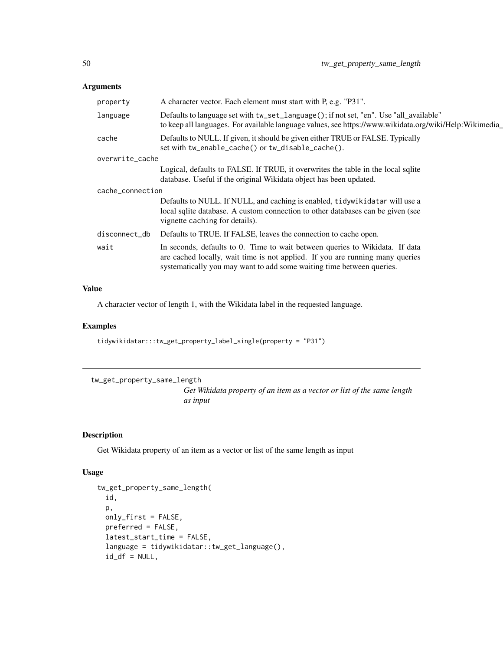| property         | A character vector. Each element must start with P, e.g. "P31".                                                                                                                                                                        |
|------------------|----------------------------------------------------------------------------------------------------------------------------------------------------------------------------------------------------------------------------------------|
| language         | Defaults to language set with tw_set_language(); if not set, "en". Use "all_available"<br>to keep all languages. For available language values, see https://www.wikidata.org/wiki/Help:Wikimedia_                                      |
| cache            | Defaults to NULL. If given, it should be given either TRUE or FALSE. Typically<br>set with tw_enable_cache() or tw_disable_cache().                                                                                                    |
| overwrite_cache  |                                                                                                                                                                                                                                        |
|                  | Logical, defaults to FALSE. If TRUE, it overwrites the table in the local sqlite<br>database. Useful if the original Wikidata object has been updated.                                                                                 |
| cache_connection |                                                                                                                                                                                                                                        |
|                  | Defaults to NULL. If NULL, and caching is enabled, tidywikidatar will use a<br>local sqlite database. A custom connection to other databases can be given (see<br>vignette caching for details).                                       |
| disconnect_db    | Defaults to TRUE. If FALSE, leaves the connection to cache open.                                                                                                                                                                       |
| wait             | In seconds, defaults to 0. Time to wait between queries to Wikidata. If data<br>are cached locally, wait time is not applied. If you are running many queries<br>systematically you may want to add some waiting time between queries. |

## Value

A character vector of length 1, with the Wikidata label in the requested language.

#### Examples

tidywikidatar:::tw\_get\_property\_label\_single(property = "P31")

tw\_get\_property\_same\_length

*Get Wikidata property of an item as a vector or list of the same length as input*

# Description

Get Wikidata property of an item as a vector or list of the same length as input

```
tw_get_property_same_length(
  id,
 p,
 only_first = FALSE,
 preferred = FALSE,
  latest_start_time = FALSE,
  language = tidywikidatar::tw_get_language(),
  id_d f = NULL,
```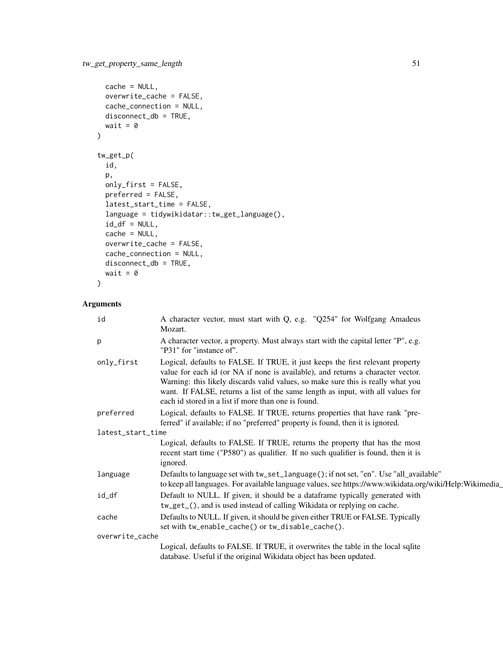```
cache = NULL,
 overwrite_cache = FALSE,
 cache_connection = NULL,
 disconnect_db = TRUE,
 wait = \theta\mathcal{L}tw_get_p(
  id,
 p,
 only_first = FALSE,
 preferred = FALSE,
 latest_start_time = FALSE,
  language = tidywikidatar::tw_get_language(),
  id_d f = NULL,cache = NULL,overwrite_cache = FALSE,
 cache_connection = NULL,
 disconnect_db = TRUE,
 wait = \theta)
```

| id                | A character vector, must start with Q, e.g. "Q254" for Wolfgang Amadeus<br>Mozart.                                                                                                                                                                                                                                                                                                              |
|-------------------|-------------------------------------------------------------------------------------------------------------------------------------------------------------------------------------------------------------------------------------------------------------------------------------------------------------------------------------------------------------------------------------------------|
| p                 | A character vector, a property. Must always start with the capital letter "P", e.g.<br>"P31" for "instance of".                                                                                                                                                                                                                                                                                 |
| only_first        | Logical, defaults to FALSE. If TRUE, it just keeps the first relevant property<br>value for each id (or NA if none is available), and returns a character vector.<br>Warning: this likely discards valid values, so make sure this is really what you<br>want. If FALSE, returns a list of the same length as input, with all values for<br>each id stored in a list if more than one is found. |
| preferred         | Logical, defaults to FALSE. If TRUE, returns properties that have rank "pre-<br>ferred" if available; if no "preferred" property is found, then it is ignored.                                                                                                                                                                                                                                  |
| latest_start_time |                                                                                                                                                                                                                                                                                                                                                                                                 |
|                   | Logical, defaults to FALSE. If TRUE, returns the property that has the most<br>recent start time ("P580") as qualifier. If no such qualifier is found, then it is<br>ignored.                                                                                                                                                                                                                   |
| language          | Defaults to language set with tw_set_language(); if not set, "en". Use "all_available"<br>to keep all languages. For available language values, see https://www.wikidata.org/wiki/Help:Wikimedia_                                                                                                                                                                                               |
| id_df             | Default to NULL. If given, it should be a dataframe typically generated with<br>tw_get_(), and is used instead of calling Wikidata or replying on cache.                                                                                                                                                                                                                                        |
| cache             | Defaults to NULL. If given, it should be given either TRUE or FALSE. Typically<br>set with tw_enable_cache() or tw_disable_cache().                                                                                                                                                                                                                                                             |
| overwrite_cache   |                                                                                                                                                                                                                                                                                                                                                                                                 |
|                   | Logical, defaults to FALSE. If TRUE, it overwrites the table in the local sqlite<br>database. Useful if the original Wikidata object has been updated.                                                                                                                                                                                                                                          |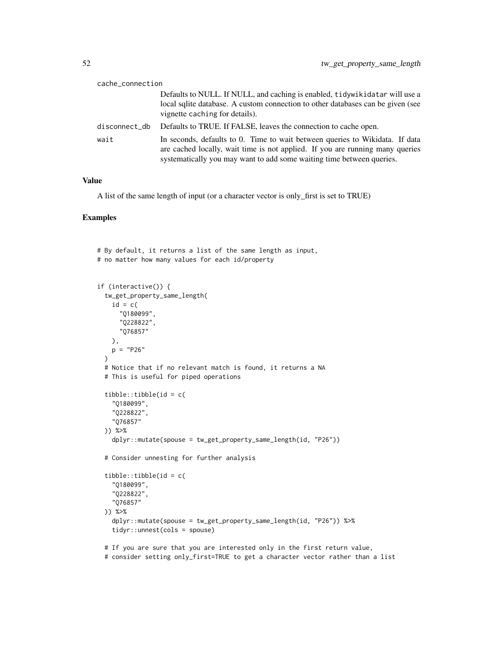| cache_connection |                                                                                                                                                                                                                                        |
|------------------|----------------------------------------------------------------------------------------------------------------------------------------------------------------------------------------------------------------------------------------|
|                  | Defaults to NULL. If NULL, and caching is enabled, tidywikidatar will use a<br>local sqlite database. A custom connection to other databases can be given (see<br>vignette caching for details).                                       |
| disconnect_db    | Defaults to TRUE. If FALSE, leaves the connection to cache open.                                                                                                                                                                       |
| wait             | In seconds, defaults to 0. Time to wait between queries to Wikidata. If data<br>are cached locally, wait time is not applied. If you are running many queries<br>systematically you may want to add some waiting time between queries. |

A list of the same length of input (or a character vector is only\_first is set to TRUE)

```
# By default, it returns a list of the same length as input,
# no matter how many values for each id/property
if (interactive()) {
 tw_get_property_same_length(
   id = c("Q180099",
     "Q228822",
     "Q76857"
   ),
   p = "P26"\lambda# Notice that if no relevant match is found, it returns a NA
 # This is useful for piped operations
 tibble::tibble(id = c(
    "Q180099",
    "Q228822",
    "Q76857"
 )) %>%
    dplyr::mutate(spouse = tw_get_property_same_length(id, "P26"))
 # Consider unnesting for further analysis
 tibble::tibble(id = c(
    "Q180099",
    "Q228822",
    "Q76857"
 )) %>%
   dplyr::mutate(spouse = tw_get_property_same_length(id, "P26")) %>%
    tidyr::unnest(cols = spouse)
 # If you are sure that you are interested only in the first return value,
 # consider setting only_first=TRUE to get a character vector rather than a list
```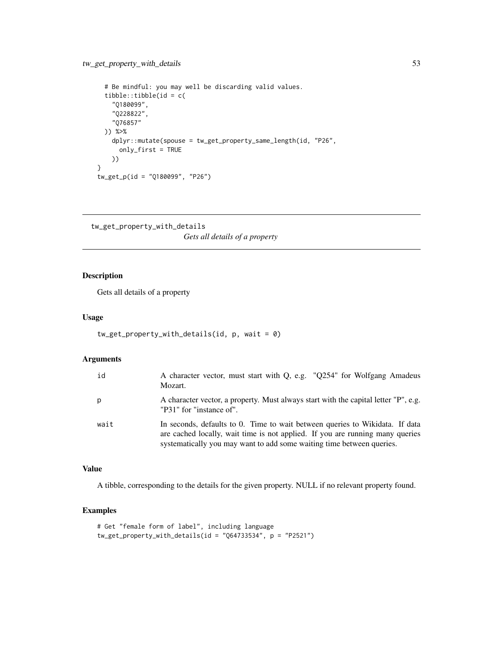```
# Be mindful: you may well be discarding valid values.
 tibble::tibble(id = c(
    "Q180099",
    "Q228822",
   "Q76857"
 )) %>%
   dplyr::mutate(spouse = tw_get_property_same_length(id, "P26",
     only_first = TRUE
   ))
}
tw_get_p(id = "Q180099", "P26")
```

```
tw_get_property_with_details
                         Gets all details of a property
```
## Description

Gets all details of a property

#### Usage

```
tw_get_property_with_details(id, p, wait = 0)
```
## Arguments

| id   | A character vector, must start with Q, e.g. "Q254" for Wolfgang Amadeus<br>Mozart.                                                                                                                                                     |
|------|----------------------------------------------------------------------------------------------------------------------------------------------------------------------------------------------------------------------------------------|
| p    | A character vector, a property. Must always start with the capital letter "P", e.g.<br>"P31" for "instance of".                                                                                                                        |
| wait | In seconds, defaults to 0. Time to wait between queries to Wikidata. If data<br>are cached locally, wait time is not applied. If you are running many queries<br>systematically you may want to add some waiting time between queries. |

#### Value

A tibble, corresponding to the details for the given property. NULL if no relevant property found.

```
# Get "female form of label", including language
tw_get_property_with_details(id = "Q64733534", p = "P2521")
```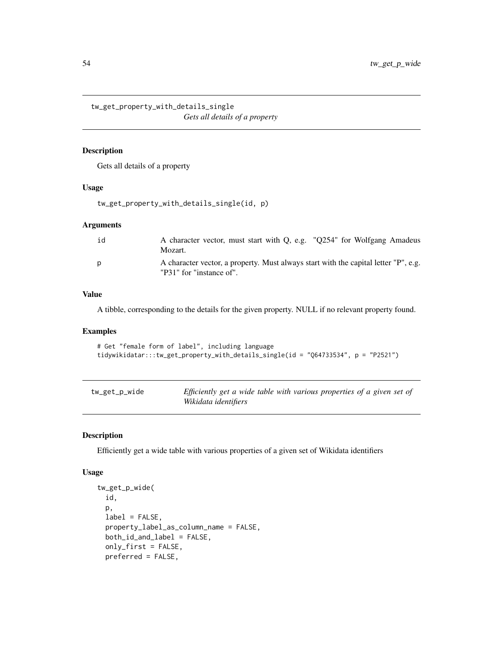tw\_get\_property\_with\_details\_single *Gets all details of a property*

#### Description

Gets all details of a property

#### Usage

```
tw_get_property_with_details_single(id, p)
```
#### Arguments

| id | A character vector, must start with Q, e.g. "Q254" for Wolfgang Amadeus<br>Mozart.                              |
|----|-----------------------------------------------------------------------------------------------------------------|
| D  | A character vector, a property. Must always start with the capital letter "P", e.g.<br>"P31" for "instance of". |

#### Value

A tibble, corresponding to the details for the given property. NULL if no relevant property found.

#### Examples

```
# Get "female form of label", including language
tidywikidatar:::tw_get_property_with_details_single(id = "Q64733534", p = "P2521")
```

| tw_get_p_wide | Efficiently get a wide table with various properties of a given set of |
|---------------|------------------------------------------------------------------------|
|               | Wikidata identifiers                                                   |

#### Description

Efficiently get a wide table with various properties of a given set of Wikidata identifiers

```
tw_get_p_wide(
  id,
 p,
 label = FALSE,
 property_label_as_column_name = FALSE,
 both_id_and_label = FALSE,
 only_first = FALSE,
 preferred = FALSE,
```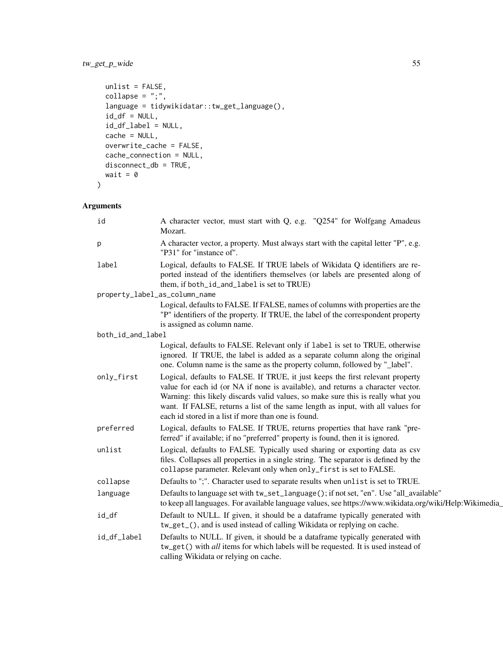# tw\_get\_p\_wide 55

```
unlist = FALSE,collapse = "; ",
 language = tidywikidatar::tw_get_language(),
 id_d f = NULL,id_df_label = NULL,
 cache = NULL,
 overwrite_cache = FALSE,
 cache_connection = NULL,
 disconnect_db = TRUE,
 wait = \theta\mathcal{L}
```

| id                | A character vector, must start with Q, e.g. "Q254" for Wolfgang Amadeus<br>Mozart.                                                                                                                                                                                                                                                                                                              |
|-------------------|-------------------------------------------------------------------------------------------------------------------------------------------------------------------------------------------------------------------------------------------------------------------------------------------------------------------------------------------------------------------------------------------------|
| p                 | A character vector, a property. Must always start with the capital letter "P", e.g.<br>"P31" for "instance of".                                                                                                                                                                                                                                                                                 |
| label             | Logical, defaults to FALSE. If TRUE labels of Wikidata Q identifiers are re-<br>ported instead of the identifiers themselves (or labels are presented along of<br>them, if both_id_and_label is set to TRUE)                                                                                                                                                                                    |
|                   | property_label_as_column_name                                                                                                                                                                                                                                                                                                                                                                   |
|                   | Logical, defaults to FALSE. If FALSE, names of columns with properties are the<br>"P" identifiers of the property. If TRUE, the label of the correspondent property<br>is assigned as column name.                                                                                                                                                                                              |
| both_id_and_label |                                                                                                                                                                                                                                                                                                                                                                                                 |
|                   | Logical, defaults to FALSE. Relevant only if label is set to TRUE, otherwise<br>ignored. If TRUE, the label is added as a separate column along the original<br>one. Column name is the same as the property column, followed by "_label".                                                                                                                                                      |
| only_first        | Logical, defaults to FALSE. If TRUE, it just keeps the first relevant property<br>value for each id (or NA if none is available), and returns a character vector.<br>Warning: this likely discards valid values, so make sure this is really what you<br>want. If FALSE, returns a list of the same length as input, with all values for<br>each id stored in a list if more than one is found. |
| preferred         | Logical, defaults to FALSE. If TRUE, returns properties that have rank "pre-<br>ferred" if available; if no "preferred" property is found, then it is ignored.                                                                                                                                                                                                                                  |
| unlist            | Logical, defaults to FALSE. Typically used sharing or exporting data as csv<br>files. Collapses all properties in a single string. The separator is defined by the<br>collapse parameter. Relevant only when only_first is set to FALSE.                                                                                                                                                        |
| collapse          | Defaults to ";". Character used to separate results when unlist is set to TRUE.                                                                                                                                                                                                                                                                                                                 |
| language          | Defaults to language set with tw_set_language(); if not set, "en". Use "all_available"<br>to keep all languages. For available language values, see https://www.wikidata.org/wiki/Help:Wikimedia_                                                                                                                                                                                               |
| id_df             | Default to NULL. If given, it should be a dataframe typically generated with<br>tw_get_(), and is used instead of calling Wikidata or replying on cache.                                                                                                                                                                                                                                        |
| id_df_label       | Defaults to NULL. If given, it should be a dataframe typically generated with<br>tw_get() with all items for which labels will be requested. It is used instead of<br>calling Wikidata or relying on cache.                                                                                                                                                                                     |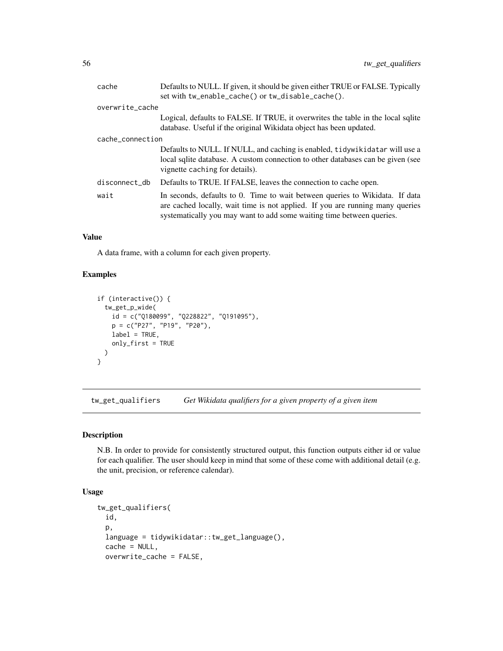| cache            | Defaults to NULL. If given, it should be given either TRUE or FALSE. Typically<br>set with tw_enable_cache() or tw_disable_cache().                                                                                                    |
|------------------|----------------------------------------------------------------------------------------------------------------------------------------------------------------------------------------------------------------------------------------|
| overwrite_cache  |                                                                                                                                                                                                                                        |
|                  | Logical, defaults to FALSE. If TRUE, it overwrites the table in the local sqlite<br>database. Useful if the original Wikidata object has been updated.                                                                                 |
| cache_connection |                                                                                                                                                                                                                                        |
|                  | Defaults to NULL. If NULL, and caching is enabled, tidywikidatar will use a<br>local sqlite database. A custom connection to other databases can be given (see<br>vignette caching for details).                                       |
| disconnect_db    | Defaults to TRUE. If FALSE, leaves the connection to cache open.                                                                                                                                                                       |
| wait             | In seconds, defaults to 0. Time to wait between queries to Wikidata. If data<br>are cached locally, wait time is not applied. If you are running many queries<br>systematically you may want to add some waiting time between queries. |

A data frame, with a column for each given property.

#### Examples

```
if (interactive()) {
 tw_get_p_wide(
   id = c("Q180099", "Q228822", "Q191095"),
   p = c("P27", "P19", "P20"),
   label = TRUE,only_first = TRUE
 )
}
```
tw\_get\_qualifiers *Get Wikidata qualifiers for a given property of a given item*

## Description

N.B. In order to provide for consistently structured output, this function outputs either id or value for each qualifier. The user should keep in mind that some of these come with additional detail (e.g. the unit, precision, or reference calendar).

```
tw_get_qualifiers(
  id,
 p,
 language = tidywikidatar::tw_get_language(),
 cache = NULL,overwrite_cache = FALSE,
```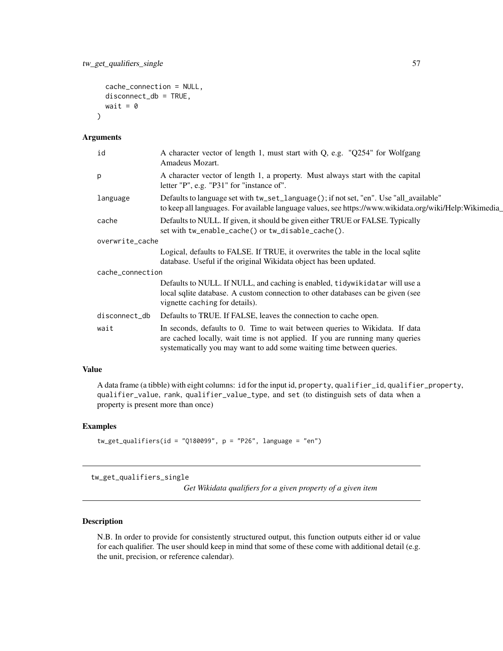```
cache_connection = NULL,
disconnect_db = TRUE,
wait = \theta
```
 $\lambda$ 

| A character vector of length 1, a property. Must always start with the capital<br>p<br>letter "P", e.g. "P31" for "instance of".<br>Defaults to language set with tw_set_language(); if not set, "en". Use "all_available"<br>language<br>Defaults to NULL. If given, it should be given either TRUE or FALSE. Typically<br>cache<br>set with tw_enable_cache() or tw_disable_cache().<br>overwrite_cache<br>Logical, defaults to FALSE. If TRUE, it overwrites the table in the local sqlite<br>database. Useful if the original Wikidata object has been updated.<br>cache_connection<br>Defaults to NULL. If NULL, and caching is enabled, tidywikidatar will use a<br>local sqlite database. A custom connection to other databases can be given (see<br>vignette caching for details).<br>Defaults to TRUE. If FALSE, leaves the connection to cache open.<br>disconnect_db<br>In seconds, defaults to 0. Time to wait between queries to Wikidata. If data<br>wait<br>are cached locally, wait time is not applied. If you are running many queries<br>systematically you may want to add some waiting time between queries. | id | A character vector of length 1, must start with Q, e.g. "Q254" for Wolfgang<br>Amadeus Mozart.          |
|------------------------------------------------------------------------------------------------------------------------------------------------------------------------------------------------------------------------------------------------------------------------------------------------------------------------------------------------------------------------------------------------------------------------------------------------------------------------------------------------------------------------------------------------------------------------------------------------------------------------------------------------------------------------------------------------------------------------------------------------------------------------------------------------------------------------------------------------------------------------------------------------------------------------------------------------------------------------------------------------------------------------------------------------------------------------------------------------------------------------------------|----|---------------------------------------------------------------------------------------------------------|
|                                                                                                                                                                                                                                                                                                                                                                                                                                                                                                                                                                                                                                                                                                                                                                                                                                                                                                                                                                                                                                                                                                                                    |    |                                                                                                         |
|                                                                                                                                                                                                                                                                                                                                                                                                                                                                                                                                                                                                                                                                                                                                                                                                                                                                                                                                                                                                                                                                                                                                    |    | to keep all languages. For available language values, see https://www.wikidata.org/wiki/Help:Wikimedia_ |
|                                                                                                                                                                                                                                                                                                                                                                                                                                                                                                                                                                                                                                                                                                                                                                                                                                                                                                                                                                                                                                                                                                                                    |    |                                                                                                         |
|                                                                                                                                                                                                                                                                                                                                                                                                                                                                                                                                                                                                                                                                                                                                                                                                                                                                                                                                                                                                                                                                                                                                    |    |                                                                                                         |
|                                                                                                                                                                                                                                                                                                                                                                                                                                                                                                                                                                                                                                                                                                                                                                                                                                                                                                                                                                                                                                                                                                                                    |    |                                                                                                         |
|                                                                                                                                                                                                                                                                                                                                                                                                                                                                                                                                                                                                                                                                                                                                                                                                                                                                                                                                                                                                                                                                                                                                    |    |                                                                                                         |
|                                                                                                                                                                                                                                                                                                                                                                                                                                                                                                                                                                                                                                                                                                                                                                                                                                                                                                                                                                                                                                                                                                                                    |    |                                                                                                         |
|                                                                                                                                                                                                                                                                                                                                                                                                                                                                                                                                                                                                                                                                                                                                                                                                                                                                                                                                                                                                                                                                                                                                    |    |                                                                                                         |
|                                                                                                                                                                                                                                                                                                                                                                                                                                                                                                                                                                                                                                                                                                                                                                                                                                                                                                                                                                                                                                                                                                                                    |    |                                                                                                         |

## Value

A data frame (a tibble) with eight columns: id for the input id, property, qualifier\_id, qualifier\_property, qualifier\_value, rank, qualifier\_value\_type, and set (to distinguish sets of data when a property is present more than once)

#### Examples

```
tw_get_qualifiers(id = "Q180099", p = "P26", language = "en")
```
tw\_get\_qualifiers\_single

*Get Wikidata qualifiers for a given property of a given item*

#### Description

N.B. In order to provide for consistently structured output, this function outputs either id or value for each qualifier. The user should keep in mind that some of these come with additional detail (e.g. the unit, precision, or reference calendar).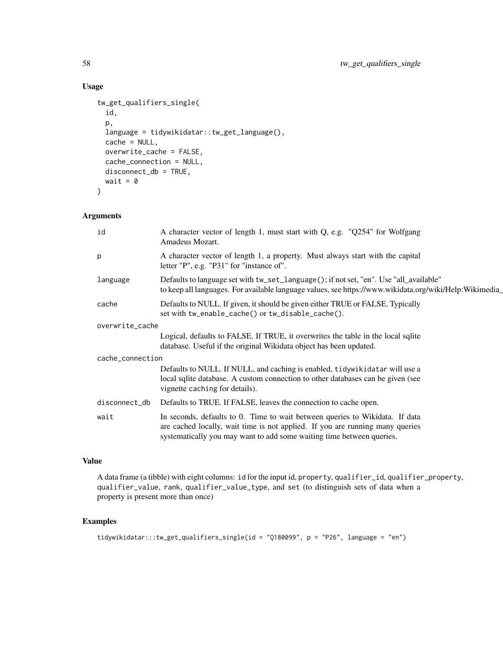# Usage

```
tw_get_qualifiers_single(
  id,
  p,
  language = tidywikidatar::tw_get_language(),
  cache = NULL,
  overwrite_cache = FALSE,
  cache_connection = NULL,
  disconnect_db = TRUE,
 wait = \theta\lambda
```
## Arguments

| id               | A character vector of length 1, must start with Q, e.g. "Q254" for Wolfgang<br>Amadeus Mozart.                                                                                                                                         |
|------------------|----------------------------------------------------------------------------------------------------------------------------------------------------------------------------------------------------------------------------------------|
| p                | A character vector of length 1, a property. Must always start with the capital<br>letter "P", e.g. "P31" for "instance of".                                                                                                            |
| language         | Defaults to language set with tw_set_language(); if not set, "en". Use "all_available"<br>to keep all languages. For available language values, see https://www.wikidata.org/wiki/Help:Wikimedia_                                      |
| cache            | Defaults to NULL. If given, it should be given either TRUE or FALSE. Typically<br>set with tw_enable_cache() or tw_disable_cache().                                                                                                    |
| overwrite_cache  |                                                                                                                                                                                                                                        |
|                  | Logical, defaults to FALSE. If TRUE, it overwrites the table in the local sqlite<br>database. Useful if the original Wikidata object has been updated.                                                                                 |
| cache_connection |                                                                                                                                                                                                                                        |
|                  | Defaults to NULL. If NULL, and caching is enabled, tidywikidatar will use a<br>local sqlite database. A custom connection to other databases can be given (see<br>vignette caching for details).                                       |
| disconnect_db    | Defaults to TRUE. If FALSE, leaves the connection to cache open.                                                                                                                                                                       |
| wait             | In seconds, defaults to 0. Time to wait between queries to Wikidata. If data<br>are cached locally, wait time is not applied. If you are running many queries<br>systematically you may want to add some waiting time between queries. |
|                  |                                                                                                                                                                                                                                        |

# Value

A data frame (a tibble) with eight columns: id for the input id, property, qualifier\_id, qualifier\_property, qualifier\_value, rank, qualifier\_value\_type, and set (to distinguish sets of data when a property is present more than once)

```
tidywikidatar:::tw_get_qualifiers_single(id = "Q180099", p = "P26", language = "en")
```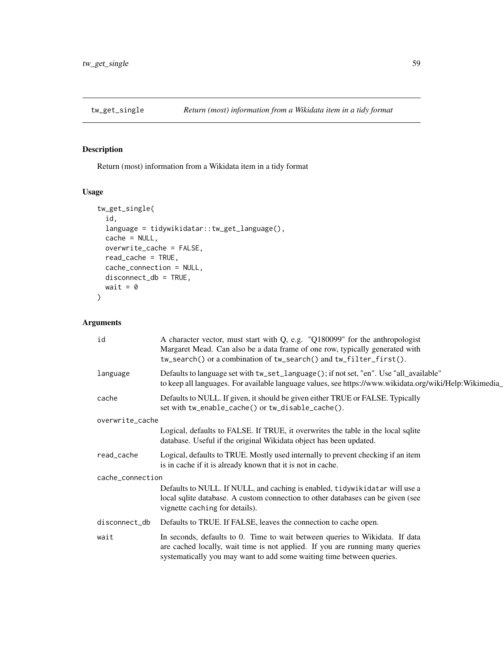# Description

Return (most) information from a Wikidata item in a tidy format

## Usage

```
tw_get_single(
  id,
  language = tidywikidatar::tw_get_language(),
  cache = NULL,
 overwrite_cache = FALSE,
  read_cache = TRUE,
 cache_connection = NULL,
 disconnect_db = TRUE,
 wait = \theta)
```

| id               | A character vector, must start with Q, e.g. "Q180099" for the anthropologist<br>Margaret Mead. Can also be a data frame of one row, typically generated with<br>tw_search() or a combination of tw_search() and tw_filter_first().     |
|------------------|----------------------------------------------------------------------------------------------------------------------------------------------------------------------------------------------------------------------------------------|
| language         | Defaults to language set with tw_set_language(); if not set, "en". Use "all_available"<br>to keep all languages. For available language values, see https://www.wikidata.org/wiki/Help:Wikimedia                                       |
| cache            | Defaults to NULL. If given, it should be given either TRUE or FALSE. Typically<br>set with tw_enable_cache() or tw_disable_cache().                                                                                                    |
| overwrite_cache  |                                                                                                                                                                                                                                        |
|                  | Logical, defaults to FALSE. If TRUE, it overwrites the table in the local sqlite<br>database. Useful if the original Wikidata object has been updated.                                                                                 |
| read_cache       | Logical, defaults to TRUE. Mostly used internally to prevent checking if an item<br>is in cache if it is already known that it is not in cache.                                                                                        |
| cache_connection |                                                                                                                                                                                                                                        |
|                  | Defaults to NULL. If NULL, and caching is enabled, tidywikidatar will use a<br>local sqlite database. A custom connection to other databases can be given (see<br>vignette caching for details).                                       |
| disconnect_db    | Defaults to TRUE. If FALSE, leaves the connection to cache open.                                                                                                                                                                       |
| wait             | In seconds, defaults to 0. Time to wait between queries to Wikidata. If data<br>are cached locally, wait time is not applied. If you are running many queries<br>systematically you may want to add some waiting time between queries. |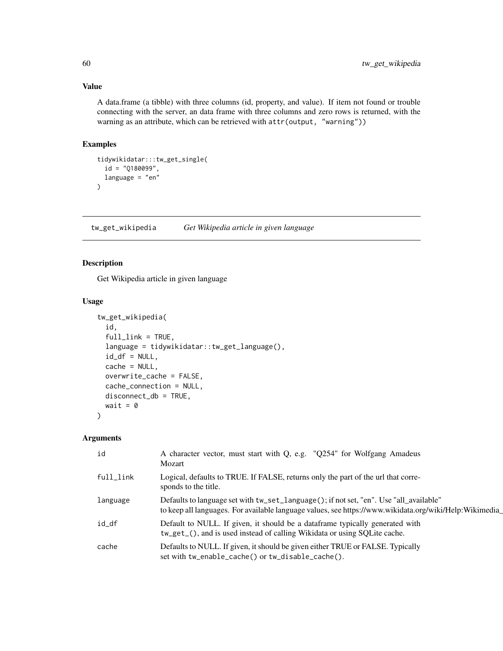A data.frame (a tibble) with three columns (id, property, and value). If item not found or trouble connecting with the server, an data frame with three columns and zero rows is returned, with the warning as an attribute, which can be retrieved with attr(output, "warning"))

## Examples

```
tidywikidatar:::tw_get_single(
  id = "Q180099",language = "en"
\mathcal{L}
```
tw\_get\_wikipedia *Get Wikipedia article in given language*

## Description

Get Wikipedia article in given language

#### Usage

```
tw_get_wikipedia(
  id,
  fulllink = TRUE,
  language = tidywikidatar::tw_get_language(),
  id_d f = NULL,cache = NULL,
 overwrite_cache = FALSE,
  cache_connection = NULL,
 disconnect_db = TRUE,
 wait = \theta)
```

| id        | A character vector, must start with Q, e.g. "Q254" for Wolfgang Amadeus<br>Mozart                                                                                                                |
|-----------|--------------------------------------------------------------------------------------------------------------------------------------------------------------------------------------------------|
| full_link | Logical, defaults to TRUE. If FALSE, returns only the part of the url that corre-<br>sponds to the title.                                                                                        |
| language  | Defaults to language set with tw_set_language(); if not set, "en". Use "all_available"<br>to keep all languages. For available language values, see https://www.wikidata.org/wiki/Help:Wikimedia |
| id df     | Default to NULL. If given, it should be a dataframe typically generated with<br>tw_get_(), and is used instead of calling Wikidata or using SQLite cache.                                        |
| cache     | Defaults to NULL. If given, it should be given either TRUE or FALSE. Typically<br>set with tw_enable_cache() or tw_disable_cache().                                                              |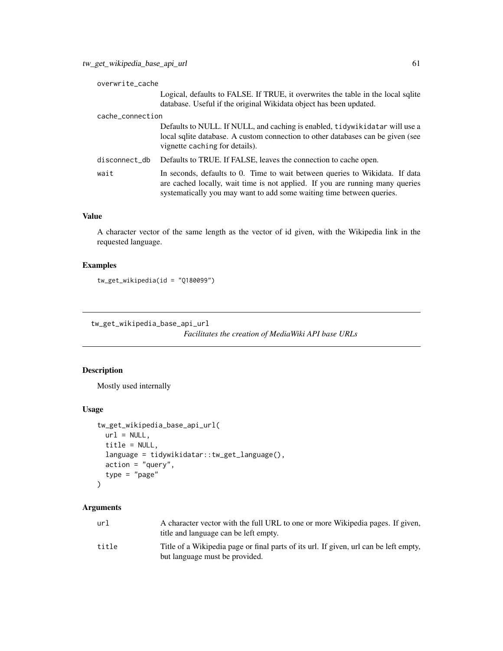| overwrite_cache  |                                                                                                                                                                                                                                        |
|------------------|----------------------------------------------------------------------------------------------------------------------------------------------------------------------------------------------------------------------------------------|
|                  | Logical, defaults to FALSE. If TRUE, it overwrites the table in the local sqlite<br>database. Useful if the original Wikidata object has been updated.                                                                                 |
| cache_connection |                                                                                                                                                                                                                                        |
|                  | Defaults to NULL. If NULL, and caching is enabled, tidywikidatar will use a<br>local sqlite database. A custom connection to other databases can be given (see<br>vignette caching for details).                                       |
| disconnect_db    | Defaults to TRUE. If FALSE, leaves the connection to cache open.                                                                                                                                                                       |
| wait             | In seconds, defaults to 0. Time to wait between queries to Wikidata. If data<br>are cached locally, wait time is not applied. If you are running many queries<br>systematically you may want to add some waiting time between queries. |

A character vector of the same length as the vector of id given, with the Wikipedia link in the requested language.

## Examples

tw\_get\_wikipedia(id = "Q180099")

tw\_get\_wikipedia\_base\_api\_url

*Facilitates the creation of MediaWiki API base URLs*

## Description

Mostly used internally

#### Usage

```
tw_get_wikipedia_base_api_url(
 url = NULL,title = NULL,
  language = tidywikidatar::tw_get_language(),
  action = "query",
  type = "page"
\mathcal{L}
```

| url   | A character vector with the full URL to one or more Wikipedia pages. If given,<br>title and language can be left empty. |
|-------|-------------------------------------------------------------------------------------------------------------------------|
| title | Title of a Wikipedia page or final parts of its url. If given, url can be left empty,<br>but language must be provided. |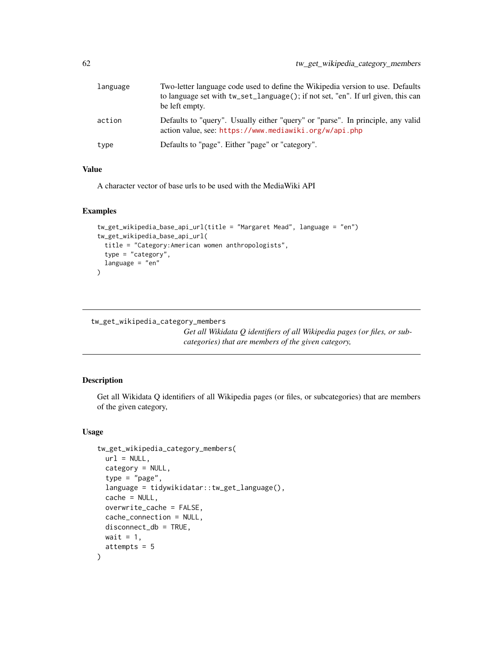| language | Two-letter language code used to define the Wikipedia version to use. Defaults<br>to language set with tw_set_language(); if not set, "en". If url given, this can<br>be left empty. |
|----------|--------------------------------------------------------------------------------------------------------------------------------------------------------------------------------------|
| action   | Defaults to "query". Usually either "query" or "parse". In principle, any valid<br>action value, see: https://www.mediawiki.org/w/api.php                                            |
| type     | Defaults to "page". Either "page" or "category".                                                                                                                                     |

A character vector of base urls to be used with the MediaWiki API

#### Examples

```
tw_get_wikipedia_base_api_url(title = "Margaret Mead", language = "en")
tw_get_wikipedia_base_api_url(
 title = "Category:American women anthropologists",
  type = "category",
  language = "en"
\overline{)}
```
tw\_get\_wikipedia\_category\_members

*Get all Wikidata Q identifiers of all Wikipedia pages (or files, or subcategories) that are members of the given category,*

## Description

Get all Wikidata Q identifiers of all Wikipedia pages (or files, or subcategories) that are members of the given category,

```
tw_get_wikipedia_category_members(
 url = NULL,category = NULL,
  type = "page",
  language = tidywikidatar::tw_get_language(),
 cache = NULL,
  overwrite_cache = FALSE,
 cache_connection = NULL,
 disconnect_db = TRUE,
 wait = 1,
  attempts = 5
)
```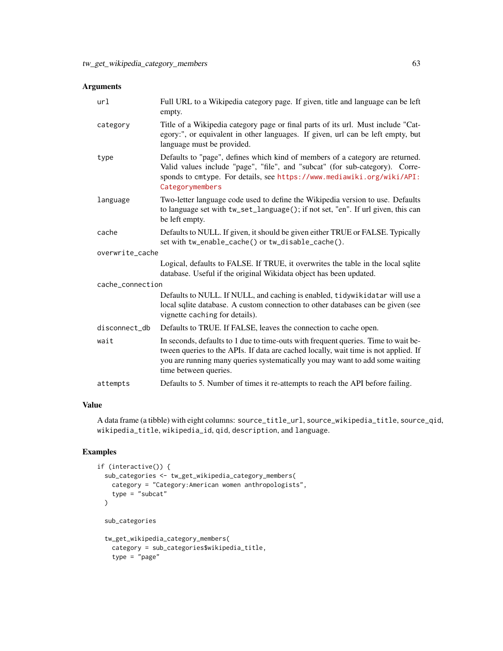| url              | Full URL to a Wikipedia category page. If given, title and language can be left<br>empty.                                                                                                                                                                                          |
|------------------|------------------------------------------------------------------------------------------------------------------------------------------------------------------------------------------------------------------------------------------------------------------------------------|
| category         | Title of a Wikipedia category page or final parts of its url. Must include "Cat-<br>egory:", or equivalent in other languages. If given, url can be left empty, but<br>language must be provided.                                                                                  |
| type             | Defaults to "page", defines which kind of members of a category are returned.<br>Valid values include "page", "file", and "subcat" (for sub-category). Corre-<br>sponds to cmtype. For details, see https://www.mediawiki.org/wiki/API:<br>Categorymembers                         |
| language         | Two-letter language code used to define the Wikipedia version to use. Defaults<br>to language set with tw_set_language(); if not set, "en". If url given, this can<br>be left empty.                                                                                               |
| cache            | Defaults to NULL. If given, it should be given either TRUE or FALSE. Typically<br>set with tw_enable_cache() or tw_disable_cache().                                                                                                                                                |
| overwrite_cache  |                                                                                                                                                                                                                                                                                    |
|                  | Logical, defaults to FALSE. If TRUE, it overwrites the table in the local sqlite<br>database. Useful if the original Wikidata object has been updated.                                                                                                                             |
| cache_connection |                                                                                                                                                                                                                                                                                    |
|                  | Defaults to NULL. If NULL, and caching is enabled, tidywikidatar will use a<br>local sqlite database. A custom connection to other databases can be given (see<br>vignette caching for details).                                                                                   |
| disconnect_db    | Defaults to TRUE. If FALSE, leaves the connection to cache open.                                                                                                                                                                                                                   |
| wait             | In seconds, defaults to 1 due to time-outs with frequent queries. Time to wait be-<br>tween queries to the APIs. If data are cached locally, wait time is not applied. If<br>you are running many queries systematically you may want to add some waiting<br>time between queries. |
| attempts         | Defaults to 5. Number of times it re-attempts to reach the API before failing.                                                                                                                                                                                                     |

## Value

A data frame (a tibble) with eight columns: source\_title\_url, source\_wikipedia\_title, source\_qid, wikipedia\_title, wikipedia\_id, qid, description, and language.

```
if (interactive()) {
 sub_categories <- tw_get_wikipedia_category_members(
   category = "Category:American women anthropologists",
   type = "subcat"\mathcal{L}sub_categories
 tw_get_wikipedia_category_members(
   category = sub_categories$wikipedia_title,
   type = "page"
```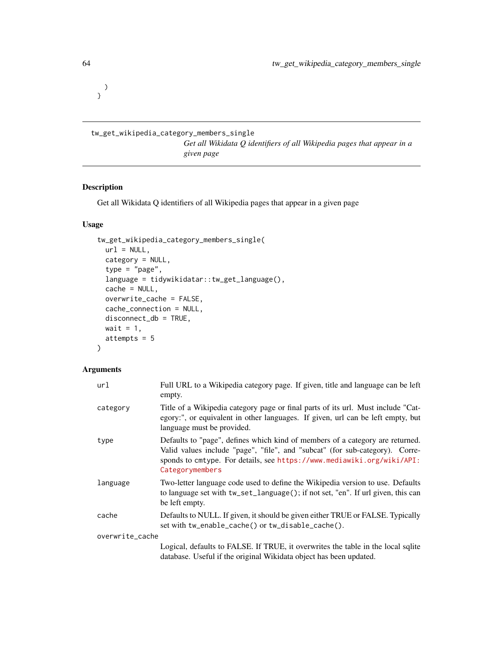) }

tw\_get\_wikipedia\_category\_members\_single *Get all Wikidata Q identifiers of all Wikipedia pages that appear in a given page*

#### Description

Get all Wikidata Q identifiers of all Wikipedia pages that appear in a given page

#### Usage

```
tw_get_wikipedia_category_members_single(
 url = NULL,category = NULL,
  type = "page",language = tidywikidatar::tw_get_language(),
 cache = NULL,
 overwrite_cache = FALSE,
 cache_connection = NULL,
 disconnect_db = TRUE,
 wait = 1,attempts = 5
)
```

| url             | Full URL to a Wikipedia category page. If given, title and language can be left<br>empty.                                                                                                                                                                  |
|-----------------|------------------------------------------------------------------------------------------------------------------------------------------------------------------------------------------------------------------------------------------------------------|
| category        | Title of a Wikipedia category page or final parts of its url. Must include "Cat-<br>egory:", or equivalent in other languages. If given, url can be left empty, but<br>language must be provided.                                                          |
| type            | Defaults to "page", defines which kind of members of a category are returned.<br>Valid values include "page", "file", and "subcat" (for sub-category). Corre-<br>sponds to cmtype. For details, see https://www.mediawiki.org/wiki/API:<br>Categorymembers |
| language        | Two-letter language code used to define the Wikipedia version to use. Defaults<br>to language set with tw_set_language(); if not set, "en". If url given, this can<br>be left empty.                                                                       |
| cache           | Defaults to NULL. If given, it should be given either TRUE or FALSE. Typically<br>set with tw_enable_cache() or tw_disable_cache().                                                                                                                        |
| overwrite_cache |                                                                                                                                                                                                                                                            |
|                 | Logical, defaults to FALSE. If TRUE, it overwrites the table in the local sqlite<br>database. Useful if the original Wikidata object has been updated.                                                                                                     |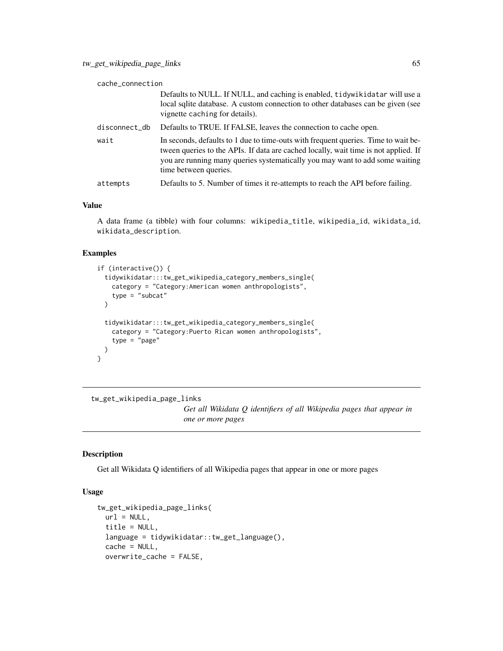| cache_connection |                                                                                                                                                                                                                                                                                    |
|------------------|------------------------------------------------------------------------------------------------------------------------------------------------------------------------------------------------------------------------------------------------------------------------------------|
|                  | Defaults to NULL. If NULL, and caching is enabled, tidywikidatar will use a<br>local sqlite database. A custom connection to other databases can be given (see<br>vignette caching for details).                                                                                   |
| disconnect_db    | Defaults to TRUE. If FALSE, leaves the connection to cache open.                                                                                                                                                                                                                   |
| wait             | In seconds, defaults to 1 due to time-outs with frequent queries. Time to wait be-<br>tween queries to the APIs. If data are cached locally, wait time is not applied. If<br>you are running many queries systematically you may want to add some waiting<br>time between queries. |
| attempts         | Defaults to 5. Number of times it re-attempts to reach the API before failing.                                                                                                                                                                                                     |

A data frame (a tibble) with four columns: wikipedia\_title, wikipedia\_id, wikidata\_id, wikidata\_description.

#### Examples

```
if (interactive()) {
 tidywikidatar:::tw_get_wikipedia_category_members_single(
   category = "Category:American women anthropologists",
   type = "subset'\lambdatidywikidatar:::tw_get_wikipedia_category_members_single(
   category = "Category:Puerto Rican women anthropologists",
   type = "page")
}
```

```
tw_get_wikipedia_page_links
```
*Get all Wikidata Q identifiers of all Wikipedia pages that appear in one or more pages*

## Description

Get all Wikidata Q identifiers of all Wikipedia pages that appear in one or more pages

```
tw_get_wikipedia_page_links(
 url = NULL.title = NULL,
 language = tidywikidatar::tw_get_language(),
 cache = NULL,overwrite_cache = FALSE,
```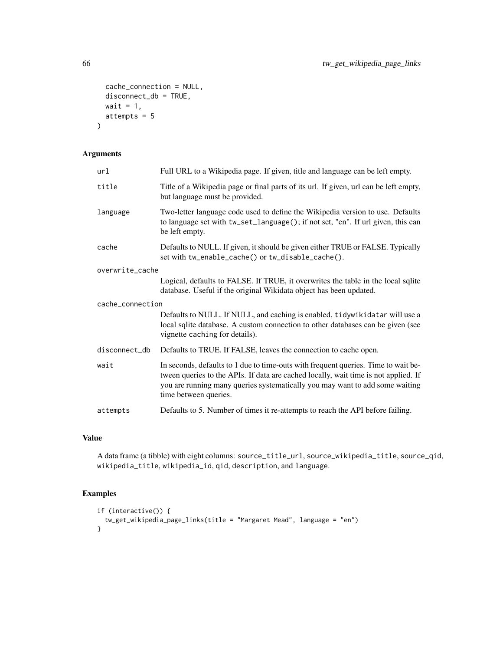```
cache_connection = NULL,
 disconnect_db = TRUE,
 wait = 1,
 attempts = 5
)
```

| url              | Full URL to a Wikipedia page. If given, title and language can be left empty.                                                                                                                                                                                                      |
|------------------|------------------------------------------------------------------------------------------------------------------------------------------------------------------------------------------------------------------------------------------------------------------------------------|
| title            | Title of a Wikipedia page or final parts of its url. If given, url can be left empty,<br>but language must be provided.                                                                                                                                                            |
| language         | Two-letter language code used to define the Wikipedia version to use. Defaults<br>to language set with tw_set_language(); if not set, "en". If url given, this can<br>be left empty.                                                                                               |
| cache            | Defaults to NULL. If given, it should be given either TRUE or FALSE. Typically<br>set with tw_enable_cache() or tw_disable_cache().                                                                                                                                                |
| overwrite_cache  |                                                                                                                                                                                                                                                                                    |
|                  | Logical, defaults to FALSE. If TRUE, it overwrites the table in the local sqlite<br>database. Useful if the original Wikidata object has been updated.                                                                                                                             |
| cache_connection |                                                                                                                                                                                                                                                                                    |
|                  | Defaults to NULL. If NULL, and caching is enabled, tidywikidatar will use a<br>local sqlite database. A custom connection to other databases can be given (see<br>vignette caching for details).                                                                                   |
| disconnect_db    | Defaults to TRUE. If FALSE, leaves the connection to cache open.                                                                                                                                                                                                                   |
| wait             | In seconds, defaults to 1 due to time-outs with frequent queries. Time to wait be-<br>tween queries to the APIs. If data are cached locally, wait time is not applied. If<br>you are running many queries systematically you may want to add some waiting<br>time between queries. |
| attempts         | Defaults to 5. Number of times it re-attempts to reach the API before failing.                                                                                                                                                                                                     |

# Value

A data frame (a tibble) with eight columns: source\_title\_url, source\_wikipedia\_title, source\_qid, wikipedia\_title, wikipedia\_id, qid, description, and language.

```
if (interactive()) {
  tw_get_wikipedia_page_links(title = "Margaret Mead", language = "en")
}
```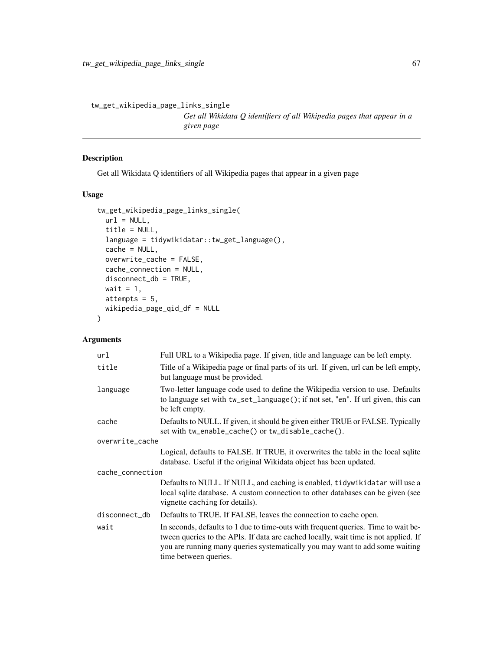tw\_get\_wikipedia\_page\_links\_single

*Get all Wikidata Q identifiers of all Wikipedia pages that appear in a given page*

## Description

Get all Wikidata Q identifiers of all Wikipedia pages that appear in a given page

## Usage

```
tw_get_wikipedia_page_links_single(
 url = NULL,title = NULL,
 language = tidywikidatar::tw_get_language(),
 cache = NULL,
 overwrite_cache = FALSE,
 cache_connection = NULL,
 disconnect_db = TRUE,
 wait = 1,
 attempts = 5,
 wikipedia_page_qid_df = NULL
)
```

| url              | Full URL to a Wikipedia page. If given, title and language can be left empty.                                                                                                                                                                                                      |  |
|------------------|------------------------------------------------------------------------------------------------------------------------------------------------------------------------------------------------------------------------------------------------------------------------------------|--|
| title            | Title of a Wikipedia page or final parts of its url. If given, url can be left empty,<br>but language must be provided.                                                                                                                                                            |  |
| language         | Two-letter language code used to define the Wikipedia version to use. Defaults<br>to language set with tw_set_language(); if not set, "en". If url given, this can<br>be left empty.                                                                                               |  |
| cache            | Defaults to NULL. If given, it should be given either TRUE or FALSE. Typically<br>set with tw_enable_cache() or tw_disable_cache().                                                                                                                                                |  |
| overwrite_cache  |                                                                                                                                                                                                                                                                                    |  |
|                  | Logical, defaults to FALSE. If TRUE, it overwrites the table in the local sqlite<br>database. Useful if the original Wikidata object has been updated.                                                                                                                             |  |
| cache_connection |                                                                                                                                                                                                                                                                                    |  |
|                  | Defaults to NULL. If NULL, and caching is enabled, tidywikidatar will use a<br>local sqlite database. A custom connection to other databases can be given (see<br>vignette caching for details).                                                                                   |  |
| disconnect_db    | Defaults to TRUE. If FALSE, leaves the connection to cache open.                                                                                                                                                                                                                   |  |
| wait             | In seconds, defaults to 1 due to time-outs with frequent queries. Time to wait be-<br>tween queries to the APIs. If data are cached locally, wait time is not applied. If<br>you are running many queries systematically you may want to add some waiting<br>time between queries. |  |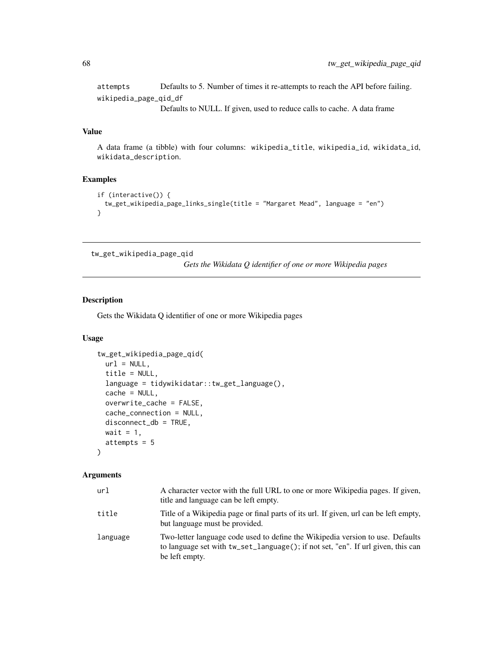attempts Defaults to 5. Number of times it re-attempts to reach the API before failing. wikipedia\_page\_qid\_df Defaults to NULL. If given, used to reduce calls to cache. A data frame

#### Value

A data frame (a tibble) with four columns: wikipedia\_title, wikipedia\_id, wikidata\_id, wikidata\_description.

#### Examples

```
if (interactive()) {
 tw_get_wikipedia_page_links_single(title = "Margaret Mead", language = "en")
}
```
tw\_get\_wikipedia\_page\_qid

*Gets the Wikidata Q identifier of one or more Wikipedia pages*

#### Description

Gets the Wikidata Q identifier of one or more Wikipedia pages

#### Usage

```
tw_get_wikipedia_page_qid(
  url = NULL,title = NULL,
  language = tidywikidatar::tw_get_language(),
  cache = NULL,
  overwrite_cache = FALSE,
  cache_connection = NULL,
  disconnect_db = TRUE,
 wait = 1,
  attempts = 5
)
```

| url      | A character vector with the full URL to one or more Wikipedia pages. If given,<br>title and language can be left empty.                                                              |
|----------|--------------------------------------------------------------------------------------------------------------------------------------------------------------------------------------|
| title    | Title of a Wikipedia page or final parts of its url. If given, url can be left empty,<br>but language must be provided.                                                              |
| language | Two-letter language code used to define the Wikipedia version to use. Defaults<br>to language set with tw_set_language(); if not set, "en". If url given, this can<br>be left empty. |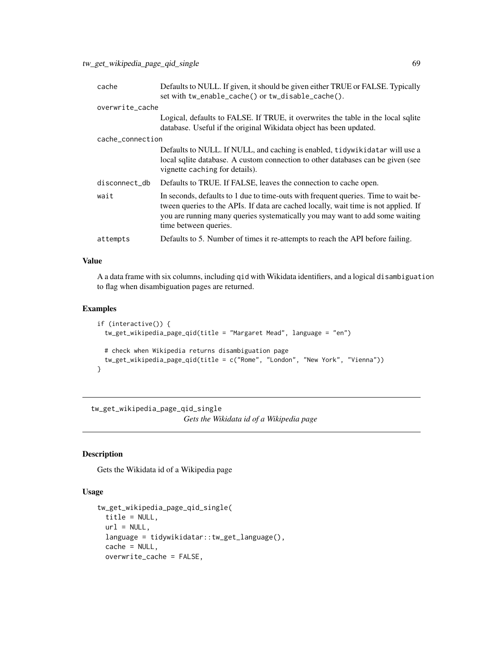| cache            | Defaults to NULL. If given, it should be given either TRUE or FALSE. Typically<br>set with tw_enable_cache() or tw_disable_cache().                                                                                                                                                |
|------------------|------------------------------------------------------------------------------------------------------------------------------------------------------------------------------------------------------------------------------------------------------------------------------------|
| overwrite_cache  |                                                                                                                                                                                                                                                                                    |
|                  | Logical, defaults to FALSE. If TRUE, it overwrites the table in the local sqlite<br>database. Useful if the original Wikidata object has been updated.                                                                                                                             |
| cache_connection |                                                                                                                                                                                                                                                                                    |
|                  | Defaults to NULL. If NULL, and caching is enabled, tidywikidatar will use a<br>local sqlite database. A custom connection to other databases can be given (see<br>vignette caching for details).                                                                                   |
| disconnect_db    | Defaults to TRUE. If FALSE, leaves the connection to cache open.                                                                                                                                                                                                                   |
| wait             | In seconds, defaults to 1 due to time-outs with frequent queries. Time to wait be-<br>tween queries to the APIs. If data are cached locally, wait time is not applied. If<br>you are running many queries systematically you may want to add some waiting<br>time between queries. |
| attempts         | Defaults to 5. Number of times it re-attempts to reach the API before failing.                                                                                                                                                                                                     |

A a data frame with six columns, including qid with Wikidata identifiers, and a logical disambiguation to flag when disambiguation pages are returned.

#### Examples

```
if (interactive()) {
 tw_get_wikipedia_page_qid(title = "Margaret Mead", language = "en")
 # check when Wikipedia returns disambiguation page
 tw_get_wikipedia_page_qid(title = c("Rome", "London", "New York", "Vienna"))
}
```
tw\_get\_wikipedia\_page\_qid\_single *Gets the Wikidata id of a Wikipedia page*

## Description

Gets the Wikidata id of a Wikipedia page

```
tw_get_wikipedia_page_qid_single(
 title = NULL,
 url = NULL,language = tidywikidatar::tw_get_language(),
 cache = NULL,overwrite_cache = FALSE,
```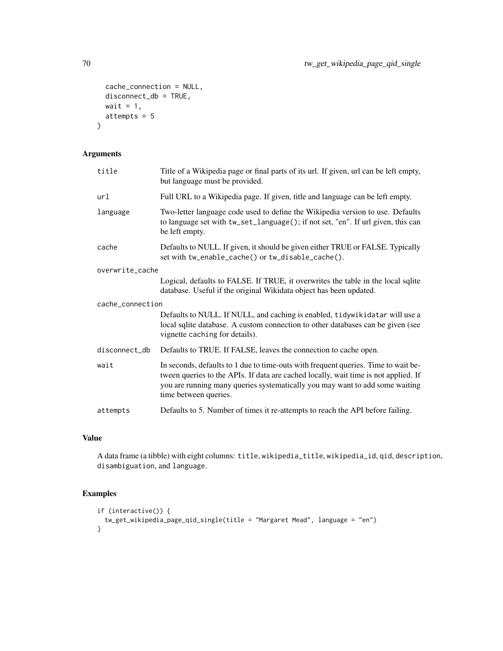```
cache_connection = NULL,
 disconnect_db = TRUE,
 wait = 1,
 attempts = 5
)
```

| title            | Title of a Wikipedia page or final parts of its url. If given, url can be left empty,<br>but language must be provided.                                                                                                                                                            |
|------------------|------------------------------------------------------------------------------------------------------------------------------------------------------------------------------------------------------------------------------------------------------------------------------------|
| url              | Full URL to a Wikipedia page. If given, title and language can be left empty.                                                                                                                                                                                                      |
| language         | Two-letter language code used to define the Wikipedia version to use. Defaults<br>to language set with tw_set_language(); if not set, "en". If url given, this can<br>be left empty.                                                                                               |
| cache            | Defaults to NULL. If given, it should be given either TRUE or FALSE. Typically<br>set with tw_enable_cache() or tw_disable_cache().                                                                                                                                                |
| overwrite_cache  |                                                                                                                                                                                                                                                                                    |
|                  | Logical, defaults to FALSE. If TRUE, it overwrites the table in the local sqlite<br>database. Useful if the original Wikidata object has been updated.                                                                                                                             |
| cache_connection |                                                                                                                                                                                                                                                                                    |
|                  | Defaults to NULL. If NULL, and caching is enabled, tidywikidatar will use a<br>local sqlite database. A custom connection to other databases can be given (see<br>vignette caching for details).                                                                                   |
| disconnect_db    | Defaults to TRUE. If FALSE, leaves the connection to cache open.                                                                                                                                                                                                                   |
| wait             | In seconds, defaults to 1 due to time-outs with frequent queries. Time to wait be-<br>tween queries to the APIs. If data are cached locally, wait time is not applied. If<br>you are running many queries systematically you may want to add some waiting<br>time between queries. |
| attempts         | Defaults to 5. Number of times it re-attempts to reach the API before failing.                                                                                                                                                                                                     |

#### Value

A data frame (a tibble) with eight columns: title, wikipedia\_title, wikipedia\_id, qid, description, disambiguation, and language.

```
if (interactive()) {
  tw_get_wikipedia_page_qid_single(title = "Margaret Mead", language = "en")
}
```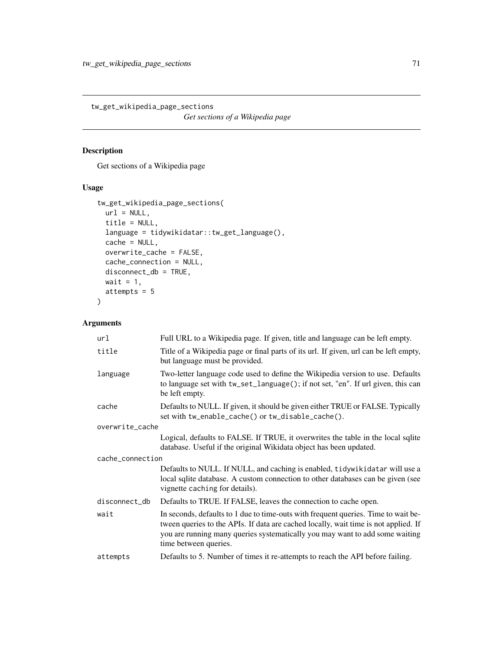tw\_get\_wikipedia\_page\_sections *Get sections of a Wikipedia page*

# Description

Get sections of a Wikipedia page

## Usage

```
tw_get_wikipedia_page_sections(
 url = NULL,title = NULL,
 language = tidywikidatar::tw_get_language(),
 cache = NULL,
 overwrite_cache = FALSE,
 cache_connection = NULL,
 disconnect_db = TRUE,
 wait = 1,
 attempts = 5
)
```

| url              | Full URL to a Wikipedia page. If given, title and language can be left empty.                                                                                                                                                                                                      |  |
|------------------|------------------------------------------------------------------------------------------------------------------------------------------------------------------------------------------------------------------------------------------------------------------------------------|--|
| title            | Title of a Wikipedia page or final parts of its url. If given, url can be left empty,<br>but language must be provided.                                                                                                                                                            |  |
| language         | Two-letter language code used to define the Wikipedia version to use. Defaults<br>to language set with tw_set_language(); if not set, "en". If url given, this can<br>be left empty.                                                                                               |  |
| cache            | Defaults to NULL. If given, it should be given either TRUE or FALSE. Typically<br>set with tw_enable_cache() or tw_disable_cache().                                                                                                                                                |  |
| overwrite_cache  |                                                                                                                                                                                                                                                                                    |  |
|                  | Logical, defaults to FALSE. If TRUE, it overwrites the table in the local sqlite<br>database. Useful if the original Wikidata object has been updated.                                                                                                                             |  |
| cache_connection |                                                                                                                                                                                                                                                                                    |  |
|                  | Defaults to NULL. If NULL, and caching is enabled, tidywikidatar will use a<br>local sqlite database. A custom connection to other databases can be given (see<br>vignette caching for details).                                                                                   |  |
| disconnect_db    | Defaults to TRUE. If FALSE, leaves the connection to cache open.                                                                                                                                                                                                                   |  |
| wait             | In seconds, defaults to 1 due to time-outs with frequent queries. Time to wait be-<br>tween queries to the APIs. If data are cached locally, wait time is not applied. If<br>you are running many queries systematically you may want to add some waiting<br>time between queries. |  |
| attempts         | Defaults to 5. Number of times it re-attempts to reach the API before failing.                                                                                                                                                                                                     |  |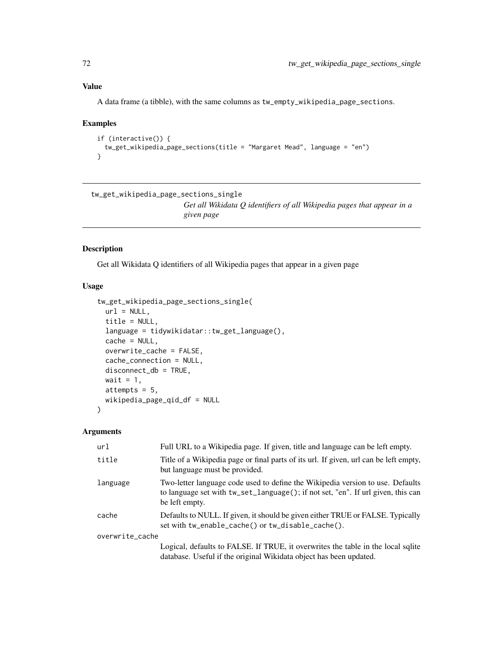A data frame (a tibble), with the same columns as tw\_empty\_wikipedia\_page\_sections.

#### Examples

```
if (interactive()) {
 tw_get_wikipedia_page_sections(title = "Margaret Mead", language = "en")
}
```

```
tw_get_wikipedia_page_sections_single
                          Get all Wikidata Q identifiers of all Wikipedia pages that appear in a
                          given page
```
# Description

Get all Wikidata Q identifiers of all Wikipedia pages that appear in a given page

# Usage

```
tw_get_wikipedia_page_sections_single(
  url = NULL,title = NULL,
  language = tidywikidatar::tw_get_language(),
  cache = NULL,
  overwrite_cache = FALSE,
  cache_connection = NULL,
  disconnect_db = TRUE,
 wait = 1,
  attempts = 5,
 wikipedia_page_qid_df = NULL
)
```

| url             | Full URL to a Wikipedia page. If given, title and language can be left empty.                                                                                                        |
|-----------------|--------------------------------------------------------------------------------------------------------------------------------------------------------------------------------------|
| title           | Title of a Wikipedia page or final parts of its url. If given, url can be left empty,<br>but language must be provided.                                                              |
| language        | Two-letter language code used to define the Wikipedia version to use. Defaults<br>to language set with tw_set_language(); if not set, "en". If url given, this can<br>be left empty. |
| cache           | Defaults to NULL. If given, it should be given either TRUE or FALSE. Typically<br>set with tw_enable_cache() or tw_disable_cache().                                                  |
| overwrite_cache |                                                                                                                                                                                      |
|                 | Logical, defaults to FALSE. If TRUE, it overwrites the table in the local sqlite<br>database. Useful if the original Wikidata object has been updated.                               |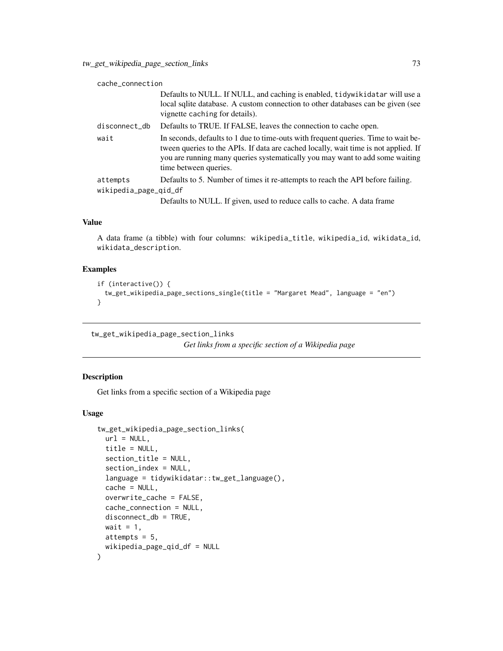<span id="page-72-0"></span>

| cache_connection                  |                                                                                                                                                                                                                                                                                    |
|-----------------------------------|------------------------------------------------------------------------------------------------------------------------------------------------------------------------------------------------------------------------------------------------------------------------------------|
|                                   | Defaults to NULL. If NULL, and caching is enabled, tidywikidatar will use a<br>local sqlite database. A custom connection to other databases can be given (see<br>vignette caching for details).                                                                                   |
| disconnect_db                     | Defaults to TRUE. If FALSE, leaves the connection to cache open.                                                                                                                                                                                                                   |
| wait                              | In seconds, defaults to 1 due to time-outs with frequent queries. Time to wait be-<br>tween queries to the APIs. If data are cached locally, wait time is not applied. If<br>you are running many queries systematically you may want to add some waiting<br>time between queries. |
| attempts<br>wikipedia_page_qid_df | Defaults to 5. Number of times it re-attempts to reach the API before failing.<br>Defaults to NULL. If given, used to reduce calls to cache. A data frame                                                                                                                          |

#### Value

A data frame (a tibble) with four columns: wikipedia\_title, wikipedia\_id, wikidata\_id, wikidata\_description.

# Examples

```
if (interactive()) {
 tw_get_wikipedia_page_sections_single(title = "Margaret Mead", language = "en")
}
```
tw\_get\_wikipedia\_page\_section\_links

*Get links from a specific section of a Wikipedia page*

#### Description

Get links from a specific section of a Wikipedia page

```
tw_get_wikipedia_page_section_links(
 url = NULL,title = NULL,
 section_title = NULL,
 section_index = NULL,
 language = tidywikidatar::tw_get_language(),
 cache = NULL,
 overwrite_cache = FALSE,
 cache_connection = NULL,
 disconnect_db = TRUE,
 wait = 1,
 attempts = 5,
 wikipedia_page_qid_df = NULL
)
```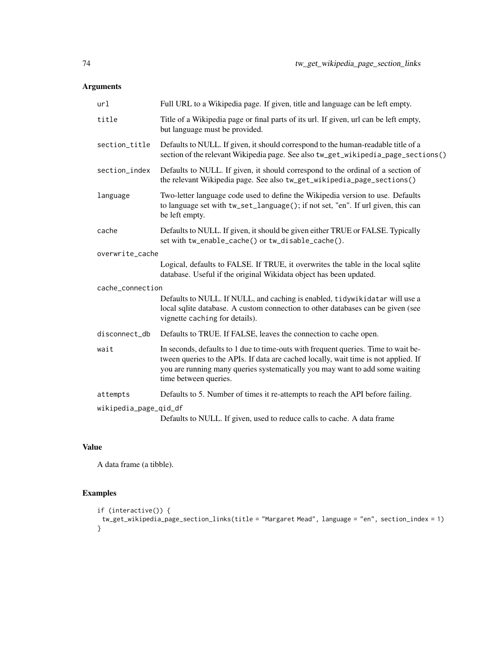| url                   | Full URL to a Wikipedia page. If given, title and language can be left empty.                                                                                                                                                                                                      |
|-----------------------|------------------------------------------------------------------------------------------------------------------------------------------------------------------------------------------------------------------------------------------------------------------------------------|
| title                 | Title of a Wikipedia page or final parts of its url. If given, url can be left empty,<br>but language must be provided.                                                                                                                                                            |
| section_title         | Defaults to NULL. If given, it should correspond to the human-readable title of a<br>section of the relevant Wikipedia page. See also tw_get_wikipedia_page_sections()                                                                                                             |
| section_index         | Defaults to NULL. If given, it should correspond to the ordinal of a section of<br>the relevant Wikipedia page. See also tw_get_wikipedia_page_sections()                                                                                                                          |
| language              | Two-letter language code used to define the Wikipedia version to use. Defaults<br>to language set with tw_set_language(); if not set, "en". If url given, this can<br>be left empty.                                                                                               |
| cache                 | Defaults to NULL. If given, it should be given either TRUE or FALSE. Typically<br>set with tw_enable_cache() or tw_disable_cache().                                                                                                                                                |
| overwrite_cache       |                                                                                                                                                                                                                                                                                    |
|                       | Logical, defaults to FALSE. If TRUE, it overwrites the table in the local sqlite<br>database. Useful if the original Wikidata object has been updated.                                                                                                                             |
| cache_connection      |                                                                                                                                                                                                                                                                                    |
|                       | Defaults to NULL. If NULL, and caching is enabled, tidywikidatar will use a<br>local sqlite database. A custom connection to other databases can be given (see<br>vignette caching for details).                                                                                   |
| disconnect_db         | Defaults to TRUE. If FALSE, leaves the connection to cache open.                                                                                                                                                                                                                   |
| wait                  | In seconds, defaults to 1 due to time-outs with frequent queries. Time to wait be-<br>tween queries to the APIs. If data are cached locally, wait time is not applied. If<br>you are running many queries systematically you may want to add some waiting<br>time between queries. |
| attempts              | Defaults to 5. Number of times it re-attempts to reach the API before failing.                                                                                                                                                                                                     |
| wikipedia_page_qid_df | Defaults to NULL. If given, used to reduce calls to cache. A data frame                                                                                                                                                                                                            |

# Value

A data frame (a tibble).

```
if (interactive()) {
 tw_get_wikipedia_page_section_links(title = "Margaret Mead", language = "en", section_index = 1)
}
```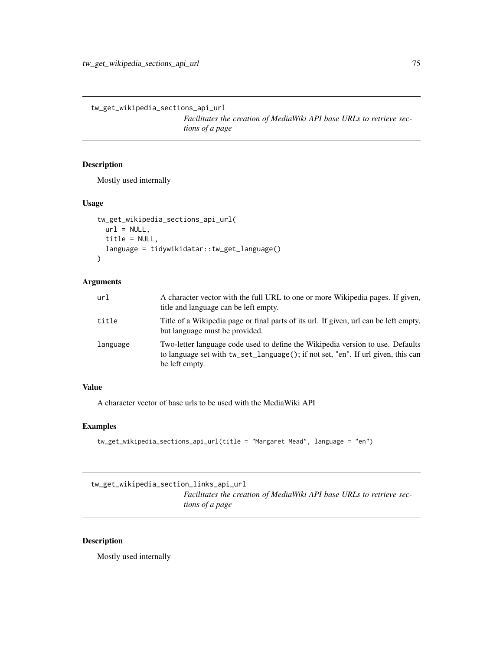<span id="page-74-0"></span>tw\_get\_wikipedia\_sections\_api\_url

*Facilitates the creation of MediaWiki API base URLs to retrieve sections of a page*

# Description

Mostly used internally

#### Usage

```
tw_get_wikipedia_sections_api_url(
 url = NULL,title = NULL,
 language = tidywikidatar::tw_get_language()
\mathcal{L}
```
#### Arguments

| url      | A character vector with the full URL to one or more Wikipedia pages. If given,<br>title and language can be left empty.                                                              |
|----------|--------------------------------------------------------------------------------------------------------------------------------------------------------------------------------------|
| title    | Title of a Wikipedia page or final parts of its url. If given, url can be left empty,<br>but language must be provided.                                                              |
| language | Two-letter language code used to define the Wikipedia version to use. Defaults<br>to language set with tw_set_language(); if not set, "en". If url given, this can<br>be left empty. |

# Value

A character vector of base urls to be used with the MediaWiki API

#### Examples

```
tw_get_wikipedia_sections_api_url(title = "Margaret Mead", language = "en")
```
tw\_get\_wikipedia\_section\_links\_api\_url

*Facilitates the creation of MediaWiki API base URLs to retrieve sections of a page*

#### Description

Mostly used internally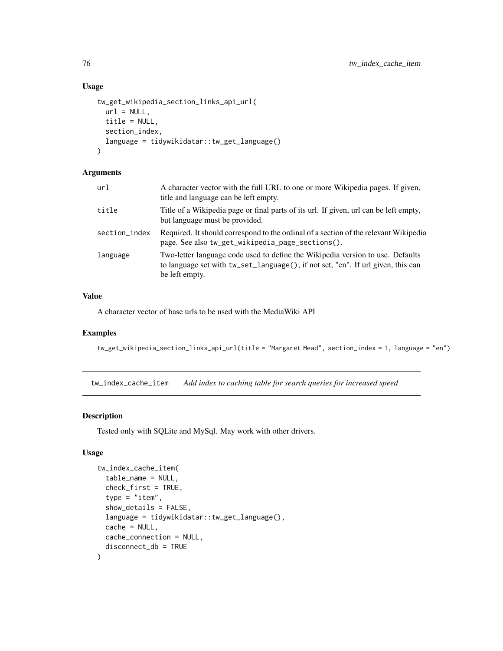# Usage

```
tw_get_wikipedia_section_links_api_url(
  url = NULL,title = NULL,
  section_index,
  language = tidywikidatar::tw_get_language()
\mathcal{L}
```
# Arguments

| title<br>but language must be provided.<br>section_index<br>page. See also tw_get_wikipedia_page_sections().<br>language<br>be left empty. | url | A character vector with the full URL to one or more Wikipedia pages. If given,<br>title and language can be left empty.                                            |
|--------------------------------------------------------------------------------------------------------------------------------------------|-----|--------------------------------------------------------------------------------------------------------------------------------------------------------------------|
|                                                                                                                                            |     | Title of a Wikipedia page or final parts of its url. If given, url can be left empty,                                                                              |
|                                                                                                                                            |     | Required. It should correspond to the ordinal of a section of the relevant Wikipedia                                                                               |
|                                                                                                                                            |     | Two-letter language code used to define the Wikipedia version to use. Defaults<br>to language set with tw_set_language(); if not set, "en". If url given, this can |

#### Value

A character vector of base urls to be used with the MediaWiki API

#### Examples

```
tw_get_wikipedia_section_links_api_url(title = "Margaret Mead", section_index = 1, language = "en")
```
tw\_index\_cache\_item *Add index to caching table for search queries for increased speed*

# Description

Tested only with SQLite and MySql. May work with other drivers.

```
tw_index_cache_item(
 table_name = NULL,
 check_first = TRUE,
  type = "item",show_details = FALSE,
 language = tidywikidatar::tw_get_language(),
 cache = NULL,cache_connection = NULL,
 disconnect_db = TRUE
)
```
<span id="page-75-0"></span>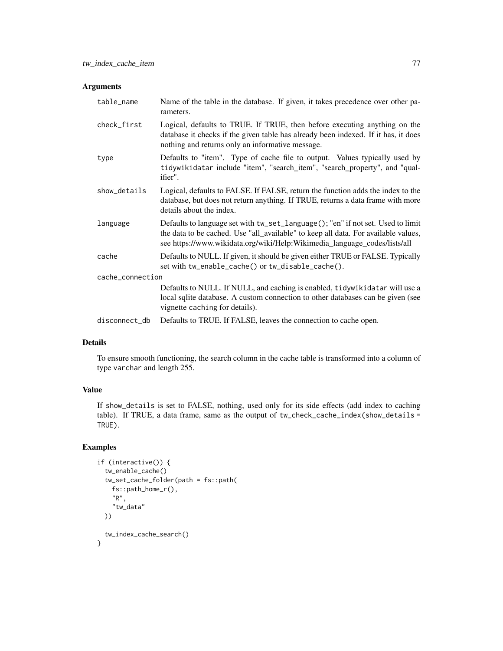| table_name       | Name of the table in the database. If given, it takes precedence over other pa-<br>rameters.                                                                                                                                                       |
|------------------|----------------------------------------------------------------------------------------------------------------------------------------------------------------------------------------------------------------------------------------------------|
| check_first      | Logical, defaults to TRUE. If TRUE, then before executing anything on the<br>database it checks if the given table has already been indexed. If it has, it does<br>nothing and returns only an informative message.                                |
| type             | Defaults to "item". Type of cache file to output. Values typically used by<br>tidywikidatar include "item", "search_item", "search_property", and "qual-<br>ifier".                                                                                |
| show_details     | Logical, defaults to FALSE. If FALSE, return the function adds the index to the<br>database, but does not return anything. If TRUE, returns a data frame with more<br>details about the index.                                                     |
| language         | Defaults to language set with tw_set_language(); "en" if not set. Used to limit<br>the data to be cached. Use "all_available" to keep all data. For available values,<br>see https://www.wikidata.org/wiki/Help:Wikimedia_language_codes/lists/all |
| cache            | Defaults to NULL. If given, it should be given either TRUE or FALSE. Typically<br>set with tw_enable_cache() or tw_disable_cache().                                                                                                                |
| cache_connection |                                                                                                                                                                                                                                                    |
|                  | Defaults to NULL. If NULL, and caching is enabled, tidywikidatar will use a<br>local sqlite database. A custom connection to other databases can be given (see<br>vignette caching for details).                                                   |
| disconnect_db    | Defaults to TRUE. If FALSE, leaves the connection to cache open.                                                                                                                                                                                   |

# Details

To ensure smooth functioning, the search column in the cache table is transformed into a column of type varchar and length 255.

# Value

If show\_details is set to FALSE, nothing, used only for its side effects (add index to caching table). If TRUE, a data frame, same as the output of tw\_check\_cache\_index(show\_details = TRUE).

```
if (interactive()) {
 tw_enable_cache()
 tw_set_cache_folder(path = fs::path(
   fs::path_home_r(),
    "R","tw_data"
 ))
 tw_index_cache_search()
}
```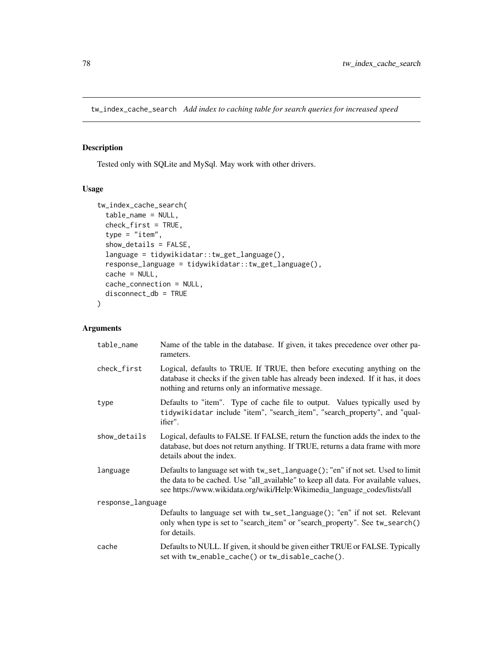<span id="page-77-0"></span>tw\_index\_cache\_search *Add index to caching table for search queries for increased speed*

#### Description

Tested only with SQLite and MySql. May work with other drivers.

### Usage

```
tw_index_cache_search(
  table_name = NULL,
  check_first = TRUE,
  type = "item",
  show_details = FALSE,
  language = tidywikidatar::tw_get_language(),
  response_language = tidywikidatar::tw_get_language(),
  cache = NULL,
  cache_connection = NULL,
  disconnect_db = TRUE
)
```

| table_name        | Name of the table in the database. If given, it takes precedence over other pa-<br>rameters.                                                                                                                                                       |
|-------------------|----------------------------------------------------------------------------------------------------------------------------------------------------------------------------------------------------------------------------------------------------|
| check_first       | Logical, defaults to TRUE. If TRUE, then before executing anything on the<br>database it checks if the given table has already been indexed. If it has, it does<br>nothing and returns only an informative message.                                |
| type              | Defaults to "item". Type of cache file to output. Values typically used by<br>tidywikidatar include "item", "search_item", "search_property", and "qual-<br>ifier".                                                                                |
| show_details      | Logical, defaults to FALSE. If FALSE, return the function adds the index to the<br>database, but does not return anything. If TRUE, returns a data frame with more<br>details about the index.                                                     |
| language          | Defaults to language set with tw_set_language(); "en" if not set. Used to limit<br>the data to be cached. Use "all_available" to keep all data. For available values,<br>see https://www.wikidata.org/wiki/Help:Wikimedia_language_codes/lists/all |
| response_language |                                                                                                                                                                                                                                                    |
|                   | Defaults to language set with tw_set_language(); "en" if not set. Relevant<br>only when type is set to "search_item" or "search_property". See tw_search()<br>for details.                                                                         |
| cache             | Defaults to NULL. If given, it should be given either TRUE or FALSE. Typically<br>set with tw_enable_cache() or tw_disable_cache().                                                                                                                |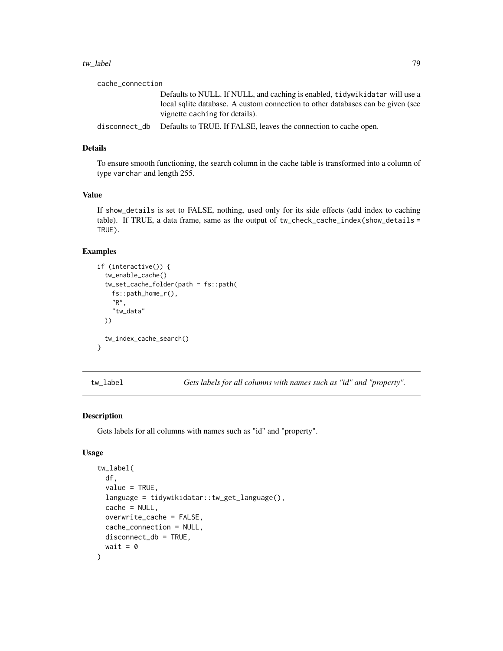#### <span id="page-78-0"></span>tw\_label 79

cache\_connection

Defaults to NULL. If NULL, and caching is enabled, tidywikidatar will use a local sqlite database. A custom connection to other databases can be given (see vignette caching for details).

disconnect\_db Defaults to TRUE. If FALSE, leaves the connection to cache open.

#### Details

To ensure smooth functioning, the search column in the cache table is transformed into a column of type varchar and length 255.

#### Value

If show\_details is set to FALSE, nothing, used only for its side effects (add index to caching table). If TRUE, a data frame, same as the output of  $tw\_check\_cache\_index(show\_details =$ TRUE).

#### Examples

```
if (interactive()) {
 tw_enable_cache()
 tw_set_cache_folder(path = fs::path(
   fs::path_home_r(),
   "R",
    "tw_data"
 ))
 tw_index_cache_search()
}
```
tw\_label *Gets labels for all columns with names such as "id" and "property".*

#### Description

Gets labels for all columns with names such as "id" and "property".

```
tw_label(
  df,
  value = TRUE,language = tidywikidatar::tw_get_language(),
  cache = NULL,overwrite_cache = FALSE,
  cache_connection = NULL,
 disconnect_db = TRUE,
  wait = \theta)
```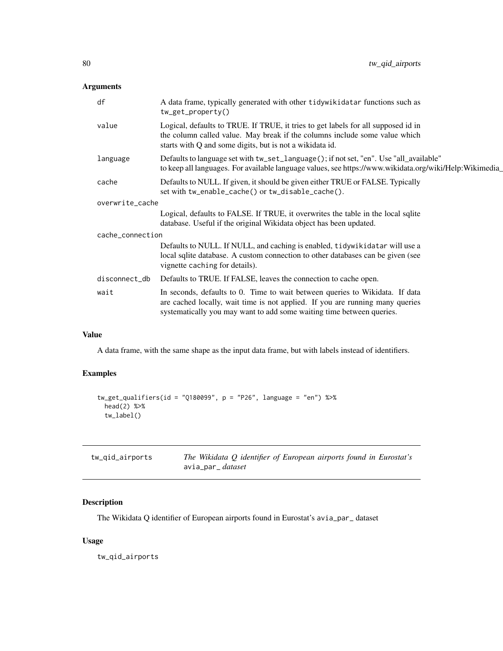<span id="page-79-0"></span>

| df               | A data frame, typically generated with other tidywikidatar functions such as<br>$tw\_get\_property()$                                                                                                                                  |
|------------------|----------------------------------------------------------------------------------------------------------------------------------------------------------------------------------------------------------------------------------------|
| value            | Logical, defaults to TRUE. If TRUE, it tries to get labels for all supposed id in<br>the column called value. May break if the columns include some value which<br>starts with Q and some digits, but is not a wikidata id.            |
| language         | Defaults to language set with tw_set_language(); if not set, "en". Use "all_available"<br>to keep all languages. For available language values, see https://www.wikidata.org/wiki/Help:Wikimedia                                       |
| cache            | Defaults to NULL. If given, it should be given either TRUE or FALSE. Typically<br>set with tw_enable_cache() or tw_disable_cache().                                                                                                    |
| overwrite_cache  |                                                                                                                                                                                                                                        |
|                  | Logical, defaults to FALSE. If TRUE, it overwrites the table in the local sqlite<br>database. Useful if the original Wikidata object has been updated.                                                                                 |
| cache_connection |                                                                                                                                                                                                                                        |
|                  | Defaults to NULL. If NULL, and caching is enabled, tidywikidatar will use a<br>local sqlite database. A custom connection to other databases can be given (see<br>vignette caching for details).                                       |
| disconnect_db    | Defaults to TRUE. If FALSE, leaves the connection to cache open.                                                                                                                                                                       |
| wait             | In seconds, defaults to 0. Time to wait between queries to Wikidata. If data<br>are cached locally, wait time is not applied. If you are running many queries<br>systematically you may want to add some waiting time between queries. |

# Value

A data frame, with the same shape as the input data frame, but with labels instead of identifiers.

# Examples

```
tw_get_qualifiers(id = "Q180099", p = "P26", language = "en") %>%
 head(2) %>%
  tw_label()
```

| tw_qid_airports | The Wikidata Q identifier of European airports found in Eurostat's |
|-----------------|--------------------------------------------------------------------|
|                 | avia_par_ <i>dataset</i>                                           |

# Description

The Wikidata Q identifier of European airports found in Eurostat's avia\_par\_ dataset

#### Usage

tw\_qid\_airports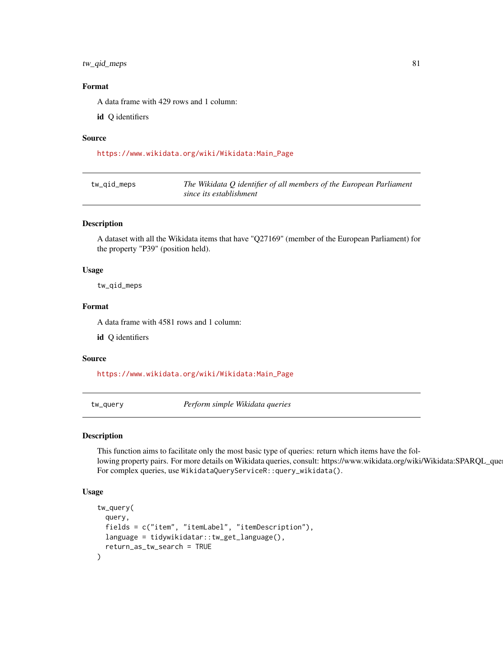#### <span id="page-80-0"></span>tw\_qid\_meps 81

#### Format

A data frame with 429 rows and 1 column:

id Q identifiers

#### Source

[https://www.wikidata.org/wiki/Wikidata:Main\\_Page](https://www.wikidata.org/wiki/Wikidata:Main_Page)

| tw_gid_meps | The Wikidata $Q$ identifier of all members of the European Parliament |
|-------------|-----------------------------------------------------------------------|
|             | since its establishment                                               |

#### Description

A dataset with all the Wikidata items that have "Q27169" (member of the European Parliament) for the property "P39" (position held).

#### Usage

tw\_qid\_meps

#### Format

A data frame with 4581 rows and 1 column:

id Q identifiers

#### Source

[https://www.wikidata.org/wiki/Wikidata:Main\\_Page](https://www.wikidata.org/wiki/Wikidata:Main_Page)

tw\_query *Perform simple Wikidata queries*

#### Description

This function aims to facilitate only the most basic type of queries: return which items have the following property pairs. For more details on Wikidata queries, consult: https://www.wikidata.org/wiki/Wikidata:SPARQL\_que For complex queries, use WikidataQueryServiceR::query\_wikidata().

```
tw_query(
  query,
  fields = c("item", "itemLabel", "itemDescription"),
 language = tidywikidatar::tw_get_language(),
  return_as_tw_search = TRUE
)
```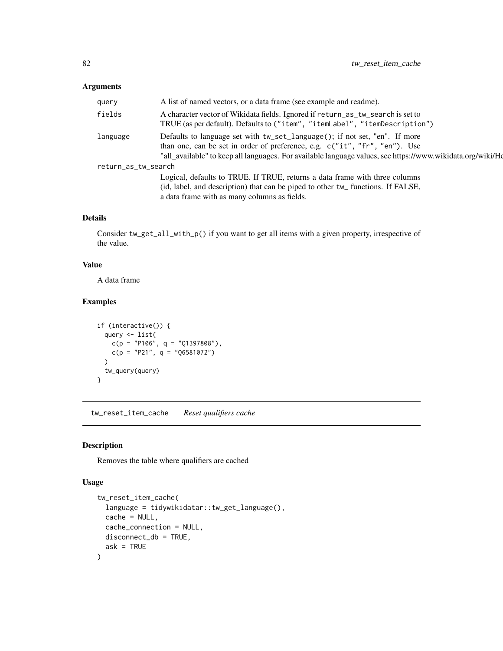<span id="page-81-0"></span>

| query               | A list of named vectors, or a data frame (see example and readme).                                                                                                                                                                                                     |
|---------------------|------------------------------------------------------------------------------------------------------------------------------------------------------------------------------------------------------------------------------------------------------------------------|
| fields              | A character vector of Wikidata fields. Ignored if return_as_tw_search is set to<br>TRUE (as per default). Defaults to ("item", "itemLabel", "itemDescription")                                                                                                         |
| language            | Defaults to language set with tw_set_language(); if not set, "en". If more<br>than one, can be set in order of preference, e.g. c("it", "fr", "en"). Use<br>"all_available" to keep all languages. For available language values, see https://www.wikidata.org/wiki/He |
| return_as_tw_search |                                                                                                                                                                                                                                                                        |
|                     | Logical, defaults to TRUE. If TRUE, returns a data frame with three columns                                                                                                                                                                                            |
|                     | (id, label, and description) that can be piped to other tw_ functions. If FALSE,                                                                                                                                                                                       |
|                     | a data frame with as many columns as fields.                                                                                                                                                                                                                           |

# Details

Consider tw\_get\_all\_with\_p() if you want to get all items with a given property, irrespective of the value.

#### Value

A data frame

# Examples

```
if (interactive()) {
  query <- list(
    c(p = "P106", q = "Q1397808"),c(p = "P21", q = "Q6581072")\mathcal{L}tw_query(query)
}
```
tw\_reset\_item\_cache *Reset qualifiers cache*

# Description

Removes the table where qualifiers are cached

```
tw_reset_item_cache(
  language = tidywikidatar::tw_get_language(),
  cache = NULL,
  cache_connection = NULL,
 disconnect_db = TRUE,
  ask = TRUE\mathcal{E}
```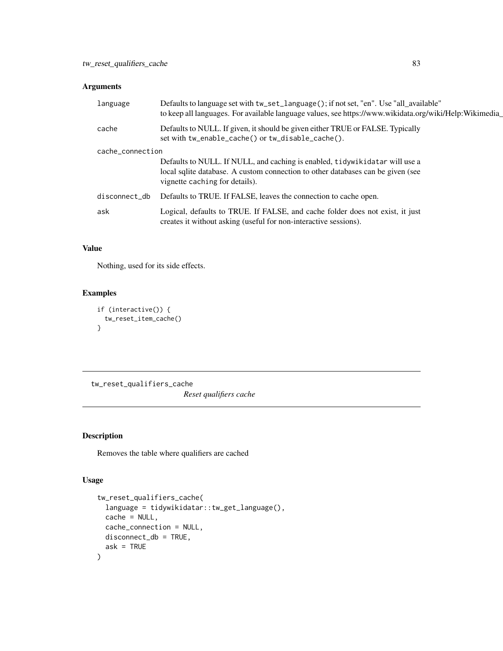<span id="page-82-0"></span>

| language         | Defaults to language set with tw_set_language(); if not set, "en". Use "all_available"<br>to keep all languages. For available language values, see https://www.wikidata.org/wiki/Help:Wikimedia_ |
|------------------|---------------------------------------------------------------------------------------------------------------------------------------------------------------------------------------------------|
| cache            | Defaults to NULL. If given, it should be given either TRUE or FALSE. Typically<br>set with tw_enable_cache() or tw_disable_cache().                                                               |
| cache_connection |                                                                                                                                                                                                   |
|                  | Defaults to NULL. If NULL, and caching is enabled, tidywikidatar will use a<br>local sqlite database. A custom connection to other databases can be given (see<br>vignette caching for details).  |
| disconnect_db    | Defaults to TRUE. If FALSE, leaves the connection to cache open.                                                                                                                                  |
| ask              | Logical, defaults to TRUE. If FALSE, and cache folder does not exist, it just<br>creates it without asking (useful for non-interactive sessions).                                                 |

# Value

Nothing, used for its side effects.

# Examples

```
if (interactive()) {
  tw_reset_item_cache()
}
```
tw\_reset\_qualifiers\_cache *Reset qualifiers cache*

#### Description

Removes the table where qualifiers are cached

```
tw_reset_qualifiers_cache(
  language = tidywikidatar::tw_get_language(),
  cache = NULL,
  cache_connection = NULL,
 disconnect_db = TRUE,
  ask = TRUE\mathcal{E}
```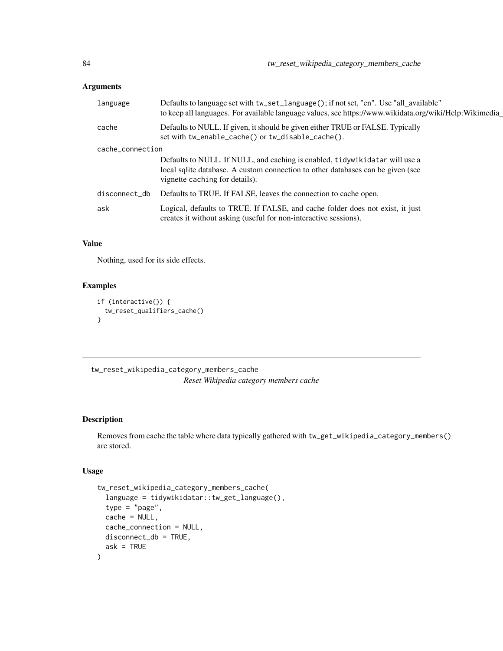<span id="page-83-0"></span>

| language         | Defaults to language set with tw_set_language(); if not set, "en". Use "all_available"<br>to keep all languages. For available language values, see https://www.wikidata.org/wiki/Help:Wikimedia_ |  |
|------------------|---------------------------------------------------------------------------------------------------------------------------------------------------------------------------------------------------|--|
| cache            | Defaults to NULL. If given, it should be given either TRUE or FALSE. Typically<br>set with tw_enable_cache() or tw_disable_cache().                                                               |  |
| cache_connection |                                                                                                                                                                                                   |  |
|                  | Defaults to NULL. If NULL, and caching is enabled, tidywikidatar will use a<br>local sqlite database. A custom connection to other databases can be given (see<br>vignette caching for details).  |  |
| disconnect_db    | Defaults to TRUE. If FALSE, leaves the connection to cache open.                                                                                                                                  |  |
| ask              | Logical, defaults to TRUE. If FALSE, and cache folder does not exist, it just<br>creates it without asking (useful for non-interactive sessions).                                                 |  |

#### Value

Nothing, used for its side effects.

# Examples

```
if (interactive()) {
 tw_reset_qualifiers_cache()
}
```
tw\_reset\_wikipedia\_category\_members\_cache *Reset Wikipedia category members cache*

# Description

Removes from cache the table where data typically gathered with tw\_get\_wikipedia\_category\_members() are stored.

```
tw_reset_wikipedia_category_members_cache(
  language = tidywikidatar::tw_get_language(),
 type = "page",cache = NULL,
 cache_connection = NULL,
 disconnect_db = TRUE,
  ask = TRUE\mathcal{E}
```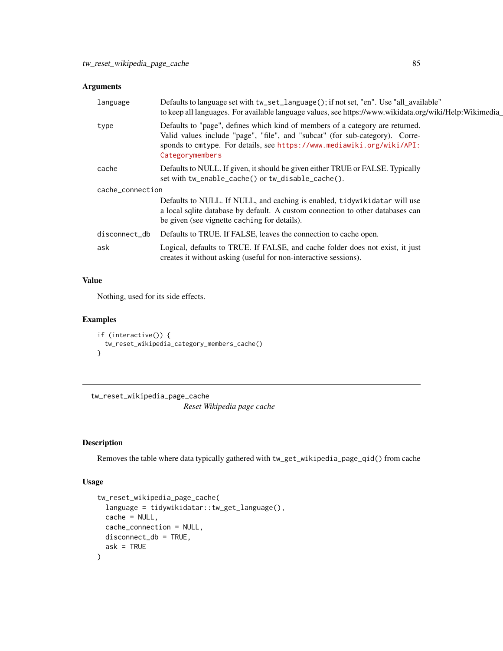<span id="page-84-0"></span>

| language      | Defaults to language set with tw_set_language(); if not set, "en". Use "all_available"<br>to keep all languages. For available language values, see https://www.wikidata.org/wiki/Help:Wikimedia                                                           |  |
|---------------|------------------------------------------------------------------------------------------------------------------------------------------------------------------------------------------------------------------------------------------------------------|--|
| type          | Defaults to "page", defines which kind of members of a category are returned.<br>Valid values include "page", "file", and "subcat" (for sub-category). Corre-<br>sponds to cmtype. For details, see https://www.mediawiki.org/wiki/API:<br>Categorymembers |  |
| cache         | Defaults to NULL. If given, it should be given either TRUE or FALSE. Typically<br>set with tw_enable_cache() or tw_disable_cache().                                                                                                                        |  |
|               | cache_connection                                                                                                                                                                                                                                           |  |
|               | Defaults to NULL. If NULL, and caching is enabled, tidywikidatar will use<br>a local sqlite database by default. A custom connection to other databases can<br>be given (see vignette caching for details).                                                |  |
| disconnect_db | Defaults to TRUE. If FALSE, leaves the connection to cache open.                                                                                                                                                                                           |  |
| ask           | Logical, defaults to TRUE. If FALSE, and cache folder does not exist, it just<br>creates it without asking (useful for non-interactive sessions).                                                                                                          |  |
|               |                                                                                                                                                                                                                                                            |  |

# Value

Nothing, used for its side effects.

#### Examples

```
if (interactive()) {
  tw_reset_wikipedia_category_members_cache()
}
```
tw\_reset\_wikipedia\_page\_cache

*Reset Wikipedia page cache*

#### Description

Removes the table where data typically gathered with tw\_get\_wikipedia\_page\_qid() from cache

```
tw_reset_wikipedia_page_cache(
  language = tidywikidatar::tw_get_language(),
  cache = NULL,
 cache_connection = NULL,
 disconnect_db = TRUE,
  ask = TRUE\mathcal{E}
```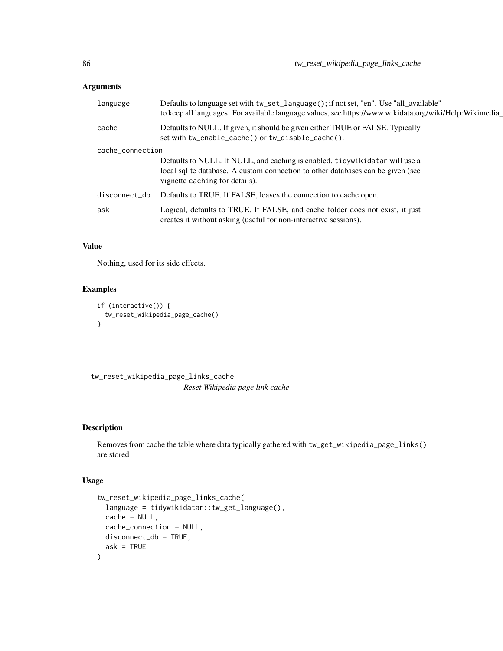<span id="page-85-0"></span>

| language      | Defaults to language set with tw_set_language(); if not set, "en". Use "all_available"<br>to keep all languages. For available language values, see https://www.wikidata.org/wiki/Help:Wikimedia_ |  |  |
|---------------|---------------------------------------------------------------------------------------------------------------------------------------------------------------------------------------------------|--|--|
| cache         | Defaults to NULL. If given, it should be given either TRUE or FALSE. Typically<br>set with tw_enable_cache() or tw_disable_cache().                                                               |  |  |
|               | cache_connection                                                                                                                                                                                  |  |  |
|               | Defaults to NULL. If NULL, and caching is enabled, tidywikidatar will use a<br>local sqlite database. A custom connection to other databases can be given (see<br>vignette caching for details).  |  |  |
| disconnect_db | Defaults to TRUE. If FALSE, leaves the connection to cache open.                                                                                                                                  |  |  |
| ask           | Logical, defaults to TRUE. If FALSE, and cache folder does not exist, it just<br>creates it without asking (useful for non-interactive sessions).                                                 |  |  |

# Value

Nothing, used for its side effects.

# Examples

```
if (interactive()) {
 tw_reset_wikipedia_page_cache()
}
```
tw\_reset\_wikipedia\_page\_links\_cache *Reset Wikipedia page link cache*

#### Description

Removes from cache the table where data typically gathered with tw\_get\_wikipedia\_page\_links() are stored

```
tw_reset_wikipedia_page_links_cache(
  language = tidywikidatar::tw_get_language(),
 cache = NULL,
 cache_connection = NULL,
 disconnect_db = TRUE,
  ask = TRUE\mathcal{E}
```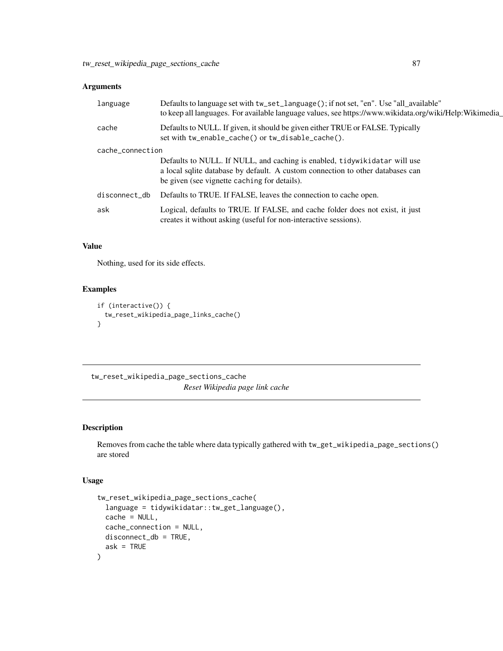<span id="page-86-0"></span>

| language      | Defaults to language set with tw_set_language(); if not set, "en". Use "all_available"<br>to keep all languages. For available language values, see https://www.wikidata.org/wiki/Help:Wikimedia            |  |  |
|---------------|-------------------------------------------------------------------------------------------------------------------------------------------------------------------------------------------------------------|--|--|
| cache         | Defaults to NULL. If given, it should be given either TRUE or FALSE. Typically<br>set with tw_enable_cache() or tw_disable_cache().                                                                         |  |  |
|               | cache_connection                                                                                                                                                                                            |  |  |
|               | Defaults to NULL. If NULL, and caching is enabled, tidywikidatar will use<br>a local sqlite database by default. A custom connection to other databases can<br>be given (see vignette caching for details). |  |  |
| disconnect_db | Defaults to TRUE. If FALSE, leaves the connection to cache open.                                                                                                                                            |  |  |
| ask           | Logical, defaults to TRUE. If FALSE, and cache folder does not exist, it just<br>creates it without asking (useful for non-interactive sessions).                                                           |  |  |

#### Value

Nothing, used for its side effects.

# Examples

```
if (interactive()) {
 tw_reset_wikipedia_page_links_cache()
}
```
tw\_reset\_wikipedia\_page\_sections\_cache *Reset Wikipedia page link cache*

#### Description

Removes from cache the table where data typically gathered with tw\_get\_wikipedia\_page\_sections() are stored

```
tw_reset_wikipedia_page_sections_cache(
  language = tidywikidatar::tw_get_language(),
 cache = NULL,
 cache_connection = NULL,
 disconnect_db = TRUE,
  ask = TRUE\mathcal{E}
```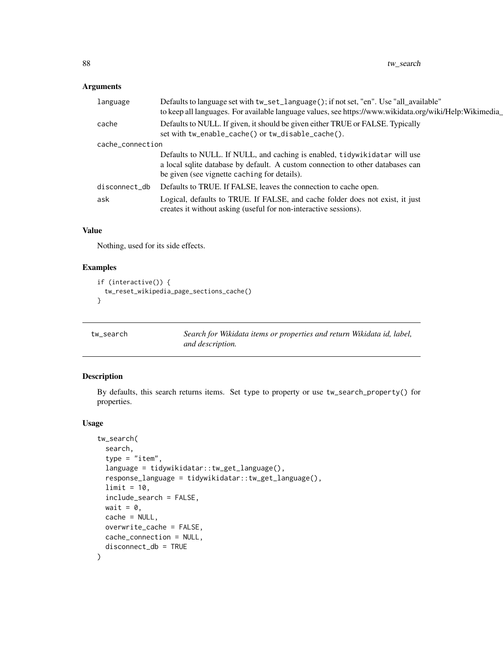<span id="page-87-0"></span>

| language      | Defaults to language set with tw_set_language(); if not set, "en". Use "all_available"<br>to keep all languages. For available language values, see https://www.wikidata.org/wiki/Help:Wikimedia_           |  |  |
|---------------|-------------------------------------------------------------------------------------------------------------------------------------------------------------------------------------------------------------|--|--|
| cache         | Defaults to NULL. If given, it should be given either TRUE or FALSE. Typically<br>set with tw_enable_cache() or tw_disable_cache().                                                                         |  |  |
|               | cache_connection                                                                                                                                                                                            |  |  |
|               | Defaults to NULL. If NULL, and caching is enabled, tidywikidatar will use<br>a local sqlite database by default. A custom connection to other databases can<br>be given (see vignette caching for details). |  |  |
| disconnect_db | Defaults to TRUE. If FALSE, leaves the connection to cache open.                                                                                                                                            |  |  |
| ask           | Logical, defaults to TRUE. If FALSE, and cache folder does not exist, it just<br>creates it without asking (useful for non-interactive sessions).                                                           |  |  |

# Value

Nothing, used for its side effects.

# Examples

```
if (interactive()) {
 tw_reset_wikipedia_page_sections_cache()
}
```
tw\_search *Search for Wikidata items or properties and return Wikidata id, label, and description.*

#### Description

By defaults, this search returns items. Set type to property or use tw\_search\_property() for properties.

```
tw_search(
  search,
  type = "item",language = tidywikidatar::tw_get_language(),
  response_language = tidywikidatar::tw_get_language(),
  limit = 10,include_search = FALSE,
  wait = \theta.
  cache = NULL,
  overwrite_cache = FALSE,
  cache_connection = NULL,
  disconnect_db = TRUE
)
```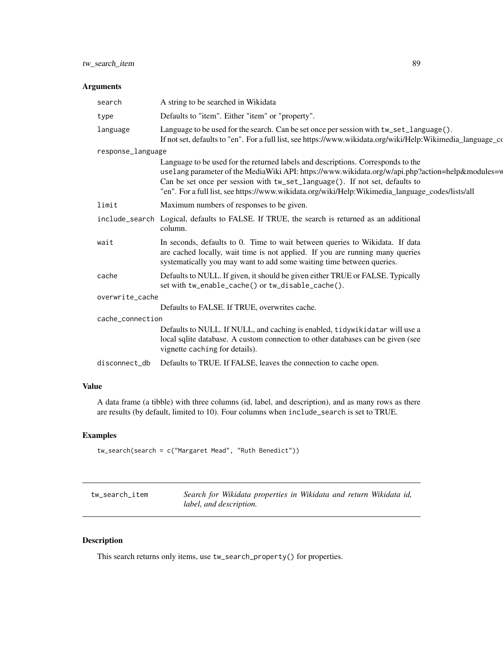<span id="page-88-0"></span>

| search            | A string to be searched in Wikidata                                                                                                                                                                                                                                                                                                                                     |
|-------------------|-------------------------------------------------------------------------------------------------------------------------------------------------------------------------------------------------------------------------------------------------------------------------------------------------------------------------------------------------------------------------|
| type              | Defaults to "item". Either "item" or "property".                                                                                                                                                                                                                                                                                                                        |
| language          | Language to be used for the search. Can be set once per session with $tw\_set\_language()$ .<br>If not set, defaults to "en". For a full list, see https://www.wikidata.org/wiki/Help:Wikimedia_language_co                                                                                                                                                             |
| response_language |                                                                                                                                                                                                                                                                                                                                                                         |
|                   | Language to be used for the returned labels and descriptions. Corresponds to the<br>uselang parameter of the MediaWiki API: https://www.wikidata.org/w/api.php?action=help&modules=v<br>Can be set once per session with tw_set_language(). If not set, defaults to<br>"en". For a full list, see https://www.wikidata.org/wiki/Help:Wikimedia_language_codes/lists/all |
| limit             | Maximum numbers of responses to be given.                                                                                                                                                                                                                                                                                                                               |
|                   | include_search Logical, defaults to FALSE. If TRUE, the search is returned as an additional<br>column.                                                                                                                                                                                                                                                                  |
| wait              | In seconds, defaults to 0. Time to wait between queries to Wikidata. If data<br>are cached locally, wait time is not applied. If you are running many queries<br>systematically you may want to add some waiting time between queries.                                                                                                                                  |
| cache             | Defaults to NULL. If given, it should be given either TRUE or FALSE. Typically<br>set with tw_enable_cache() or tw_disable_cache().                                                                                                                                                                                                                                     |
| overwrite_cache   |                                                                                                                                                                                                                                                                                                                                                                         |
|                   | Defaults to FALSE. If TRUE, overwrites cache.                                                                                                                                                                                                                                                                                                                           |
| cache_connection  |                                                                                                                                                                                                                                                                                                                                                                         |
|                   | Defaults to NULL. If NULL, and caching is enabled, tidywikidatar will use a<br>local sqlite database. A custom connection to other databases can be given (see<br>vignette caching for details).                                                                                                                                                                        |
| disconnect_db     | Defaults to TRUE. If FALSE, leaves the connection to cache open.                                                                                                                                                                                                                                                                                                        |
|                   |                                                                                                                                                                                                                                                                                                                                                                         |

# Value

A data frame (a tibble) with three columns (id, label, and description), and as many rows as there are results (by default, limited to 10). Four columns when include\_search is set to TRUE.

# Examples

tw\_search(search = c("Margaret Mead", "Ruth Benedict"))

| tw search item | Search for Wikidata properties in Wikidata and return Wikidata id, |  |
|----------------|--------------------------------------------------------------------|--|
|                | label, and description.                                            |  |

# Description

This search returns only items, use tw\_search\_property() for properties.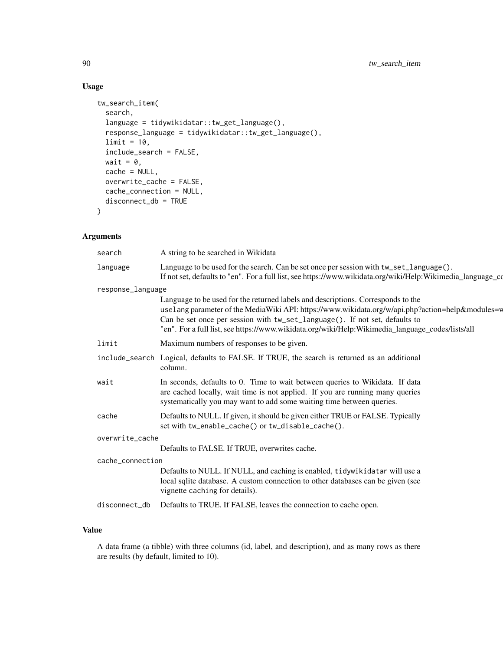# Usage

```
tw_search_item(
  search,
  language = tidywikidatar::tw_get_language(),
  response_language = tidywikidatar::tw_get_language(),
  limit = 10,include_search = FALSE,
 wait = \theta,
 cache = NULL,
  overwrite_cache = FALSE,
 cache_connection = NULL,
 disconnect_db = TRUE
)
```
# Arguments

| search            | A string to be searched in Wikidata                                                                                                                                                                                                                                                                                                                                     |  |
|-------------------|-------------------------------------------------------------------------------------------------------------------------------------------------------------------------------------------------------------------------------------------------------------------------------------------------------------------------------------------------------------------------|--|
| language          | Language to be used for the search. Can be set once per session with tw_set_language().<br>If not set, defaults to "en". For a full list, see https://www.wikidata.org/wiki/Help:Wikimedia_language_co                                                                                                                                                                  |  |
| response_language |                                                                                                                                                                                                                                                                                                                                                                         |  |
|                   | Language to be used for the returned labels and descriptions. Corresponds to the<br>uselang parameter of the MediaWiki API: https://www.wikidata.org/w/api.php?action=help&modules=w<br>Can be set once per session with tw_set_language(). If not set, defaults to<br>"en". For a full list, see https://www.wikidata.org/wiki/Help:Wikimedia_language_codes/lists/all |  |
| limit             | Maximum numbers of responses to be given.                                                                                                                                                                                                                                                                                                                               |  |
|                   | include_search Logical, defaults to FALSE. If TRUE, the search is returned as an additional<br>column.                                                                                                                                                                                                                                                                  |  |
| wait              | In seconds, defaults to 0. Time to wait between queries to Wikidata. If data<br>are cached locally, wait time is not applied. If you are running many queries<br>systematically you may want to add some waiting time between queries.                                                                                                                                  |  |
| cache             | Defaults to NULL. If given, it should be given either TRUE or FALSE. Typically<br>set with tw_enable_cache() or tw_disable_cache().                                                                                                                                                                                                                                     |  |
| overwrite_cache   |                                                                                                                                                                                                                                                                                                                                                                         |  |
|                   | Defaults to FALSE. If TRUE, overwrites cache.                                                                                                                                                                                                                                                                                                                           |  |
| cache_connection  |                                                                                                                                                                                                                                                                                                                                                                         |  |
|                   | Defaults to NULL. If NULL, and caching is enabled, tidywikidatar will use a<br>local sqlite database. A custom connection to other databases can be given (see<br>vignette caching for details).                                                                                                                                                                        |  |
| disconnect_db     | Defaults to TRUE. If FALSE, leaves the connection to cache open.                                                                                                                                                                                                                                                                                                        |  |
|                   |                                                                                                                                                                                                                                                                                                                                                                         |  |

# Value

A data frame (a tibble) with three columns (id, label, and description), and as many rows as there are results (by default, limited to 10).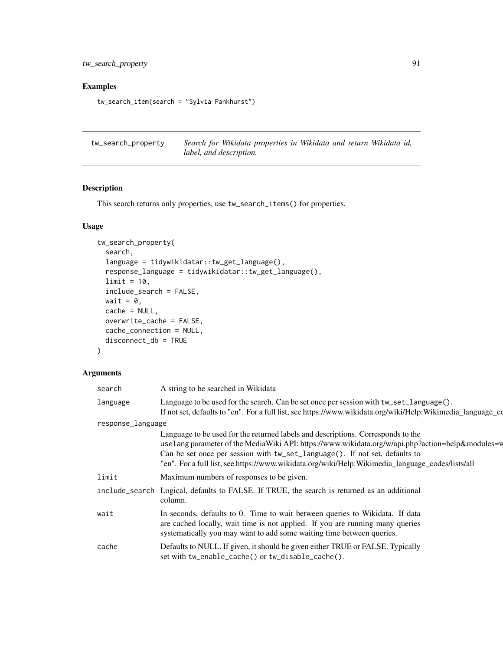<span id="page-90-0"></span>tw\_search\_property 91

# Examples

```
tw_search_item(search = "Sylvia Pankhurst")
```

| tw_search_property | Search for Wikidata properties in Wikidata and return Wikidata id, |
|--------------------|--------------------------------------------------------------------|
|                    | <i>label, and description.</i>                                     |

# Description

This search returns only properties, use tw\_search\_items() for properties.

# Usage

```
tw_search_property(
  search,
  language = tidywikidatar::tw_get_language(),
  response_language = tidywikidatar::tw_get_language(),
 limit = 10,
  include_search = FALSE,
 wait = \theta,
 cache = NULL,
 overwrite_cache = FALSE,
 cache_connection = NULL,
 disconnect_db = TRUE
\mathcal{L}
```

| search            | A string to be searched in Wikidata                                                                                                                                                                                                                                                                                                                                      |
|-------------------|--------------------------------------------------------------------------------------------------------------------------------------------------------------------------------------------------------------------------------------------------------------------------------------------------------------------------------------------------------------------------|
| language          | Language to be used for the search. Can be set once per session with tw_set_language().<br>If not set, defaults to "en". For a full list, see https://www.wikidata.org/wiki/Help:Wikimedia_language_cd                                                                                                                                                                   |
| response_language |                                                                                                                                                                                                                                                                                                                                                                          |
|                   | Language to be used for the returned labels and descriptions. Corresponds to the<br>usel ang parameter of the MediaWiki API: https://www.wikidata.org/w/api.php?action=help&modules=w<br>Can be set once per session with tw_set_language(). If not set, defaults to<br>en". For a full list, see https://www.wikidata.org/wiki/Help:Wikimedia_language_codes/lists/all" |
| limit             | Maximum numbers of responses to be given.                                                                                                                                                                                                                                                                                                                                |
|                   | include_search Logical, defaults to FALSE. If TRUE, the search is returned as an additional<br>column.                                                                                                                                                                                                                                                                   |
| wait              | In seconds, defaults to 0. Time to wait between queries to Wikidata. If data<br>are cached locally, wait time is not applied. If you are running many queries<br>systematically you may want to add some waiting time between queries.                                                                                                                                   |
| cache             | Defaults to NULL. If given, it should be given either TRUE or FALSE. Typically<br>set with tw_enable_cache() or tw_disable_cache().                                                                                                                                                                                                                                      |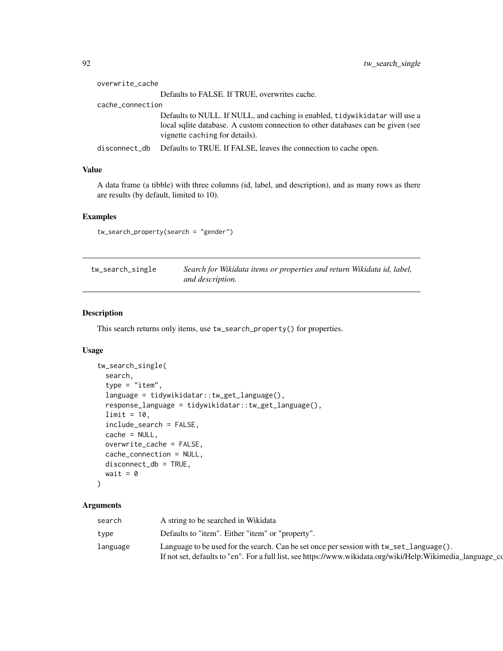<span id="page-91-0"></span>

| overwrite_cache  |                                                                                                                                                                                                      |
|------------------|------------------------------------------------------------------------------------------------------------------------------------------------------------------------------------------------------|
|                  | Defaults to FALSE. If TRUE, overwrites cache.                                                                                                                                                        |
| cache_connection |                                                                                                                                                                                                      |
|                  | Defaults to NULL. If NULL, and caching is enabled, tidy wikid at a r will use a<br>local sqlite database. A custom connection to other databases can be given (see<br>vignette caching for details). |
| disconnect_db    | Defaults to TRUE. If FALSE, leaves the connection to cache open.                                                                                                                                     |
|                  |                                                                                                                                                                                                      |

#### Value

A data frame (a tibble) with three columns (id, label, and description), and as many rows as there are results (by default, limited to 10).

# Examples

tw\_search\_property(search = "gender")

| tw_search_single | Search for Wikidata items or properties and return Wikidata id, label, |
|------------------|------------------------------------------------------------------------|
|                  | and description.                                                       |

#### Description

This search returns only items, use tw\_search\_property() for properties.

#### Usage

```
tw_search_single(
  search,
  type = "item",
  language = tidywikidatar::tw_get_language(),
  response_language = tidywikidatar::tw_get_language(),
  limit = 10,include_search = FALSE,
  cache = NULL,
 overwrite_cache = FALSE,
 cache_connection = NULL,
  disconnect_db = TRUE,
 wait = \theta)
```

| search   | A string to be searched in Wikidata                                                                                                                                                                         |
|----------|-------------------------------------------------------------------------------------------------------------------------------------------------------------------------------------------------------------|
| type     | Defaults to "item". Either "item" or "property".                                                                                                                                                            |
| Language | Language to be used for the search. Can be set once per session with $tw\_set\_language()$ .<br>If not set, defaults to "en". For a full list, see https://www.wikidata.org/wiki/Help:Wikimedia_language_co |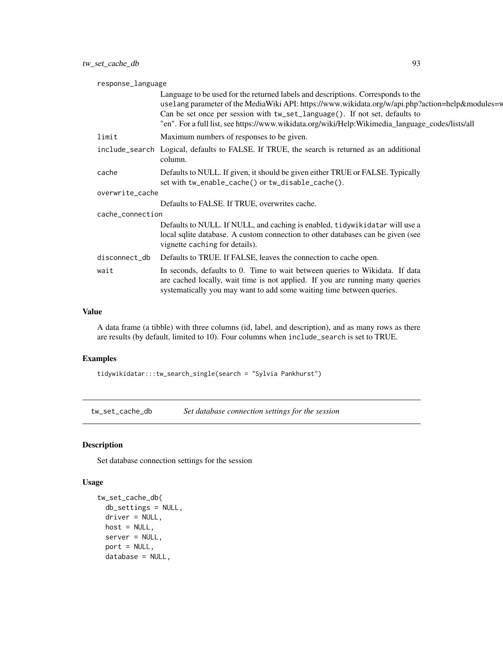<span id="page-92-0"></span>

| response_language |                                                                                                                                                                                                                                                                                                                                                                         |
|-------------------|-------------------------------------------------------------------------------------------------------------------------------------------------------------------------------------------------------------------------------------------------------------------------------------------------------------------------------------------------------------------------|
|                   | Language to be used for the returned labels and descriptions. Corresponds to the<br>uselang parameter of the MediaWiki API: https://www.wikidata.org/w/api.php?action=help&modules=w<br>Can be set once per session with tw_set_language(). If not set, defaults to<br>"en". For a full list, see https://www.wikidata.org/wiki/Help:Wikimedia_language_codes/lists/all |
| limit             | Maximum numbers of responses to be given.                                                                                                                                                                                                                                                                                                                               |
|                   | include_search Logical, defaults to FALSE. If TRUE, the search is returned as an additional<br>column.                                                                                                                                                                                                                                                                  |
| cache             | Defaults to NULL. If given, it should be given either TRUE or FALSE. Typically<br>set with tw_enable_cache() or tw_disable_cache().                                                                                                                                                                                                                                     |
| overwrite_cache   |                                                                                                                                                                                                                                                                                                                                                                         |
|                   | Defaults to FALSE. If TRUE, overwrites cache.                                                                                                                                                                                                                                                                                                                           |
| cache_connection  |                                                                                                                                                                                                                                                                                                                                                                         |
|                   | Defaults to NULL. If NULL, and caching is enabled, tidywikidatar will use a<br>local sqlite database. A custom connection to other databases can be given (see<br>vignette caching for details).                                                                                                                                                                        |
| disconnect_db     | Defaults to TRUE. If FALSE, leaves the connection to cache open.                                                                                                                                                                                                                                                                                                        |
| wait              | In seconds, defaults to 0. Time to wait between queries to Wikidata. If data<br>are cached locally, wait time is not applied. If you are running many queries<br>systematically you may want to add some waiting time between queries.                                                                                                                                  |
|                   |                                                                                                                                                                                                                                                                                                                                                                         |

# Value

A data frame (a tibble) with three columns (id, label, and description), and as many rows as there are results (by default, limited to 10). Four columns when include\_search is set to TRUE.

#### Examples

tidywikidatar:::tw\_search\_single(search = "Sylvia Pankhurst")

tw\_set\_cache\_db *Set database connection settings for the session*

#### Description

Set database connection settings for the session

```
tw_set_cache_db(
  db_settings = NULL,
  driver = NULL,
 host = NULL,
  server = NULL,
  port = NULL,
  database = NULL,
```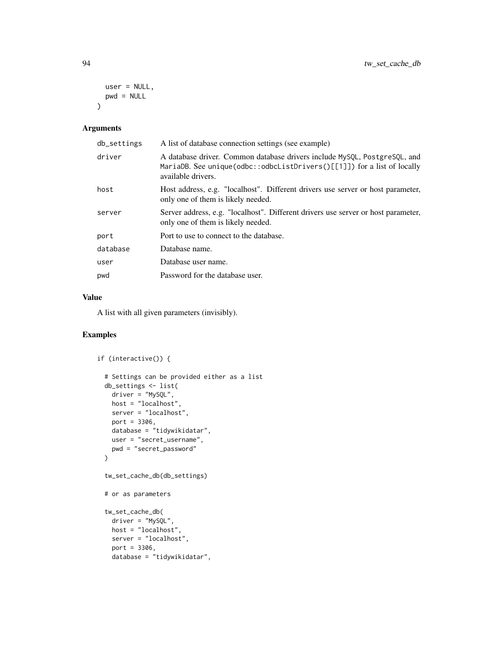```
user = NULL,
  pwd = NULL
\lambda
```

| db_settings | A list of database connection settings (see example)                                                                                                                          |
|-------------|-------------------------------------------------------------------------------------------------------------------------------------------------------------------------------|
| driver      | A database driver. Common database drivers include MySOL, PostgreSOL, and<br>MariaDB. See unique(odbc::odbcListDrivers() $[1]$ ]) for a list of locally<br>available drivers. |
| host        | Host address, e.g. "localhost". Different drivers use server or host parameter,<br>only one of them is likely needed.                                                         |
| server      | Server address, e.g. "localhost". Different drivers use server or host parameter,<br>only one of them is likely needed.                                                       |
| port        | Port to use to connect to the database.                                                                                                                                       |
| database    | Database name.                                                                                                                                                                |
| user        | Database user name.                                                                                                                                                           |
| pwd         | Password for the database user.                                                                                                                                               |
|             |                                                                                                                                                                               |

#### Value

A list with all given parameters (invisibly).

```
if (interactive()) {
 # Settings can be provided either as a list
 db_settings <- list(
   \overline{d}river = "MySQL",
   host = "localhost",
   server = "localhost",
   port = 3306,
   database = "tidywikidatar",
   user = "secret_username",
   pwd = "secret_password"
 \mathcal{L}tw_set_cache_db(db_settings)
 # or as parameters
 tw_set_cache_db(
   driver = "MySQL",
   host = "localhost",
   server = "localhost",
   port = 3306,database = "tidywikidatar",
```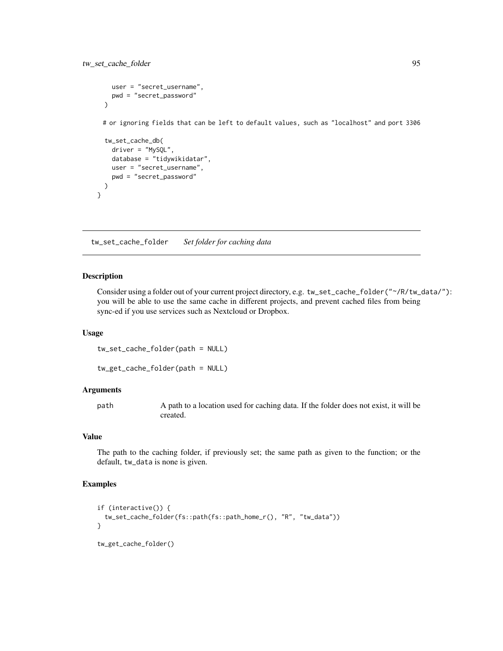```
user = "secret_username",
  pwd = "secret_password"
)
# or ignoring fields that can be left to default values, such as "localhost" and port 3306
tw_set_cache_db(
  driver = "MySQL",
  database = "tidywikidatar",
  user = "secret_username",
  pwd = "secret_password"
)
```
tw\_set\_cache\_folder *Set folder for caching data*

#### Description

}

Consider using a folder out of your current project directory, e.g. tw\_set\_cache\_folder("~/R/tw\_data/"): you will be able to use the same cache in different projects, and prevent cached files from being sync-ed if you use services such as Nextcloud or Dropbox.

#### Usage

tw\_set\_cache\_folder(path = NULL)

```
tw_get_cache_folder(path = NULL)
```
#### Arguments

path A path to a location used for caching data. If the folder does not exist, it will be created.

# Value

The path to the caching folder, if previously set; the same path as given to the function; or the default, tw\_data is none is given.

```
if (interactive()) {
 tw_set_cache_folder(fs::path(fs::path_home_r(), "R", "tw_data"))
}
```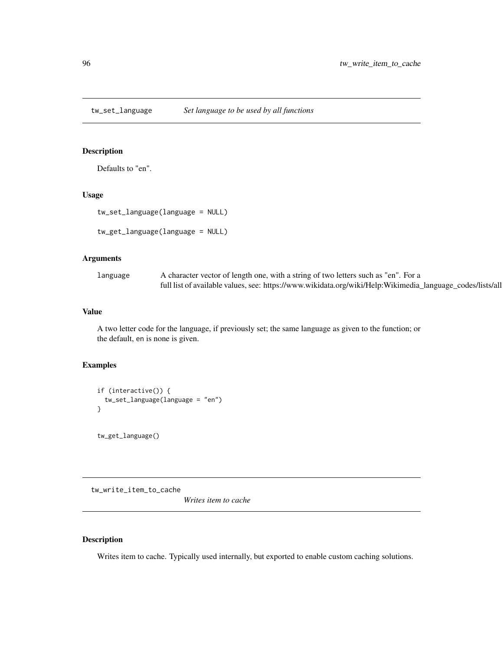<span id="page-95-0"></span>tw\_set\_language *Set language to be used by all functions*

#### Description

Defaults to "en".

#### Usage

```
tw_set_language(language = NULL)
```

```
tw_get_language(language = NULL)
```
#### Arguments

| language | A character vector of length one, with a string of two letters such as "en". For a                        |
|----------|-----------------------------------------------------------------------------------------------------------|
|          | full list of available values, see: https://www.wikidata.org/wiki/Help:Wikimedia_language_codes/lists/all |

# Value

A two letter code for the language, if previously set; the same language as given to the function; or the default, en is none is given.

# Examples

```
if (interactive()) {
  tw_set_language(language = "en")
}
```
tw\_get\_language()

tw\_write\_item\_to\_cache

*Writes item to cache*

#### Description

Writes item to cache. Typically used internally, but exported to enable custom caching solutions.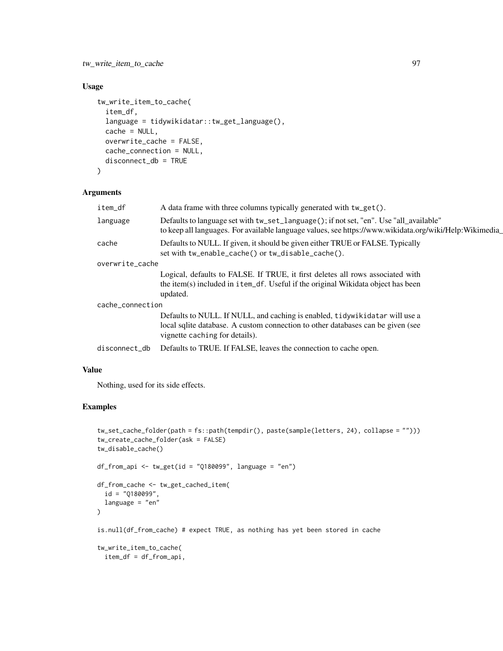#### tw\_write\_item\_to\_cache 97

# Usage

```
tw_write_item_to_cache(
  item_df,
  language = tidywikidatar::tw_get_language(),
  cache = NULL,
 overwrite_cache = FALSE,
  cache_connection = NULL,
 disconnect_db = TRUE
\mathcal{L}
```
#### Arguments

| item_df          | A data frame with three columns typically generated with tw_get().                                                                                                                               |
|------------------|--------------------------------------------------------------------------------------------------------------------------------------------------------------------------------------------------|
| language         | Defaults to language set with tw_set_language(); if not set, "en". Use "all_available"<br>to keep all languages. For available language values, see https://www.wikidata.org/wiki/Help:Wikimedia |
| cache            | Defaults to NULL. If given, it should be given either TRUE or FALSE. Typically<br>set with tw_enable_cache() or tw_disable_cache().                                                              |
| overwrite_cache  |                                                                                                                                                                                                  |
|                  | Logical, defaults to FALSE. If TRUE, it first deletes all rows associated with<br>the item(s) included in item_df. Useful if the original Wikidata object has been<br>updated.                   |
| cache_connection |                                                                                                                                                                                                  |
|                  | Defaults to NULL. If NULL, and caching is enabled, tidywikidatar will use a<br>local sqlite database. A custom connection to other databases can be given (see<br>vignette caching for details). |
| disconnect_db    | Defaults to TRUE. If FALSE, leaves the connection to cache open.                                                                                                                                 |
|                  |                                                                                                                                                                                                  |

# Value

Nothing, used for its side effects.

```
tw_set_cache_folder(path = fs::path(tempdir(), paste(sample(letters, 24), collapse = "")))
tw_create_cache_folder(ask = FALSE)
tw_disable_cache()
df_from\_api \leq tw_get(id = "Q180099", language = "en")df_from_cache <- tw_get_cached_item(
  id = "Q180099",
  language = "en"
)
is.null(df_from_cache) # expect TRUE, as nothing has yet been stored in cache
tw_write_item_to_cache(
  item_df = df_from_api,
```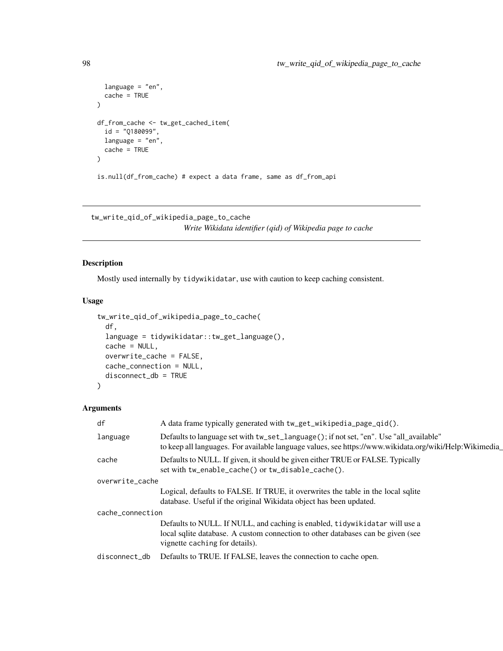```
language = "en",
  cache = TRUE
\mathcal{L}df_from_cache <- tw_get_cached_item(
  id = "Q180099",language = "en",
  cache = TRUE
\mathcal{L}is.null(df_from_cache) # expect a data frame, same as df_from_api
```
tw\_write\_qid\_of\_wikipedia\_page\_to\_cache *Write Wikidata identifier (qid) of Wikipedia page to cache*

# Description

Mostly used internally by tidywikidatar, use with caution to keep caching consistent.

#### Usage

```
tw_write_qid_of_wikipedia_page_to_cache(
  df,
  language = tidywikidatar::tw_get_language(),
  cache = NULL,overwrite_cache = FALSE,
 cache_connection = NULL,
 disconnect_db = TRUE
)
```

| df               | A data frame typically generated with tw_get_wikipedia_page_qid().                                                                                                                               |
|------------------|--------------------------------------------------------------------------------------------------------------------------------------------------------------------------------------------------|
| language         | Defaults to language set with tw_set_language(); if not set, "en". Use "all_available"<br>to keep all languages. For available language values, see https://www.wikidata.org/wiki/Help:Wikimedia |
| cache            | Defaults to NULL. If given, it should be given either TRUE or FALSE. Typically<br>set with tw_enable_cache() or tw_disable_cache().                                                              |
| overwrite_cache  |                                                                                                                                                                                                  |
|                  | Logical, defaults to FALSE. If TRUE, it overwrites the table in the local sqlite                                                                                                                 |
|                  | database. Useful if the original Wikidata object has been updated.                                                                                                                               |
| cache_connection |                                                                                                                                                                                                  |
|                  | Defaults to NULL. If NULL, and caching is enabled, tidywikidatar will use a                                                                                                                      |
|                  | local sqlite database. A custom connection to other databases can be given (see<br>vignette caching for details).                                                                                |
| disconnect_db    | Defaults to TRUE. If FALSE, leaves the connection to cache open.                                                                                                                                 |
|                  |                                                                                                                                                                                                  |

<span id="page-97-0"></span>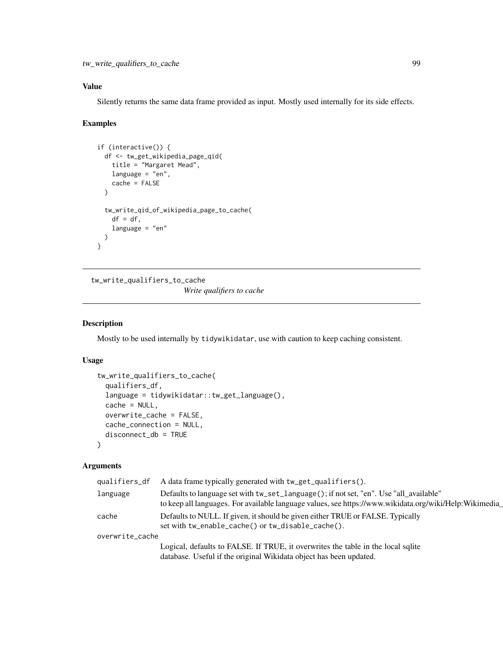<span id="page-98-0"></span>tw\_write\_qualifiers\_to\_cache 99

# Value

Silently returns the same data frame provided as input. Mostly used internally for its side effects.

# Examples

```
if (interactive()) {
 df <- tw_get_wikipedia_page_qid(
   title = "Margaret Mead",
   language = "en",
   cache = FALSE
 \lambdatw_write_qid_of_wikipedia_page_to_cache(
   df = df,
   language = "en"
 )
}
```
tw\_write\_qualifiers\_to\_cache

*Write qualifiers to cache*

#### Description

Mostly to be used internally by tidywikidatar, use with caution to keep caching consistent.

#### Usage

```
tw_write_qualifiers_to_cache(
  qualifiers_df,
  language = tidywikidatar::tw_get_language(),
  cache = NULL,
 overwrite_cache = FALSE,
  cache_connection = NULL,
  disconnect_db = TRUE
\lambda
```

| qualifiers_df   | A data frame typically generated with tw_get_qualifiers().                                                                                                                                       |
|-----------------|--------------------------------------------------------------------------------------------------------------------------------------------------------------------------------------------------|
| language        | Defaults to language set with tw_set_language(); if not set, "en". Use "all_available"<br>to keep all languages. For available language values, see https://www.wikidata.org/wiki/Help:Wikimedia |
| cache           | Defaults to NULL. If given, it should be given either TRUE or FALSE. Typically<br>set with tw_enable_cache() or tw_disable_cache().                                                              |
| overwrite_cache |                                                                                                                                                                                                  |
|                 | Logical, defaults to FALSE. If TRUE, it overwrites the table in the local sqlite                                                                                                                 |
|                 | database. Useful if the original Wikidata object has been updated.                                                                                                                               |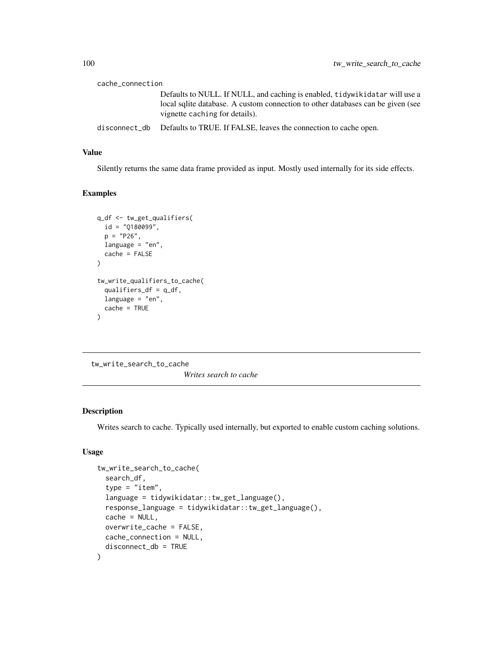<span id="page-99-0"></span>

| cache_connection |                                                                                                                                                                                                  |
|------------------|--------------------------------------------------------------------------------------------------------------------------------------------------------------------------------------------------|
|                  | Defaults to NULL. If NULL, and caching is enabled, tidywikidatar will use a<br>local sqlite database. A custom connection to other databases can be given (see<br>vignette caching for details). |
|                  | disconnect_db Defaults to TRUE. If FALSE, leaves the connection to cache open.                                                                                                                   |

#### Value

Silently returns the same data frame provided as input. Mostly used internally for its side effects.

#### Examples

```
q_df <- tw_get_qualifiers(
  id = "Q180099",p = "P26",language = "en",
  cache = FALSE
\mathcal{L}tw_write_qualifiers_to_cache(
  qualifiers_df = q_ddf,
  language = "en",
  cache = TRUE
\mathcal{L}
```
tw\_write\_search\_to\_cache

*Writes search to cache*

#### Description

Writes search to cache. Typically used internally, but exported to enable custom caching solutions.

```
tw_write_search_to_cache(
 search_df,
  type = "item",language = tidywikidatar::tw_get_language(),
 response_language = tidywikidatar::tw_get_language(),
 cache = NULL,
 overwrite_cache = FALSE,
 cache_connection = NULL,
 disconnect_db = TRUE
)
```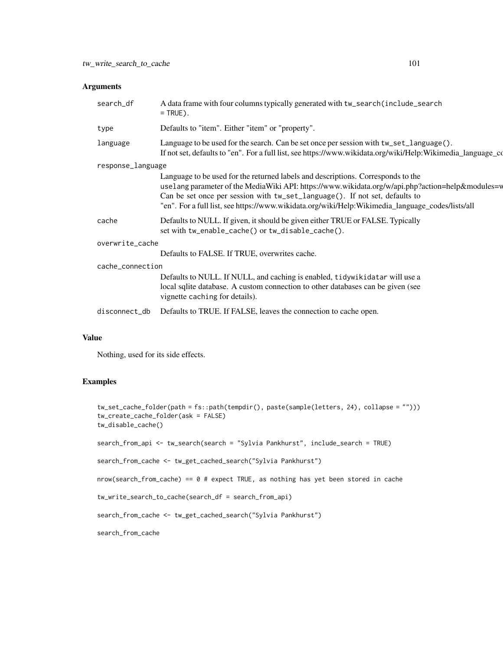| search_df         | A data frame with four columns typically generated with tw_search(include_search)<br>$=$ TRUE).                                                                                                                                                                                                                                                                         |
|-------------------|-------------------------------------------------------------------------------------------------------------------------------------------------------------------------------------------------------------------------------------------------------------------------------------------------------------------------------------------------------------------------|
| type              | Defaults to "item". Either "item" or "property".                                                                                                                                                                                                                                                                                                                        |
| language          | Language to be used for the search. Can be set once per session with $tw\_set\_language()$ .<br>If not set, defaults to "en". For a full list, see https://www.wikidata.org/wiki/Help:Wikimedia_language_co                                                                                                                                                             |
| response_language |                                                                                                                                                                                                                                                                                                                                                                         |
|                   | Language to be used for the returned labels and descriptions. Corresponds to the<br>uselang parameter of the MediaWiki API: https://www.wikidata.org/w/api.php?action=help&modules=w<br>Can be set once per session with tw_set_language(). If not set, defaults to<br>"en". For a full list, see https://www.wikidata.org/wiki/Help:Wikimedia_language_codes/lists/all |
| cache             | Defaults to NULL. If given, it should be given either TRUE or FALSE. Typically<br>set with tw_enable_cache() or tw_disable_cache().                                                                                                                                                                                                                                     |
| overwrite_cache   |                                                                                                                                                                                                                                                                                                                                                                         |
|                   | Defaults to FALSE. If TRUE, overwrites cache.                                                                                                                                                                                                                                                                                                                           |
| cache_connection  |                                                                                                                                                                                                                                                                                                                                                                         |
|                   | Defaults to NULL. If NULL, and caching is enabled, tidywikidatar will use a<br>local sqlite database. A custom connection to other databases can be given (see<br>vignette caching for details).                                                                                                                                                                        |
| disconnect_db     | Defaults to TRUE. If FALSE, leaves the connection to cache open.                                                                                                                                                                                                                                                                                                        |

# Value

Nothing, used for its side effects.

```
tw_set_cache_folder(path = fs::path(tempdir(), paste(sample(letters, 24), collapse = "")))
tw_create_cache_folder(ask = FALSE)
tw_disable_cache()
search_from_api <- tw_search(search = "Sylvia Pankhurst", include_search = TRUE)
search_from_cache <- tw_get_cached_search("Sylvia Pankhurst")
nrow(search_from_cache) == 0 # expect TRUE, as nothing has yet been stored in cache
tw_write_search_to_cache(search_df = search_from_api)
search_from_cache <- tw_get_cached_search("Sylvia Pankhurst")
search_from_cache
```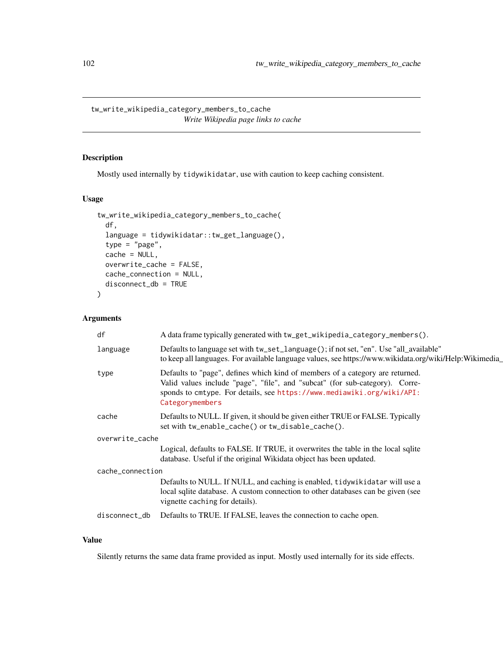<span id="page-101-0"></span>tw\_write\_wikipedia\_category\_members\_to\_cache *Write Wikipedia page links to cache*

#### Description

Mostly used internally by tidywikidatar, use with caution to keep caching consistent.

# Usage

```
tw_write_wikipedia_category_members_to_cache(
  df,
 language = tidywikidatar::tw_get_language(),
  type = "page",cache = NULL,
 overwrite_cache = FALSE,
 cache_connection = NULL,
 disconnect_db = TRUE
\mathcal{L}
```
#### Arguments

| df               | A data frame typically generated with tw_get_wikipedia_category_members().                                                                                                                                                                                 |  |
|------------------|------------------------------------------------------------------------------------------------------------------------------------------------------------------------------------------------------------------------------------------------------------|--|
| language         | Defaults to language set with tw_set_language(); if not set, "en". Use "all_available"<br>to keep all languages. For available language values, see https://www.wikidata.org/wiki/Help:Wikimedia_                                                          |  |
| type             | Defaults to "page", defines which kind of members of a category are returned.<br>Valid values include "page", "file", and "subcat" (for sub-category). Corre-<br>sponds to cmtype. For details, see https://www.mediawiki.org/wiki/API:<br>Categorymembers |  |
| cache            | Defaults to NULL. If given, it should be given either TRUE or FALSE. Typically<br>set with tw_enable_cache() or tw_disable_cache().                                                                                                                        |  |
| overwrite_cache  |                                                                                                                                                                                                                                                            |  |
|                  | Logical, defaults to FALSE. If TRUE, it overwrites the table in the local sqlite<br>database. Useful if the original Wikidata object has been updated.                                                                                                     |  |
| cache_connection |                                                                                                                                                                                                                                                            |  |
|                  | Defaults to NULL. If NULL, and caching is enabled, tidywikidatar will use a<br>local sqlite database. A custom connection to other databases can be given (see<br>vignette caching for details).                                                           |  |
| disconnect_db    | Defaults to TRUE. If FALSE, leaves the connection to cache open.                                                                                                                                                                                           |  |
|                  |                                                                                                                                                                                                                                                            |  |

# Value

Silently returns the same data frame provided as input. Mostly used internally for its side effects.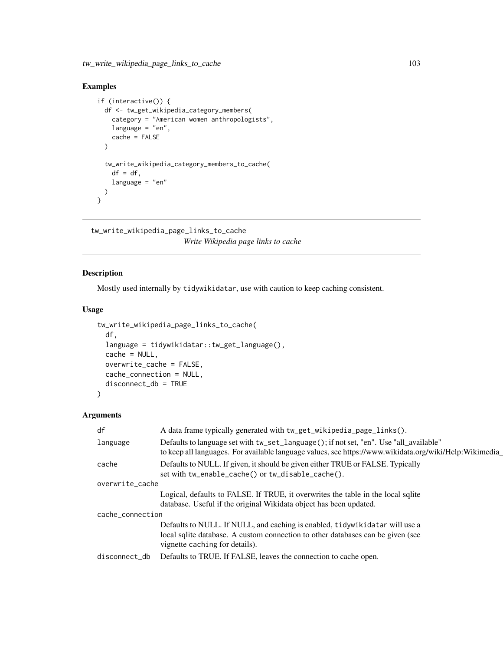# <span id="page-102-0"></span>Examples

```
if (interactive()) {
 df <- tw_get_wikipedia_category_members(
   category = "American women anthropologists",
   language = "en",
   cache = FALSE
 \lambdatw_write_wikipedia_category_members_to_cache(
   df = df,
   language = "en"
 )
}
```
tw\_write\_wikipedia\_page\_links\_to\_cache *Write Wikipedia page links to cache*

# Description

Mostly used internally by tidywikidatar, use with caution to keep caching consistent.

#### Usage

```
tw_write_wikipedia_page_links_to_cache(
  df,
  language = tidywikidatar::tw_get_language(),
 cache = NULL,
 overwrite_cache = FALSE,
 cache_connection = NULL,
 disconnect_db = TRUE
\mathcal{L}
```

| df               | A data frame typically generated with tw_get_wikipedia_page_links().                                                                                                                              |
|------------------|---------------------------------------------------------------------------------------------------------------------------------------------------------------------------------------------------|
| language         | Defaults to language set with tw_set_language(); if not set, "en". Use "all_available"<br>to keep all languages. For available language values, see https://www.wikidata.org/wiki/Help:Wikimedia_ |
| cache            | Defaults to NULL. If given, it should be given either TRUE or FALSE. Typically<br>set with tw_enable_cache() or tw_disable_cache().                                                               |
| overwrite_cache  |                                                                                                                                                                                                   |
|                  | Logical, defaults to FALSE. If TRUE, it overwrites the table in the local sqlite                                                                                                                  |
|                  | database. Useful if the original Wikidata object has been updated.                                                                                                                                |
| cache_connection |                                                                                                                                                                                                   |
|                  | Defaults to NULL. If NULL, and caching is enabled, tidywikidatar will use a<br>local sqlite database. A custom connection to other databases can be given (see                                    |
|                  | vignette caching for details).                                                                                                                                                                    |
| disconnect_db    | Defaults to TRUE. If FALSE, leaves the connection to cache open.                                                                                                                                  |
|                  |                                                                                                                                                                                                   |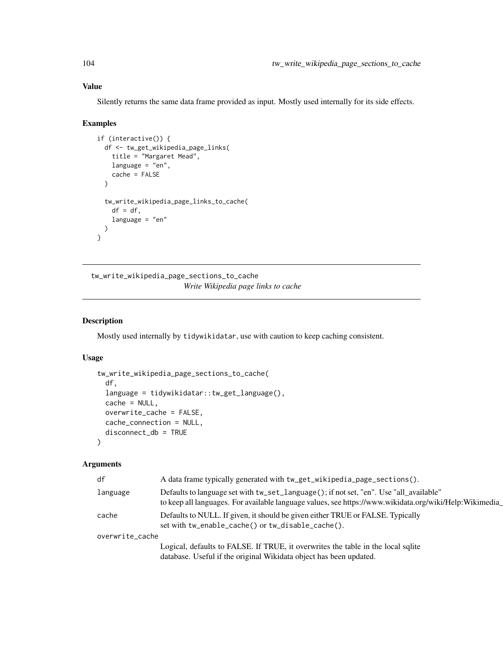# Value

Silently returns the same data frame provided as input. Mostly used internally for its side effects.

#### Examples

```
if (interactive()) {
 df <- tw_get_wikipedia_page_links(
   title = "Margaret Mead",
   language = "en",
   cache = FALSE
 \lambdatw_write_wikipedia_page_links_to_cache(
   df = df,
   language = "en"
 \lambda}
```
tw\_write\_wikipedia\_page\_sections\_to\_cache *Write Wikipedia page links to cache*

#### Description

Mostly used internally by tidywikidatar, use with caution to keep caching consistent.

#### Usage

```
tw_write_wikipedia_page_sections_to_cache(
  df,
  language = tidywikidatar::tw_get_language(),
 cache = NULL,
 overwrite_cache = FALSE,
 cache_connection = NULL,
  disconnect_db = TRUE
)
```

| df              | A data frame typically generated with tw_get_wikipedia_page_sections().                                                                                                                          |
|-----------------|--------------------------------------------------------------------------------------------------------------------------------------------------------------------------------------------------|
| language        | Defaults to language set with tw_set_language(); if not set, "en". Use "all_available"<br>to keep all languages. For available language values, see https://www.wikidata.org/wiki/Help:Wikimedia |
| cache           | Defaults to NULL. If given, it should be given either TRUE or FALSE. Typically<br>set with tw_enable_cache() or tw_disable_cache().                                                              |
| overwrite_cache |                                                                                                                                                                                                  |
|                 | Logical, defaults to FALSE. If TRUE, it overwrites the table in the local sqlite                                                                                                                 |
|                 | database. Useful if the original Wikidata object has been updated.                                                                                                                               |

<span id="page-103-0"></span>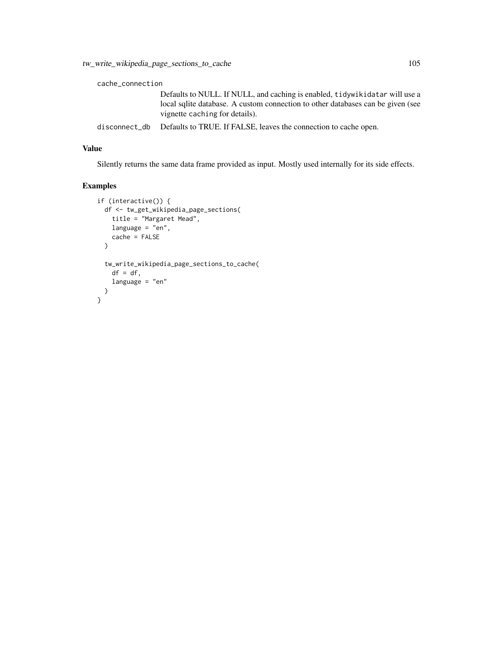#### cache\_connection

Defaults to NULL. If NULL, and caching is enabled, tidywikidatar will use a local sqlite database. A custom connection to other databases can be given (see vignette caching for details).

disconnect\_db Defaults to TRUE. If FALSE, leaves the connection to cache open.

# Value

Silently returns the same data frame provided as input. Mostly used internally for its side effects.

```
if (interactive()) {
 df <- tw_get_wikipedia_page_sections(
   title = "Margaret Mead",
   language = "en",cache = FALSE
  \lambdatw_write_wikipedia_page_sections_to_cache(
   df = df,
   language = "en"
 )
}
```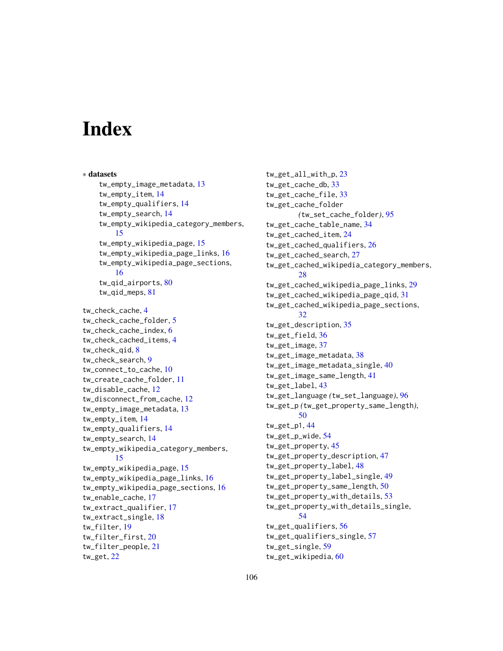# **Index**

∗ datasets tw\_empty\_image\_metadata, [13](#page-12-0) tw\_empty\_item, [14](#page-13-0) tw\_empty\_qualifiers, [14](#page-13-0) tw\_empty\_search, [14](#page-13-0) tw\_empty\_wikipedia\_category\_members, [15](#page-14-0) tw\_empty\_wikipedia\_page, [15](#page-14-0) tw\_empty\_wikipedia\_page\_links, [16](#page-15-0) tw\_empty\_wikipedia\_page\_sections, [16](#page-15-0) tw\_qid\_airports, [80](#page-79-0) tw\_qid\_meps, [81](#page-80-0) tw\_check\_cache, [4](#page-3-0) tw\_check\_cache\_folder, [5](#page-4-0) tw\_check\_cache\_index, [6](#page-5-0) tw\_check\_cached\_items, [4](#page-3-0) tw\_check\_qid, [8](#page-7-0) tw\_check\_search, [9](#page-8-0) tw\_connect\_to\_cache, [10](#page-9-0) tw\_create\_cache\_folder, [11](#page-10-0) tw\_disable\_cache, [12](#page-11-0) tw disconnect from cache, [12](#page-11-0) tw\_empty\_image\_metadata, [13](#page-12-0) tw\_empty\_item, [14](#page-13-0) tw\_empty\_qualifiers, [14](#page-13-0) tw\_empty\_search, [14](#page-13-0) tw\_empty\_wikipedia\_category\_members, [15](#page-14-0) tw\_empty\_wikipedia\_page, [15](#page-14-0) tw\_empty\_wikipedia\_page\_links, [16](#page-15-0) tw\_empty\_wikipedia\_page\_sections, [16](#page-15-0) tw\_enable\_cache, [17](#page-16-0) tw\_extract\_qualifier, [17](#page-16-0) tw\_extract\_single, [18](#page-17-0) tw\_filter, [19](#page-18-0) tw\_filter\_first, [20](#page-19-0) tw\_filter\_people, [21](#page-20-0) tw\_get, [22](#page-21-0)

tw\_get\_all\_with\_p, [23](#page-22-0) tw\_get\_cache\_db, [33](#page-32-0) tw\_get\_cache\_file, [33](#page-32-0) tw\_get\_cache\_folder *(*tw\_set\_cache\_folder*)*, [95](#page-94-0) tw\_get\_cache\_table\_name, [34](#page-33-0) tw\_get\_cached\_item, [24](#page-23-0) tw\_get\_cached\_qualifiers, [26](#page-25-0) tw\_get\_cached\_search, [27](#page-26-0) tw\_get\_cached\_wikipedia\_category\_members, [28](#page-27-0) tw\_get\_cached\_wikipedia\_page\_links, [29](#page-28-0) tw\_get\_cached\_wikipedia\_page\_qid, [31](#page-30-0) tw\_get\_cached\_wikipedia\_page\_sections, [32](#page-31-0) tw\_get\_description, [35](#page-34-0) tw\_get\_field, [36](#page-35-0) tw\_get\_image, [37](#page-36-0) tw\_get\_image\_metadata, [38](#page-37-0) tw\_get\_image\_metadata\_single, [40](#page-39-0) tw\_get\_image\_same\_length, [41](#page-40-0) tw\_get\_label, [43](#page-42-0) tw\_get\_language *(*tw\_set\_language*)*, [96](#page-95-0) tw\_get\_p *(*tw\_get\_property\_same\_length*)*, [50](#page-49-0) tw\_get\_p1, [44](#page-43-0) tw\_get\_p\_wide, [54](#page-53-0) tw\_get\_property, [45](#page-44-0) tw\_get\_property\_description, [47](#page-46-0) tw\_get\_property\_label, [48](#page-47-0) tw\_get\_property\_label\_single, [49](#page-48-0) tw\_get\_property\_same\_length, [50](#page-49-0) tw\_get\_property\_with\_details, [53](#page-52-0) tw\_get\_property\_with\_details\_single, [54](#page-53-0) tw\_get\_qualifiers, [56](#page-55-0) tw\_get\_qualifiers\_single, [57](#page-56-0) tw\_get\_single, [59](#page-58-0) tw\_get\_wikipedia, [60](#page-59-0)